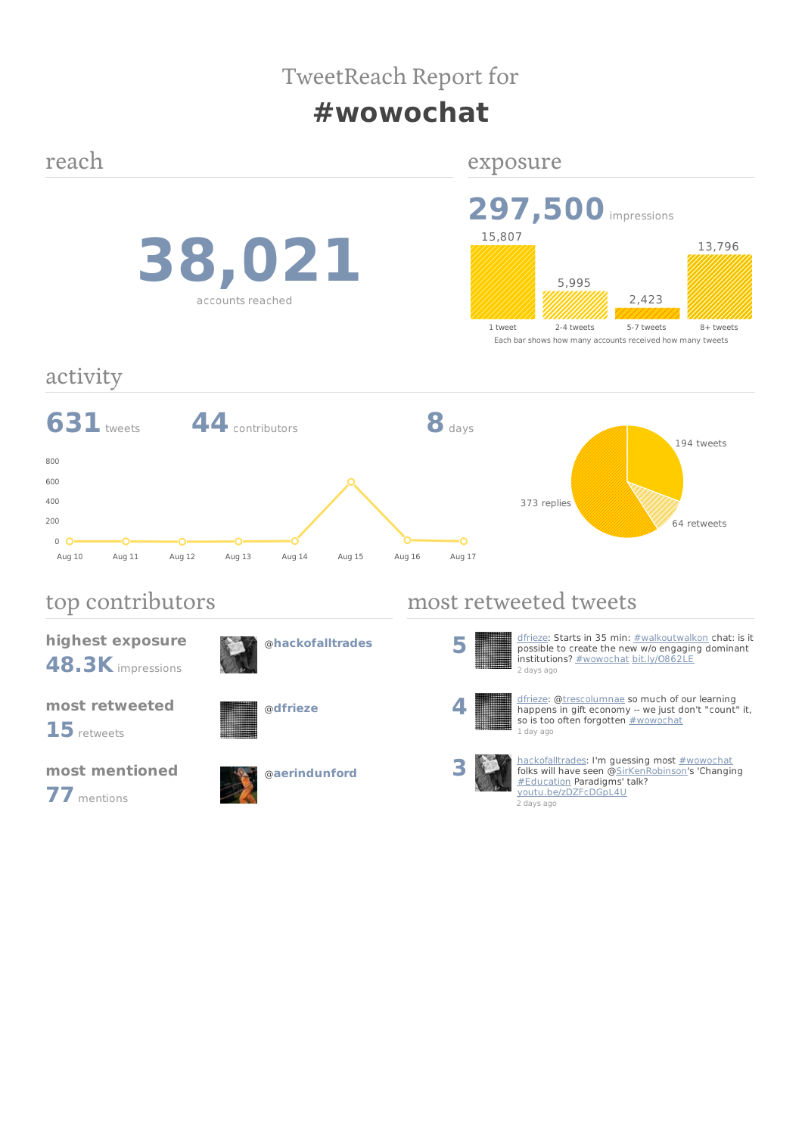# TweetReach Report for

# **#wowochat**

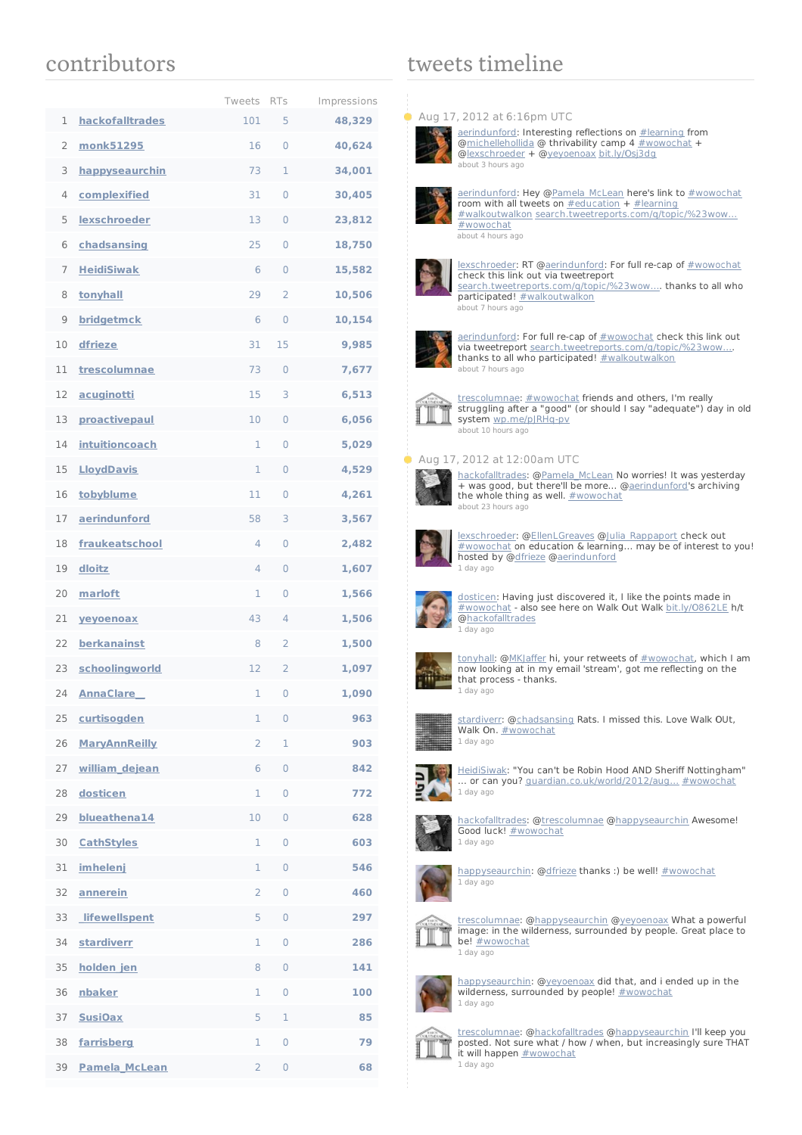## contributors

|    |                      | Tweets         | <b>RTs</b>          | Impressions |
|----|----------------------|----------------|---------------------|-------------|
| 1  | hackofalltrades      | 101            | 5                   | 48,329      |
| 2  | monk51295            | 16             | 0                   | 40,624      |
| 3  | happyseaurchin       | 73             | 1                   | 34,001      |
| 4  | complexified         | 31             | 0                   | 30,405      |
| 5  | lexschroeder         | 13             | 0                   | 23,812      |
| 6  | chadsansing          | 25             | 0                   | 18,750      |
| 7  | <b>HeidiSiwak</b>    | 6              | 0                   | 15,582      |
| 8  | tonyhall             | 29             | $\overline{2}$      | 10,506      |
| 9  | bridgetmck           | 6              | 0                   | 10,154      |
| 10 | dfrieze              | 31             | 15                  | 9,985       |
| 11 | trescolumnae         | 73             | 0                   | 7,677       |
| 12 | acuginotti           | 15             | 3                   | 6,513       |
| 13 | proactivepaul        | 10             | $\Omega$            | 6,056       |
| 14 | intuitioncoach       | 1              | 0                   | 5,029       |
| 15 | <b>LloydDavis</b>    | 1              | $\Omega$            | 4,529       |
| 16 | tobyblume            | 11             | 0                   | 4,261       |
| 17 | aerindunford         | 58             | 3                   | 3,567       |
| 18 | fraukeatschool       | 4              | 0                   | 2,482       |
| 19 | dloitz               | 4              | $\Omega$            | 1,607       |
| 20 | marloft              | 1              | 0                   | 1,566       |
| 21 | veyoenoax            | 43             | $\overline{4}$      | 1,506       |
| 22 | berkanainst          | 8              | 2                   | 1,500       |
| 23 | schoolingworld       | 12             | 2                   | 1,097       |
| 24 | <u>Anna Clare</u>    | 1              | $\cup$              | 1,090       |
| 25 | curtisogden          | 1              | 0                   | 963         |
| 26 | <b>MaryAnnReilly</b> | 2              | 1                   | 903         |
| 27 | william dejean       | 6              | 0                   | 842         |
| 28 | dosticen             | 1              | 0                   | 772         |
| 29 | blueathena14         | 10             | 0                   | 628         |
| 30 | <b>CathStyles</b>    | 1              | 0                   | 603         |
| 31 | imhelenj             | 1              | 0                   | 546         |
| 32 | annerein             | $\overline{2}$ | 0                   | 460         |
| 33 | <b>lifewellspent</b> | 5              | 0                   | 297         |
| 34 | <b>stardiverr</b>    | 1              | $\mathsf{O}\xspace$ | 286         |
| 35 | holden jen           | 8              | 0                   | 141         |
| 36 | nbaker               | 1              | 0                   | 100         |
| 37 | <b>SusiOax</b>       | 5              | 1                   | 85          |
| 38 | farrisberg           | 1              | 0                   | 79          |
| 39 | Pamela_McLean        | 2              | 0                   | 68          |

## tweets timeline

#### **Aug 17, 2012 at 6:16pm UTC**



[aerindunford](http://twitter.com/aerindunford): Interesting reflections on [#learning](/reach?q=%23learning) from @<u>michellehollida</u> @ thrivability camp 4 <u>[#wowochat](/reach?q=%23wowochat)</u> +<br>@<u>lexschroeder</u> + [@yeyoenoax](http://twitter.com/yeyoenoax)\_[bit.ly/Osj3dg](http://t.co/GEWPI5QI) [about](http://twitter.com/aerindunford/statuses/236526835003949058) 3 hours ago



[aerindunford](http://twitter.com/aerindunford): Hey @<u>Pamela\_McLean</u> here's link to <u>[#wowochat](/reach?q=%23wowochat)</u><br>room with all tweets on <u>[#education](/reach?q=%23education)</u> + <u>[#learning](/reach?q=%23learning)</u> [#walkoutwalkon](/reach?q=%23walkoutwalkon) [search.tweetreports.com/q/topic/%23wow…](http://t.co/xvhmODUx) [#wowochat](/reach?q=%23wowochat) [about](http://twitter.com/aerindunford/statuses/236518578696892416) 4 hours ago



[lexschroeder](http://twitter.com/lexschroeder): RT [@aerindunford](http://twitter.com/aerindunford): For full re-cap of [#wowochat](/reach?q=%23wowochat) check this link out via tweetreport search.tweetreports.com/q/topic/%23wow.... thanks to all who participated! [#walkoutwalkon](/reach?q=%23walkoutwalkon) [about](http://twitter.com/lexschroeder/statuses/236466532937523200) 7 hours ago



[aerindunford](http://twitter.com/aerindunford): For full re-cap of [#wowochat](/reach?q=%23wowochat) check this link out via tweetreport [search.tweetreports.com/q/topic/%23wow…](http://t.co/xvhmODUx). thanks to all who participated! [#walkoutwalkon](/reach?q=%23walkoutwalkon) [about](http://twitter.com/aerindunford/statuses/236465918513917952) 7 hours ago



[trescolumnae](http://twitter.com/trescolumnae): [#wowochat](/reach?q=%23wowochat) friends and others, I'm really struggling after a "good" (or should I say "adequate") day in old **system** [wp.me/pJRHq-pv](http://t.co/BoFHi3qH)<br>[about](http://twitter.com/trescolumnae/statuses/236420946578272256) 10 hours ago

### Aug 17, 2012 at 12:00am UTC



[hackofalltrades](http://twitter.com/hackofalltrades): @<u>[Pamela\\_McLean](http://twitter.com/Pamela_McLean)</u> No worries! It was yesterday<br>+ was good, but there'll be more... @<u>aerindunford</u>'s archiving<br>the whole thing as well. #wowocha<u>t</u> [about](http://twitter.com/hackofalltrades/statuses/236232472235479040) 23 hours ago



[lexschroeder](http://twitter.com/lexschroeder): [@EllenLGreaves](http://twitter.com/EllenLGreaves) @[Julia\\_Rappaport](http://twitter.com/Julia_Rappaport) check out [#wowochat](/reach?q=%23wowochat) on education & learning... may be of interest to you! hosted by [@dfrieze](http://twitter.com/dfrieze) [@aerindunford](http://twitter.com/aerindunford) 1 [day](http://twitter.com/lexschroeder/statuses/236145470060249089) ago



[dosticen](http://twitter.com/dosticen): Having just discovered it, I like the points made in [#wowochat](/reach?q=%23wowochat) - also see here on Walk Out Walk [bit.ly/O862LE](http://t.co/nbVmImnj) h/t [@hackofalltrades](http://twitter.com/hackofalltrades) 1 [day](http://twitter.com/dosticen/statuses/236010709467676672) ago



[tonyhall](http://twitter.com/tonyhall): [@MKJaffer](http://twitter.com/MKJaffer) hi, your retweets of [#wowochat](/reach?q=%23wowochat), which I am now looking at in my email 'stream', got me reflecting on the that process - thanks. 1 [day](http://twitter.com/tonyhall/statuses/235984609496690689) ago



[stardiverr](http://twitter.com/stardiverr): [@chadsansing](http://twitter.com/chadsansing) Rats. I missed this. Love Walk OUt, Walk On. **[#wowochat](/reach?q=%23wowochat)** 1 [day](http://twitter.com/stardiverr/statuses/235935620600565761) ago



**[HeidiSiwak](http://twitter.com/HeidiSiwak): "You can't be Robin Hood AND Sheriff Nottingham"** ... or can you? [guardian.co.uk/world/2012/aug…](http://t.co/jfiR810W) [#wowochat](/reach?q=%23wowochat) 1 [day](http://twitter.com/HeidiSiwak/statuses/235904596348907521) ago



[hackofalltrades](http://twitter.com/hackofalltrades): @[trescolumnae](http://twitter.com/trescolumnae) [@happyseaurchin](http://twitter.com/happyseaurchin) Awesome! Good luck! [#wowochat](/reach?q=%23wowochat) 1 [day](http://twitter.com/hackofalltrades/statuses/235890346104606720) ago



[happyseaurchin](http://twitter.com/happyseaurchin): [@dfrieze](http://twitter.com/dfrieze) thanks :) be well! [#wowochat](/reach?q=%23wowochat) 1 [day](http://twitter.com/happyseaurchin/statuses/235890321345609728) ago



[trescolumnae](http://twitter.com/trescolumnae): [@happyseaurchin](http://twitter.com/happyseaurchin) [@yeyoenoax](http://twitter.com/yeyoenoax) What a powerful image: in the wilderness, surrounded by people. Great place to be! [#wowochat](/reach?q=%23wowochat) 1 [day](http://twitter.com/trescolumnae/statuses/235890214948724736) ago



[happyseaurchin](http://twitter.com/happyseaurchin): [@yeyoenoax](http://twitter.com/yeyoenoax) did that, and i ended up in the<br>wilderness, surrounded by people! <u>[#wowochat](/reach?q=%23wowochat)</u> 1 [day](http://twitter.com/happyseaurchin/statuses/235889444631236608) ago



[trescolumnae](http://twitter.com/trescolumnae): [@hackofalltrades](http://twitter.com/hackofalltrades) [@happyseaurchin](http://twitter.com/happyseaurchin) I'll keep you posted. Not sure what / how / when, but increasingly sure THAT posted. Not sure what / hot it will happen  $\frac{\mu}{\mu}$ 1 [day](http://twitter.com/trescolumnae/statuses/235889243480793088) ago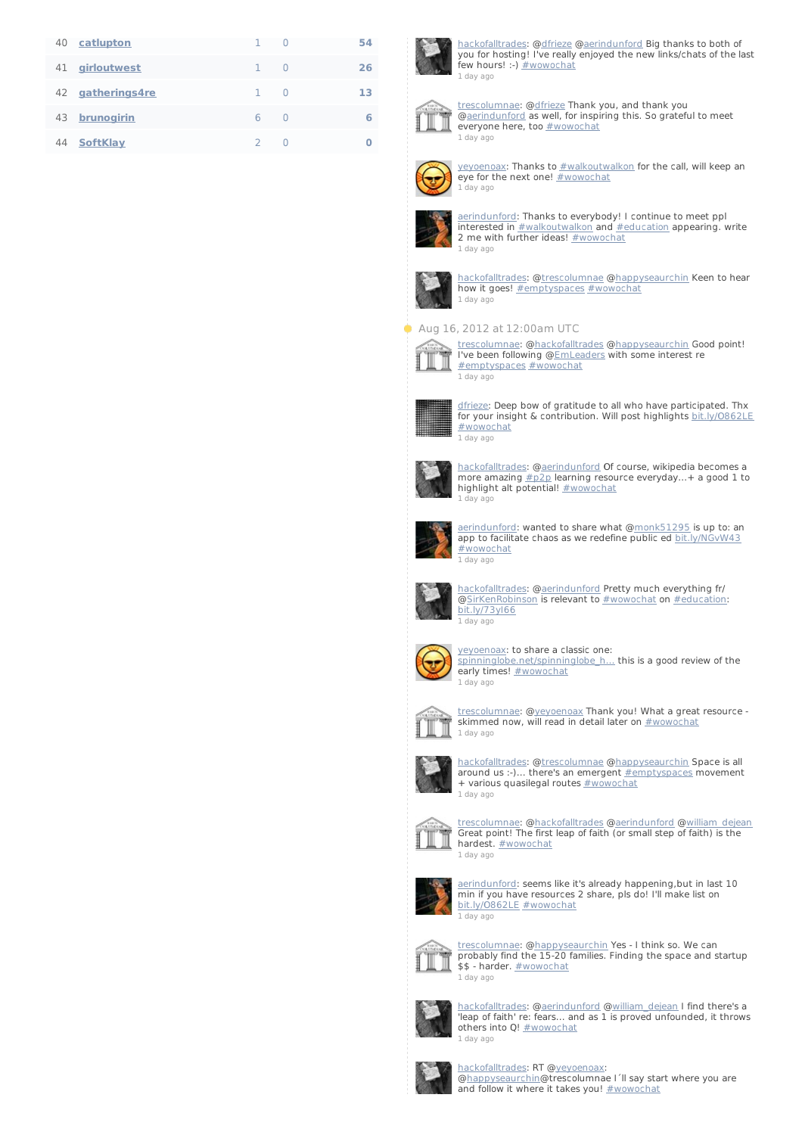| 40 | catlupton       |   | $\Box$       | 54 |
|----|-----------------|---|--------------|----|
| 41 | girloutwest     |   | $\Box$       | 26 |
| 42 | gatherings4re   | 1 | O            | 13 |
| 43 | brunogirin      | 6 | <sup>0</sup> | 6  |
| 44 | <b>SoftKlay</b> | フ |              | Ω  |



[hackofalltrades](http://twitter.com/hackofalltrades): @[dfrieze](http://twitter.com/dfrieze) [@aerindunford](http://twitter.com/aerindunford) Big thanks to both of you for hosting! I've really enjoyed the new links/chats of the last few hours! :-)  $\frac{1}{2}$  wowochat 1 [day](http://twitter.com/hackofalltrades/statuses/235889213759946752) ago



[trescolumnae](http://twitter.com/trescolumnae): [@dfrieze](http://twitter.com/dfrieze) Thank you, and thank you [@aerindunford](http://twitter.com/aerindunford) as well, for inspiring this. So grateful to meet everyone here, too **[#wowochat](/reach?q=%23wowochat)** 1 [day](http://twitter.com/trescolumnae/statuses/235889048659558400) ago



[yeyoenoax](http://twitter.com/yeyoenoax): Thanks to  $#$ walkoutwalkon for the call, will keep an eye for the next one! [#wowochat](/reach?q=%23wowochat) 1 [day](http://twitter.com/yeyoenoax/statuses/235888982863540224) ago



[aerindunford](http://twitter.com/aerindunford): Thanks to everybody! I continue to meet ppl interested in [#walkoutwalkon](/reach?q=%23walkoutwalkon) and [#education](/reach?q=%23education) appearing. write 2 me with further ideas! [#wowochat](/reach?q=%23wowochat) 1 [day](http://twitter.com/aerindunford/statuses/235888933823737858) ago



[hackofalltrades](http://twitter.com/hackofalltrades): @[trescolumnae](http://twitter.com/trescolumnae) [@happyseaurchin](http://twitter.com/happyseaurchin) Keen to hear how it goes! [#emptyspaces](/reach?q=%23emptyspaces) [#wowochat](/reach?q=%23wowochat) 1 [day](http://twitter.com/hackofalltrades/statuses/235888767595081729) ago

### Aug 16, 2012 at 12:00am UTC



[trescolumnae](http://twitter.com/trescolumnae): @<u>hackofalltrades</u> @<u>happyseaurchin</u> Good point!<br>I've been following @<u>EmLeaders</u> with some interest re<br>[#emptyspaces](/reach?q=%23emptyspaces) [#wowochat](/reach?q=%23wowochat) 1 [day](http://twitter.com/trescolumnae/statuses/235888506675806208) ago



[dfrieze](http://twitter.com/dfrieze): Deep bow of gratitude to all who have participated. Thx for your insight & contribution. Will post highlights [bit.ly/O862LE](http://t.co/HHN9IFSM) [#wowochat](/reach?q=%23wowochat) 1 [day](http://twitter.com/dfrieze/statuses/235888484294983680) ago



<u>[hackofalltrades](http://twitter.com/hackofalltrades)</u>: @<u>[aerindunford](http://twitter.com/aerindunford)</u> Of course, wikipedia becomes a<br>more amazing <u>[#p2p](/reach?q=%23p2p)</u> learning resource everyday...+ a good 1 to highlight alt potential! [#wowochat](/reach?q=%23wowochat) 1 [day](http://twitter.com/hackofalltrades/statuses/235888329210617857) ago



[aerindunford](http://twitter.com/aerindunford): wanted to share what [@monk51295](http://twitter.com/monk51295) is up to: an app to facilitate chaos as we redefine public ed [bit.ly/NGvW43](http://t.co/HKMPe6d2) [#wowochat](/reach?q=%23wowochat) 1 [day](http://twitter.com/aerindunford/statuses/235887895381147648) ago



[hackofalltrades](http://twitter.com/hackofalltrades): @[aerindunford](http://twitter.com/aerindunford) Pretty much everything fr/ [@SirKenRobinson](http://twitter.com/SirKenRobinson) is relevant to [#wowochat](/reach?q=%23wowochat) on [#education](/reach?q=%23education): [bit.ly/73yI66](http://t.co/Xh8zsf6r) 1 [day](http://twitter.com/hackofalltrades/statuses/235887536810102786) ago



[yeyoenoax](http://twitter.com/yeyoenoax): to share a classic one:

spinninglobe.net/spinninglobe\_h... this is a good review of the early times! **[#wowochat](/reach?q=%23wowochat)** 1 [day](http://twitter.com/yeyoenoax/statuses/235887208861675520) ago



t<u>rescolumnae</u>: @<u>yeyoenoax</u> Thank you! What a great resource -<br>skimmed now, will read in detail later on <u>[#wowochat](/reach?q=%23wowochat)</u> 1 [day](http://twitter.com/trescolumnae/statuses/235886919488249857) ago



[hackofalltrades](http://twitter.com/hackofalltrades): @[trescolumnae](http://twitter.com/trescolumnae) [@happyseaurchin](http://twitter.com/happyseaurchin) Space is all around us :-)... there's an emergent [#emptyspaces](/reach?q=%23emptyspaces) movement + various quasilegal routes [#wowochat](/reach?q=%23wowochat) 1 [day](http://twitter.com/hackofalltrades/statuses/235886908209762305) ago



[trescolumnae](http://twitter.com/trescolumnae): [@hackofalltrades](http://twitter.com/hackofalltrades) [@aerindunford](http://twitter.com/aerindunford) [@william\\_dejean](http://twitter.com/william_dejean) Great point! The first leap of faith (or small step of faith) is the **hardest.** [#wowochat](/reach?q=%23wowochat) 1 [day](http://twitter.com/trescolumnae/statuses/235886317861474304) ago



[aerindunford](http://twitter.com/aerindunford): seems like it's already happening,but in last 10<br>min if you have resources 2 share, pls do! I'll make list on bit.ly/0862LE [#wowochat](/reach?q=%23wowochat) 1 [day](http://twitter.com/aerindunford/statuses/235886229881765888) ago



[trescolumnae](http://twitter.com/trescolumnae): [@happyseaurchin](http://twitter.com/happyseaurchin) Yes - I think so. We can probably find the 15-20 families. Finding the space and startup \$\$ - harder. [#wowochat](/reach?q=%23wowochat) 1 [day](http://twitter.com/trescolumnae/statuses/235886157865578496) ago



[hackofalltrades](http://twitter.com/hackofalltrades): @[aerindunford](http://twitter.com/aerindunford) [@william\\_dejean](http://twitter.com/william_dejean) I find there's a 'leap of faith' re: fears... and as 1 is proved unfounded, it throws others into Q! **[#wowochat](/reach?q=%23wowochat)** 1 [day](http://twitter.com/hackofalltrades/statuses/235885835793338368) ago



[hackofalltrades](http://twitter.com/hackofalltrades): RT [@yeyoenoax](http://twitter.com/yeyoenoax):<br>[@happyseaurchin](http://twitter.com/happyseaurchin)@trescolumnae I´ll say start where you are and follow it where it takes you! [#wowochat](/reach?q=%23wowochat)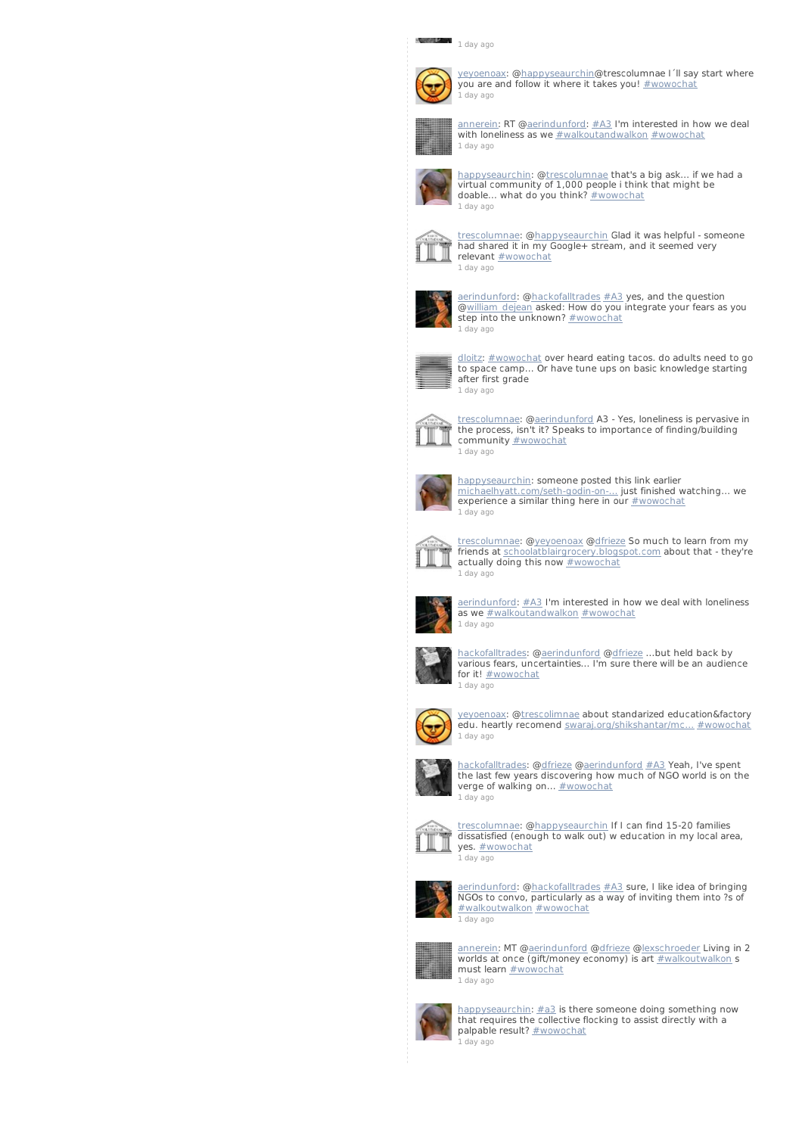## 1 [day](http://twitter.com/hackofalltrades/statuses/235885435207946240) ago



y<u>eyoenoax</u>: @<u>happyseaurchin</u>@trescolumnae I´ll say start where<br>you are and follow it where it takes you! <u>[#wowochat](/reach?q=%23wowochat)</u> 1 [day](http://twitter.com/yeyoenoax/statuses/235885360415117312) ago



[annerein](http://twitter.com/annerein): RT [@aerindunford](http://twitter.com/aerindunford): [#A3](/reach?q=%23A3) I'm interested in how we deal with loneliness as we [#walkoutandwalkon](/reach?q=%23walkoutandwalkon) [#wowochat](/reach?q=%23wowochat) 1 [day](http://twitter.com/annerein/statuses/235885259898646528) ago



[happyseaurchin](http://twitter.com/happyseaurchin): [@trescolumnae](http://twitter.com/trescolumnae) that's a big ask... if we had a virtual community of 1,000 people i think that might be doable... what do you think? [#wowochat](/reach?q=%23wowochat) 1 [day](http://twitter.com/happyseaurchin/statuses/235885039034970115) ago



[trescolumnae](http://twitter.com/trescolumnae): [@happyseaurchin](http://twitter.com/happyseaurchin) Glad it was helpful - someone had shared it in my Google+ stream, and it seemed very relevant [#wowochat](/reach?q=%23wowochat) 1 [day](http://twitter.com/trescolumnae/statuses/235884987260497921) ago



[aerindunford](http://twitter.com/aerindunford): @<u>hackofalltrades [#A3](/reach?q=%23A3)</u> yes, and the question<br>@<u>william\_dejean</u> asked: How do you integrate your fears as you step into the unknown? [#wowochat](/reach?q=%23wowochat) 1 [day](http://twitter.com/aerindunford/statuses/235884977148018688) ago



[dloitz](http://twitter.com/dloitz): [#wowochat](/reach?q=%23wowochat) over heard eating tacos. do adults need to go to space camp... Or have tune ups on basic knowledge starting after first grade 1 [day](http://twitter.com/dloitz/statuses/235884844322787328) ago



[trescolumnae](http://twitter.com/trescolumnae): [@aerindunford](http://twitter.com/aerindunford) A3 - Yes, loneliness is pervasive in the process, isn't it? Speaks to importance of finding/building community **[#wowochat](/reach?q=%23wowochat)** 1 [day](http://twitter.com/trescolumnae/statuses/235884782683299840) ago



[happyseaurchin](http://twitter.com/happyseaurchin): someone posted this link earlier [michaelhyatt.com/seth-godin-on-…](http://t.co/Cl5u1ndB) just finished watching... we experience a similar thing here in our [#wowochat](/reach?q=%23wowochat) 1 [day](http://twitter.com/happyseaurchin/statuses/235884386845876224) ago



[trescolumnae](http://twitter.com/trescolumnae): [@yeyoenoax](http://twitter.com/yeyoenoax) [@dfrieze](http://twitter.com/dfrieze) So much to learn from my friends at [schoolatblairgrocery.blogspot.com](http://t.co/vQHuXXBn) about that - they're actually doing this now **[#wowochat](/reach?q=%23wowochat)** 1 [day](http://twitter.com/trescolumnae/statuses/235884249738260480) ago



[aerindunford](http://twitter.com/aerindunford): [#A3](/reach?q=%23A3) I'm interested in how we deal with loneliness as we [#walkoutandwalkon](/reach?q=%23walkoutandwalkon) [#wowochat](/reach?q=%23wowochat)



[hackofalltrades](http://twitter.com/hackofalltrades): @[aerindunford](http://twitter.com/aerindunford) [@dfrieze](http://twitter.com/dfrieze) ...but held back by various fears, uncertainties... I'm sure there will be an audience for it! [#wowochat](/reach?q=%23wowochat) 1 [day](http://twitter.com/hackofalltrades/statuses/235884089465503744) ago



[yeyoenoax](http://twitter.com/yeyoenoax): [@trescolimnae](http://twitter.com/trescolimnae) about standarized education&factory edu. heartly recomend [swaraj.org/shikshantar/mc…](http://t.co/toSOVQKF) [#wowochat](/reach?q=%23wowochat) 1 [day](http://twitter.com/yeyoenoax/statuses/235883986579255297) ago



[hackofalltrades](http://twitter.com/hackofalltrades): @[dfrieze](http://twitter.com/dfrieze) [@aerindunford](http://twitter.com/aerindunford) [#A3](/reach?q=%23A3) Yeah, I've spent the last few years discovering how much of NGO world is on the verge of walking on... **[#wowochat](/reach?q=%23wowochat)** 1 [day](http://twitter.com/hackofalltrades/statuses/235883890731020289) ago



t<u>rescolumnae</u>: @<u>happyseaurchin</u> If I can find 15-20 families<br>dissatisfied (enough to walk out) w education in my local area, yes. **[#wowochat](/reach?q=%23wowochat)** 1 [day](http://twitter.com/trescolumnae/statuses/235883768655781888) ago



[aerindunford](http://twitter.com/aerindunford): @<u>hackofalltrades [#A3](/reach?q=%23A3)</u> sure, I like idea of bringing<br>NGOs to convo, particularly as a way of inviting them into ?s of [#walkoutwalkon](/reach?q=%23walkoutwalkon) [#wowochat](/reach?q=%23wowochat) 1 [day](http://twitter.com/aerindunford/statuses/235883477747257344) ago



[annerein](http://twitter.com/annerein): MT [@aerindunford](http://twitter.com/aerindunford) [@dfrieze](http://twitter.com/dfrieze) [@lexschroeder](http://twitter.com/lexschroeder) Living in 2 worlds at once (gift/money economy) is art [#walkoutwalkon](/reach?q=%23walkoutwalkon) s must learn **[#wowochat](/reach?q=%23wowochat)** 1 [day](http://twitter.com/annerein/statuses/235883292065415168) ago



[happyseaurchin](http://twitter.com/happyseaurchin): [#a3](/reach?q=%23a3) is there someone doing something now that requires the collective flocking to assist directly with a palpable result? [#wowochat](/reach?q=%23wowochat) 1 [day](http://twitter.com/happyseaurchin/statuses/235882742116671488) ago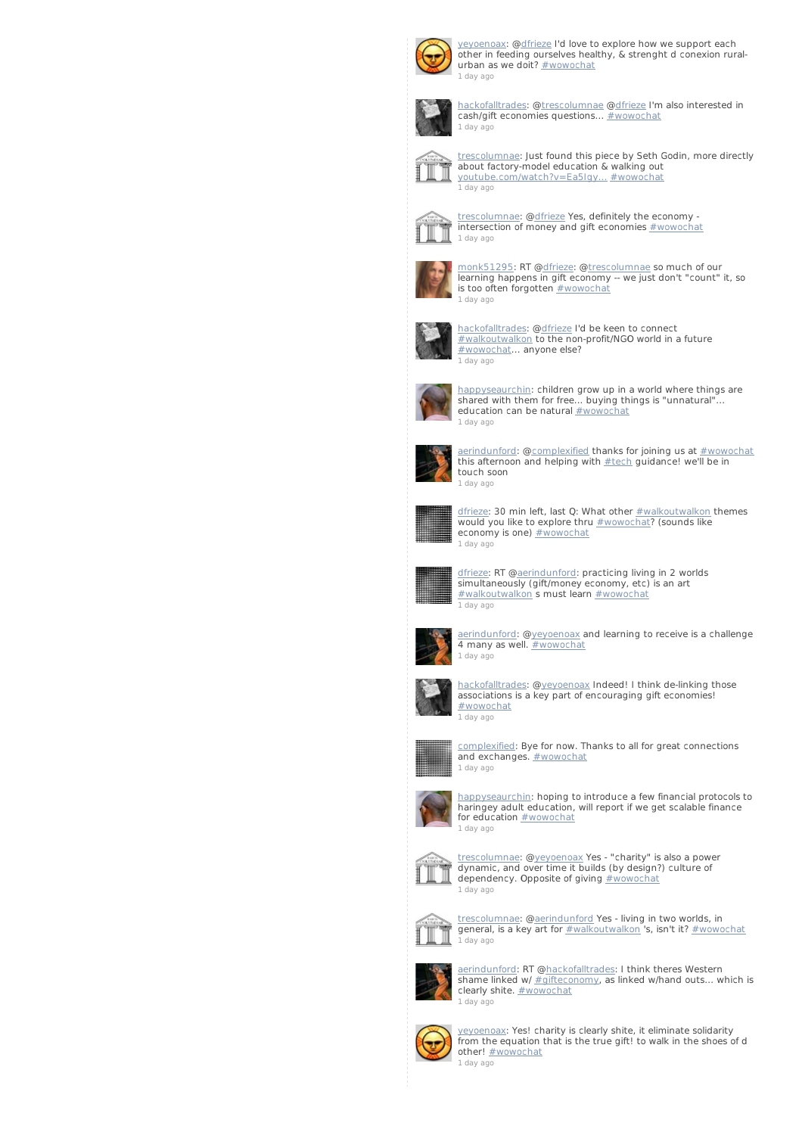

[yeyoenoax](http://twitter.com/yeyoenoax): [@dfrieze](http://twitter.com/dfrieze) I'd love to explore how we support each other in feeding ourselves healthy, & strenght d conexion rural-urban as we doit? [#wowochat](/reach?q=%23wowochat) 1 [day](http://twitter.com/yeyoenoax/statuses/235882699410255872) ago



[hackofalltrades](http://twitter.com/hackofalltrades): @[trescolumnae](http://twitter.com/trescolumnae) [@dfrieze](http://twitter.com/dfrieze) I'm also interested in cash/gift economies questions... **[#wowochat](/reach?q=%23wowochat)** 1 [day](http://twitter.com/hackofalltrades/statuses/235882605579468802) ago



[trescolumnae](http://twitter.com/trescolumnae): Just found this piece by Seth Godin, more directly about factory-model education & walking out [youtube.com/watch?v=Ea5Igy…](http://t.co/NYkmranr) [#wowochat](/reach?q=%23wowochat) 1 [day](http://twitter.com/trescolumnae/statuses/235882562986323968) ago



[trescolumnae](http://twitter.com/trescolumnae): [@dfrieze](http://twitter.com/dfrieze) Yes, definitely the economy - intersection of money and gift economies [#wowochat](/reach?q=%23wowochat) 1 [day](http://twitter.com/trescolumnae/statuses/235882432304394241) ago



[monk51295](http://twitter.com/monk51295): RT @[dfrieze](http://twitter.com/dfrieze): [@trescolumnae](http://twitter.com/trescolumnae) so much of our learning happens in gift economy -- we just don't "count" it, so is too often forgotten **[#wowochat](/reach?q=%23wowochat)** 1 [day](http://twitter.com/monk51295/statuses/235882420942016512) ago



[hackofalltrades](http://twitter.com/hackofalltrades): @[dfrieze](http://twitter.com/dfrieze) I'd be keen to connect [#walkoutwalkon](/reach?q=%23walkoutwalkon) to the non-profit/NGO world in a future [#wowochat](/reach?q=%23wowochat)... anyone else? 1 [day](http://twitter.com/hackofalltrades/statuses/235882386842320896) ago



[happyseaurchin](http://twitter.com/happyseaurchin): children grow up in a world where things are shared with them for free... buying things is "unnatural"... education can be natural **[#wowochat](/reach?q=%23wowochat)** 1 [day](http://twitter.com/happyseaurchin/statuses/235882040111808512) ago



[aerindunford](http://twitter.com/aerindunford): [@complexified](http://twitter.com/complexified) thanks for joining us at [#wowochat](/reach?q=%23wowochat) this afternoon and helping with [#tech](/reach?q=%23tech) guidance! we'll be in touch soon 1 [day](http://twitter.com/aerindunford/statuses/235881963486056450) ago



<u>[dfrieze](http://twitter.com/dfrieze)</u>: 30 min left, last Q: What other <u>[#walkoutwalkon](/reach?q=%23walkoutwalkon)</u> themes<br>would you like to explore thru <u>[#wowochat](/reach?q=%23wowochat)</u>? (sounds like economy is one) **[#wowochat](/reach?q=%23wowochat)** 1 [day](http://twitter.com/dfrieze/statuses/235881790533943298) ago



<u>[dfrieze](http://twitter.com/dfrieze)</u>: RT @<u>[aerindunford](http://twitter.com/aerindunford)</u>: practicing living in 2 worlds<br>simultaneously (gift/money economy, etc) is an art<br>[#walkoutwalkon](/reach?q=%23walkoutwalkon) s must learn <u>[#wowochat](/reach?q=%23wowochat)</u> 1 [day](http://twitter.com/dfrieze/statuses/235881442222170113) ago



[aerindunford](http://twitter.com/aerindunford): @y<u>eyoenoax</u> and learning to receive is a challenge<br>4 many as well. <u>[#wowochat](/reach?q=%23wowochat)</u> 1 [day](http://twitter.com/aerindunford/statuses/235881429026893824) ago



[hackofalltrades](http://twitter.com/hackofalltrades): @[yeyoenoax](http://twitter.com/yeyoenoax) Indeed! I think de-linking those associations is a key part of encouraging gift economies! [#wowochat](/reach?q=%23wowochat)



1 [day](http://twitter.com/hackofalltrades/statuses/235881396474880000) ago

[complexified](http://twitter.com/complexified): Bye for now. Thanks to all for great connections and exchanges. **[#wowochat](/reach?q=%23wowochat)** 1 [day](http://twitter.com/complexified/statuses/235881371514597376) ago



[happyseaurchin](http://twitter.com/happyseaurchin): hoping to introduce a few financial protocols to haringey adult education, will report if we get scalable finance for education [#wowochat](/reach?q=%23wowochat) 1 [day](http://twitter.com/happyseaurchin/statuses/235881340640313344) ago



[trescolumnae](http://twitter.com/trescolumnae): [@yeyoenoax](http://twitter.com/yeyoenoax) Yes - "charity" is also a power dynamic, and over time it builds (by design?) culture of dependency. Opposite of giving [#wowochat](/reach?q=%23wowochat) 1 [day](http://twitter.com/trescolumnae/statuses/235881256557096960) ago



[trescolumnae](http://twitter.com/trescolumnae): [@aerindunford](http://twitter.com/aerindunford) Yes - living in two worlds, in general, is a key art for [#walkoutwalkon](/reach?q=%23walkoutwalkon) 's, isn't it? [#wowochat](/reach?q=%23wowochat) 1 [day](http://twitter.com/trescolumnae/statuses/235881045671690240) ago



[aerindunford](http://twitter.com/aerindunford): RT [@hackofalltrades](http://twitter.com/hackofalltrades): I think theres Western shame linked w/ [#gifteconomy](/reach?q=%23gifteconomy), as linked w/hand outs... which is clearly shite. **[#wowochat](/reach?q=%23wowochat)** 1 [day](http://twitter.com/aerindunford/statuses/235880982702612480) ago



[yeyoenoax](http://twitter.com/yeyoenoax): Yes! charity is clearly shite, it eliminate solidarity from the equation that is the true gift! to walk in the shoes of d other! [#wowochat](/reach?q=%23wowochat) 1 [day](http://twitter.com/yeyoenoax/statuses/235880850309402626) ago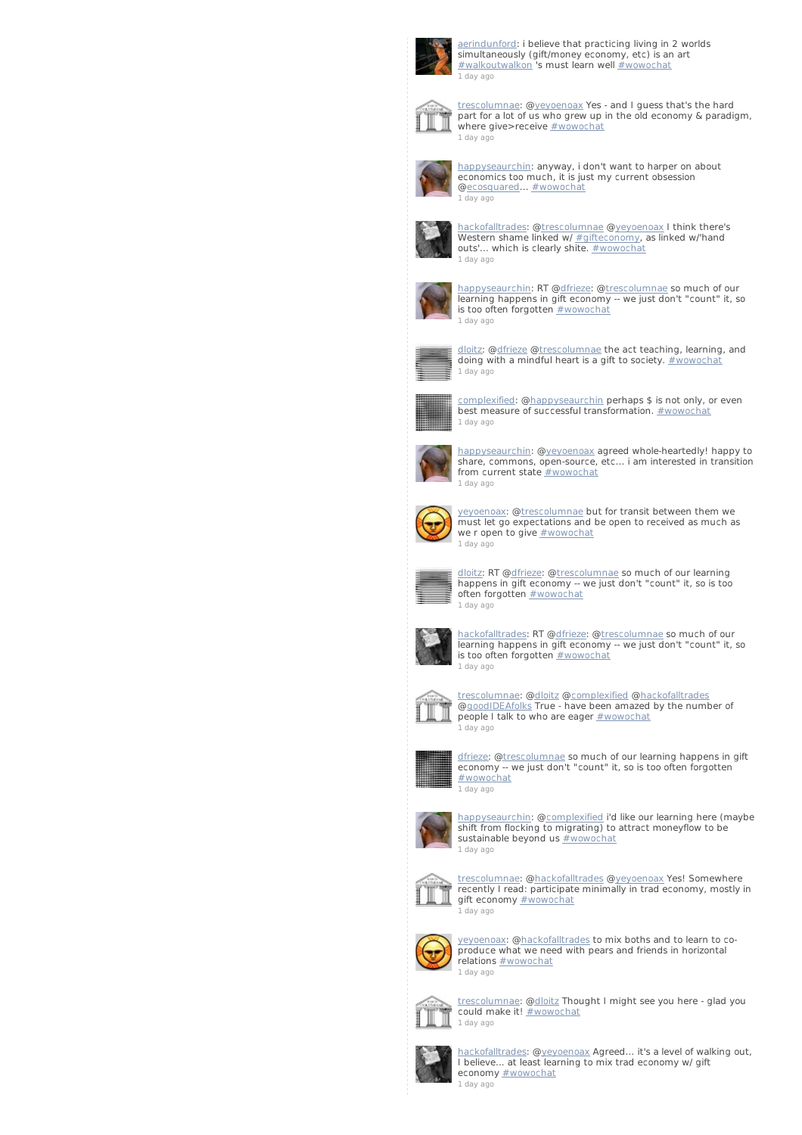

[aerindunford](http://twitter.com/aerindunford): i believe that practicing living in 2 worlds simultaneously (gift/money economy, etc) is an art [#walkoutwalkon](/reach?q=%23walkoutwalkon) 's must learn well [#wowochat](/reach?q=%23wowochat) 1 [day](http://twitter.com/aerindunford/statuses/235880639990226944) ago



[trescolumnae](http://twitter.com/trescolumnae): [@yeyoenoax](http://twitter.com/yeyoenoax) Yes - and I guess that's the hard part for a lot of us who grew up in the old economy & paradigm, where give>receive **[#wowochat](/reach?q=%23wowochat)** 1 [day](http://twitter.com/trescolumnae/statuses/235880638920679424) ago



[happyseaurchin](http://twitter.com/happyseaurchin): anyway, i don't want to harper on about economics too much, it is just my current obsession [@ecosquared](http://twitter.com/ecosquared)... [#wowochat](/reach?q=%23wowochat) 1 [day](http://twitter.com/happyseaurchin/statuses/235880495664201728) ago



[hackofalltrades](http://twitter.com/hackofalltrades): @[trescolumnae](http://twitter.com/trescolumnae) [@yeyoenoax](http://twitter.com/yeyoenoax) I think there's Western shame linked w/ <u>[#gifteconomy](/reach?q=%23gifteconomy)</u>, as linked w/'hand<br>outs'... which is clearly shite. <u>[#wowochat](/reach?q=%23wowochat)</u> 1 [day](http://twitter.com/hackofalltrades/statuses/235880371760295936) ago



[happyseaurchin](http://twitter.com/happyseaurchin): RT @<u>dfrieze</u>: @<u>trescolumnae</u> so much of our<br>learning happens in gift economy -- we just don't "count" it, so is too often forgotten **[#wowochat](/reach?q=%23wowochat)** 1 [day](http://twitter.com/happyseaurchin/statuses/235880229384617984) ago



[dloitz](http://twitter.com/dloitz): [@dfrieze](http://twitter.com/dfrieze) [@trescolumnae](http://twitter.com/trescolumnae) the act teaching, learning, and doing with a mindful heart is a gift to society. [#wowochat](/reach?q=%23wowochat) 1 [day](http://twitter.com/dloitz/statuses/235880172627316738) ago



[complexified](http://twitter.com/complexified): [@happyseaurchin](http://twitter.com/happyseaurchin) perhaps \$ is not only, or even best measure of successful transformation. [#wowochat](/reach?q=%23wowochat) 1 [day](http://twitter.com/complexified/statuses/235880164674912256) ago



[happyseaurchin](http://twitter.com/happyseaurchin): [@yeyoenoax](http://twitter.com/yeyoenoax) agreed whole-heartedly! happy to share, commons, open-source, etc... i am interested in transition from current state [#wowochat](/reach?q=%23wowochat) 1 [day](http://twitter.com/happyseaurchin/statuses/235879827708710913) ago



y<u>eyoenoax</u>: @<u>trescolumnae</u> but for transit between them we<br>must let go expectations and be open to received as much as we r open to give **[#wowochat](/reach?q=%23wowochat)** 1 [day](http://twitter.com/yeyoenoax/statuses/235879777993641986) ago



<u>[dloitz](http://twitter.com/dloitz)</u>: RT @<u>dfrieze</u>: @<u>trescolumnae</u> so much of our learning<br>happens in gift economy -- we just don't "count" it, so is too<br>often forgotten <u>[#wowochat](/reach?q=%23wowochat)</u> 1 [day](http://twitter.com/dloitz/statuses/235879702764597248) ago



[hackofalltrades](http://twitter.com/hackofalltrades): RT @<u>dfrieze</u>: @<u>trescolumnae</u> so much of our<br>learning happens in gift economy -- we just don't "count" it, so<br>is too often forgotten <u>[#wowochat](/reach?q=%23wowochat)</u> 1 [day](http://twitter.com/hackofalltrades/statuses/235879645512351744) ago



[trescolumnae](http://twitter.com/trescolumnae): [@dloitz](http://twitter.com/dloitz) [@complexified](http://twitter.com/complexified) [@hackofalltrades](http://twitter.com/hackofalltrades) @g<u>oodIDEAfolks</u> True - have been amazed by the number of<br>people I talk to who are eager <u>[#wowochat](/reach?q=%23wowochat)</u> 1 [day](http://twitter.com/trescolumnae/statuses/235879548053495808) ago



<u>[dfrieze](http://twitter.com/dfrieze)</u>: @<u>trescolumnae</u> so much of our learning happens in gift<br>economy -- we just don't "count" it, so is too often forgotten [#wowochat](/reach?q=%23wowochat) 1 [day](http://twitter.com/dfrieze/statuses/235879540906397697) ago



[happyseaurchin](http://twitter.com/happyseaurchin): [@complexified](http://twitter.com/complexified) i'd like our learning here (maybe shift from flocking to migrating) to attract moneyflow to be sustainable beyond us  $#$ wowochat 1 [day](http://twitter.com/happyseaurchin/statuses/235879393577291778) ago



[trescolumnae](http://twitter.com/trescolumnae): [@hackofalltrades](http://twitter.com/hackofalltrades) [@yeyoenoax](http://twitter.com/yeyoenoax) Yes! Somewhere recently I read: participate minimally in trad economy, mostly in gift economy **[#wowochat](/reach?q=%23wowochat)** 1 [day](http://twitter.com/trescolumnae/statuses/235879236257341441) ago



[yeyoenoax](http://twitter.com/yeyoenoax): [@hackofalltrades](http://twitter.com/hackofalltrades) to mix boths and to learn to co-produce what we need with pears and friends in horizontal relations [#wowochat](/reach?q=%23wowochat) 1 [day](http://twitter.com/yeyoenoax/statuses/235879094221410304) ago



t<u>rescolumnae</u>: @<u>dloitz</u> Thought I might see you here - glad you<br>could make it! <u>[#wowochat](/reach?q=%23wowochat)</u> 1 [day](http://twitter.com/trescolumnae/statuses/235878942052077568) ago



[hackofalltrades](http://twitter.com/hackofalltrades): @[yeyoenoax](http://twitter.com/yeyoenoax) Agreed... it's a level of walking out, I believe... at least learning to mix trad economy w/ gift economy **[#wowochat](/reach?q=%23wowochat)** 

1 [day](http://twitter.com/hackofalltrades/statuses/235878633066090496) ago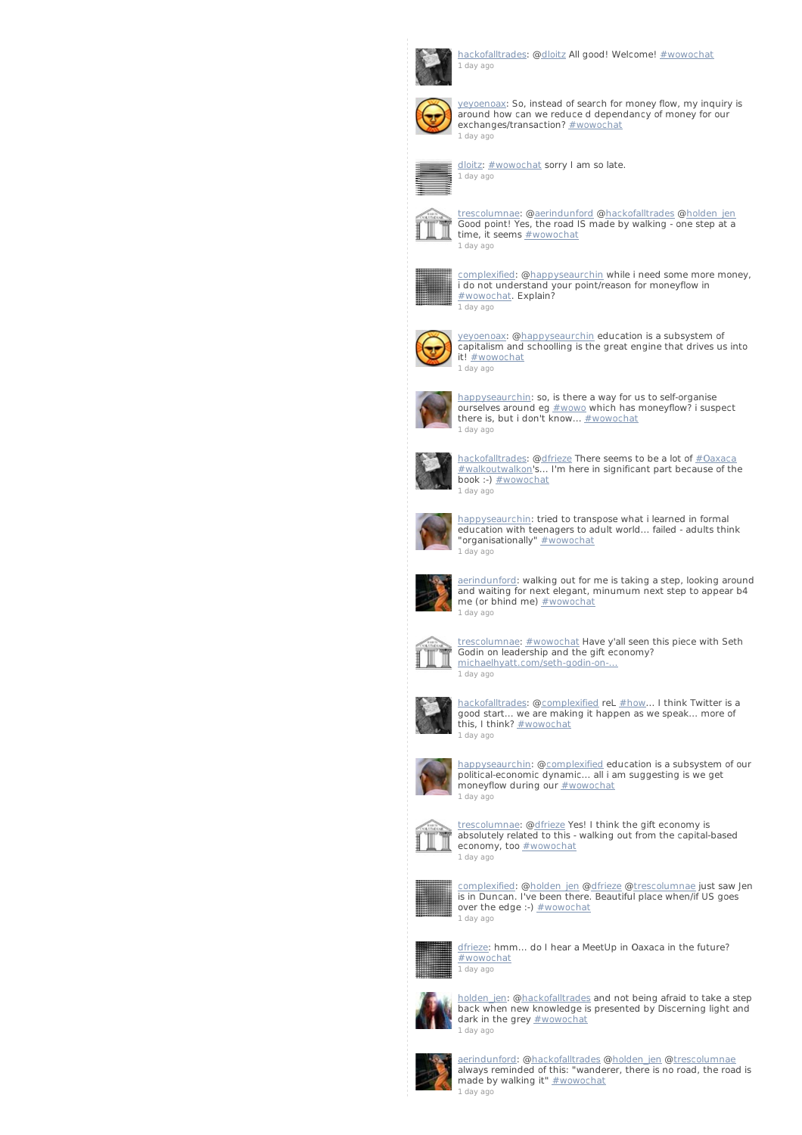

[hackofalltrades](http://twitter.com/hackofalltrades): @[dloitz](http://twitter.com/dloitz) All good! Welcome! [#wowochat](/reach?q=%23wowochat) 1 [day](http://twitter.com/hackofalltrades/statuses/235878406099701761) ago



[yeyoenoax](http://twitter.com/yeyoenoax): So, instead of search for money flow, my inquiry is around how can we reduce d dependancy of money for our exchanges/transaction? [#wowochat](/reach?q=%23wowochat) 1 [day](http://twitter.com/yeyoenoax/statuses/235878342564397056) ago



[dloitz](http://twitter.com/dloitz): [#wowochat](/reach?q=%23wowochat) sorry I am so late. 1 [day](http://twitter.com/dloitz/statuses/235878320842092544) ago



[trescolumnae](http://twitter.com/trescolumnae): [@aerindunford](http://twitter.com/aerindunford) [@hackofalltrades](http://twitter.com/hackofalltrades) [@holden\\_jen](http://twitter.com/holden_jen) Good point! Yes, the road IS made by walking - one step at a  $\frac{1}{\sqrt{2}}$  time, it seems  $\frac{\# \text{www.}}{\# \text{www.}}$ 1 [day](http://twitter.com/trescolumnae/statuses/235878309974663168) ago



[complexified](http://twitter.com/complexified): [@happyseaurchin](http://twitter.com/happyseaurchin) while i need some more money, i do not understand your point/reason for moneyflow in<br><u>[#wowochat](/reach?q=%23wowochat)</u>. Explain? 1 [day](http://twitter.com/complexified/statuses/235877749913427968) ago



[yeyoenoax](http://twitter.com/yeyoenoax): [@happyseaurchin](http://twitter.com/happyseaurchin) education is a subsystem of capitalism and schoolling is the great engine that drives us into it! [#wowochat](/reach?q=%23wowochat) 1 [day](http://twitter.com/yeyoenoax/statuses/235877676508905472) ago



[happyseaurchin](http://twitter.com/happyseaurchin): so, is there a way for us to self-organise  $\overline{\text{ours}}$  ourselves around eg  $\frac{\text{#} \text{wow}}{\text{#} \text{wow}}$  which has moneyflow? i suspect there is, but i don't know... [#wowochat](/reach?q=%23wowochat) 1 [day](http://twitter.com/happyseaurchin/statuses/235877579410780160) ago



[hackofalltrades](http://twitter.com/hackofalltrades): @[dfrieze](http://twitter.com/dfrieze) There seems to be a lot of [#Oaxaca](/reach?q=%23Oaxaca) [#walkoutwalkon](/reach?q=%23walkoutwalkon)'s... I'm here in significant part because of the book :-) [#wowochat](/reach?q=%23wowochat) 1 [day](http://twitter.com/hackofalltrades/statuses/235877084625506304) ago



[happyseaurchin](http://twitter.com/happyseaurchin): tried to transpose what i learned in formal education with teenagers to adult world... failed - adults think "organisationally" [#wowochat](/reach?q=%23wowochat)



1 [day](http://twitter.com/happyseaurchin/statuses/235876979373662209) ago [aerindunford](http://twitter.com/aerindunford): walking out for me is taking a step, looking around and waiting for next elegant, minumum next step to appear b4



1 [day](http://twitter.com/aerindunford/statuses/235876674196090882) ago [trescolumnae](http://twitter.com/trescolumnae): [#wowochat](/reach?q=%23wowochat) Have y'all seen this piece with Seth Godin on leadership and the gift economy?



michaelhyatt.com/seth-godin-on 1 [day](http://twitter.com/trescolumnae/statuses/235876582974173184) ago



[hackofalltrades](http://twitter.com/hackofalltrades): @[complexified](http://twitter.com/complexified) reL [#how](/reach?q=%23how)... I think Twitter is a good start... we are making it happen as we speak... more of<br>this, I think? <u>[#wowochat](/reach?q=%23wowochat)</u> 1 [day](http://twitter.com/hackofalltrades/statuses/235876556130639872) ago



[happyseaurchin](http://twitter.com/happyseaurchin): [@complexified](http://twitter.com/complexified) education is a subsystem of our political-economic dynamic... all i am suggesting is we get moneyflow during our **[#wowochat](/reach?q=%23wowochat)** 1 [day](http://twitter.com/happyseaurchin/statuses/235876473565753344) ago



[trescolumnae](http://twitter.com/trescolumnae): [@dfrieze](http://twitter.com/dfrieze) Yes! I think the gift economy is absolutely related to this - walking out from the capital-based economy, too **[#wowochat](/reach?q=%23wowochat)** 1 [day](http://twitter.com/trescolumnae/statuses/235876457702891521) ago



[complexified](http://twitter.com/complexified): @<u>holden\_jen [@dfrieze](http://twitter.com/dfrieze) [@trescolumnae](http://twitter.com/trescolumnae)</u> just saw Jen<br>is in Duncan. I've been there. Beautiful place when/if US goes over the edge :-)  $#$  wowochat 1 [day](http://twitter.com/complexified/statuses/235876429789794305) ago



[dfrieze](http://twitter.com/dfrieze): hmm... do I hear a MeetUp in Oaxaca in the future? [#wowochat](/reach?q=%23wowochat) 1 [day](http://twitter.com/dfrieze/statuses/235876425171869696) ago



[holden\\_jen](http://twitter.com/holden_jen): [@hackofalltrades](http://twitter.com/hackofalltrades) and not being afraid to take a step back when new knowledge is presented by Discerning light and dark in the grey **[#wowochat](/reach?q=%23wowochat)** 1 [day](http://twitter.com/holden_jen/statuses/235876358759260160) ago



[aerindunford](http://twitter.com/aerindunford): [@hackofalltrades](http://twitter.com/hackofalltrades) [@holden\\_jen](http://twitter.com/holden_jen) @[trescolumnae](http://twitter.com/trescolumnae) always reminded of this: "wanderer, there is no road, the road is made by walking it" **[#wowochat](/reach?q=%23wowochat)** 1 [day](http://twitter.com/aerindunford/statuses/235876334679781376) ago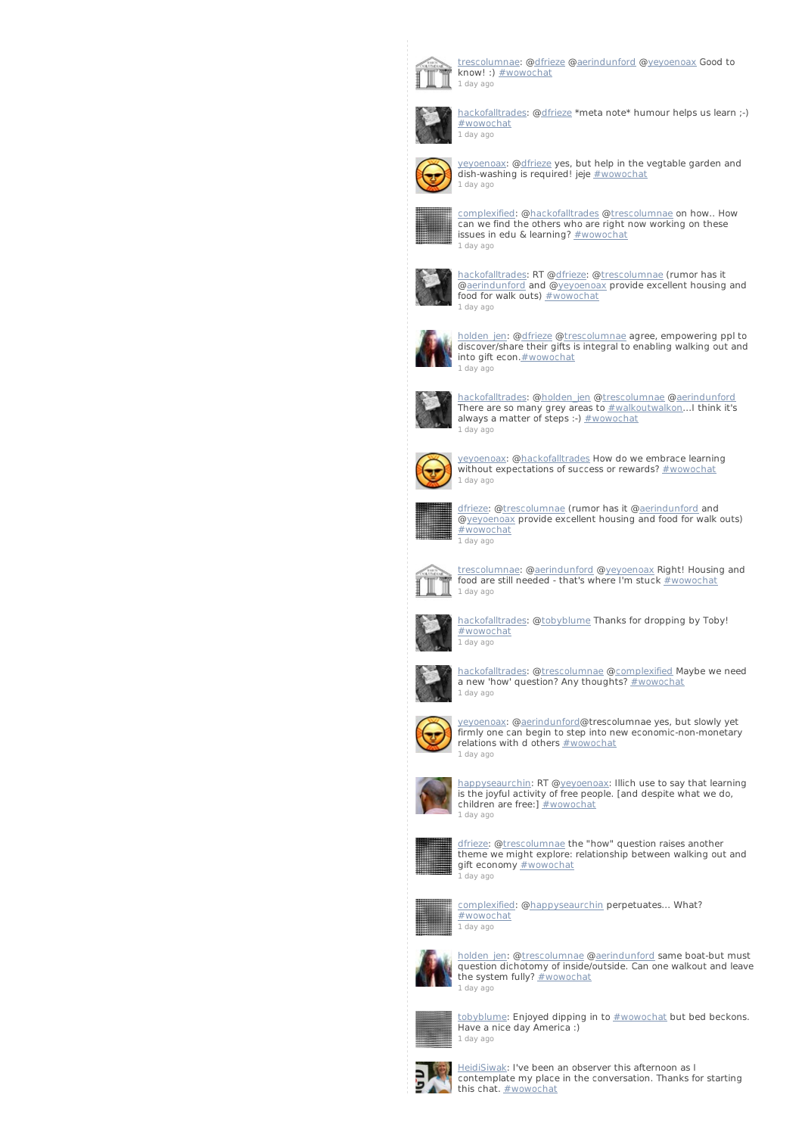

[trescolumnae](http://twitter.com/trescolumnae): [@dfrieze](http://twitter.com/dfrieze) [@aerindunford](http://twitter.com/aerindunford) [@yeyoenoax](http://twitter.com/yeyoenoax) Good to know! :) [#wowochat](/reach?q=%23wowochat) 1 [day](http://twitter.com/trescolumnae/statuses/235876155461357569) ago



[hackofalltrades](http://twitter.com/hackofalltrades): @[dfrieze](http://twitter.com/dfrieze) \*meta note\* humour helps us learn ;-) [#wowochat](/reach?q=%23wowochat) 1 [day](http://twitter.com/hackofalltrades/statuses/235876029883879426) ago



[yeyoenoax](http://twitter.com/yeyoenoax): [@dfrieze](http://twitter.com/dfrieze) yes, but help in the vegtable garden and dish-washing is required! jeje [#wowochat](/reach?q=%23wowochat) 1 [day](http://twitter.com/yeyoenoax/statuses/235875906869161985) ago



[complexified](http://twitter.com/complexified): [@hackofalltrades](http://twitter.com/hackofalltrades) [@trescolumnae](http://twitter.com/trescolumnae) on how.. How can we find the others who are right now working on these issues in edu & learning? [#wowochat](/reach?q=%23wowochat) 1 [day](http://twitter.com/complexified/statuses/235875833187819521) ago



[hackofalltrades](http://twitter.com/hackofalltrades): RT [@dfrieze](http://twitter.com/dfrieze): [@trescolumnae](http://twitter.com/trescolumnae) (rumor has it @<u>aerindunford</u> and @<u>yeyoenoax</u> provide excellent housing and<br>food for walk outs) <u>[#wowochat](/reach?q=%23wowochat)</u> 1 [day](http://twitter.com/hackofalltrades/statuses/235875814095347712) ago



[holden\\_jen](http://twitter.com/holden_jen): [@dfrieze](http://twitter.com/dfrieze) [@trescolumnae](http://twitter.com/trescolumnae) agree, empowering ppl to discover/share their gifts is integral to enabling walking out and into gift econ.**#wowochat** 1 [day](http://twitter.com/holden_jen/statuses/235875757811982336) ago



[hackofalltrades](http://twitter.com/hackofalltrades): @[holden\\_jen](http://twitter.com/holden_jen) [@trescolumnae](http://twitter.com/trescolumnae) [@aerindunford](http://twitter.com/aerindunford) There are so many grey areas to <u>[#walkoutwalkon](/reach?q=%23walkoutwalkon)</u>...I think it's<br>always a matter of steps :-) <u>[#wowochat](/reach?q=%23wowochat)</u> 1 [day](http://twitter.com/hackofalltrades/statuses/235875700928811008) ago



[yeyoenoax](http://twitter.com/yeyoenoax): [@hackofalltrades](http://twitter.com/hackofalltrades) How do we embrace learning without expectations of success or rewards? [#wowochat](/reach?q=%23wowochat) 1 [day](http://twitter.com/yeyoenoax/statuses/235875630187692033) ago



<u>[dfrieze](http://twitter.com/dfrieze)</u>: @<u>trescolumnae</u> (rumor has it @<u>aerindunford</u> and<br>@<u>yeyoenoax</u> provide excellent housing and food for walk outs) [#wowochat](/reach?q=%23wowochat) 1 [day](http://twitter.com/dfrieze/statuses/235875604103327745) ago



[trescolumnae](http://twitter.com/trescolumnae): [@aerindunford](http://twitter.com/aerindunford) [@yeyoenoax](http://twitter.com/yeyoenoax) Right! Housing and food are still needed - that's where I'm stuck [#wowochat](/reach?q=%23wowochat) 1 [day](http://twitter.com/trescolumnae/statuses/235875317544255488) ago



[hackofalltrades](http://twitter.com/hackofalltrades): @[tobyblume](http://twitter.com/tobyblume) Thanks for dropping by Toby! [#wowochat](/reach?q=%23wowochat) 1 [day](http://twitter.com/hackofalltrades/statuses/235875308153221120) ago



[hackofalltrades](http://twitter.com/hackofalltrades): @[trescolumnae](http://twitter.com/trescolumnae) [@complexified](http://twitter.com/complexified) Maybe we need a new 'how' question? Any thoughts? [#wowochat](/reach?q=%23wowochat) 1 [day](http://twitter.com/hackofalltrades/statuses/235875191878733824) ago



[yeyoenoax](http://twitter.com/yeyoenoax): [@aerindunford](http://twitter.com/aerindunford)@trescolumnae yes, but slowly yet firmly one can begin to step into new economic-non-monetary relations with d others [#wowochat](/reach?q=%23wowochat) 1 [day](http://twitter.com/yeyoenoax/statuses/235875092507271168) ago



[happyseaurchin](http://twitter.com/happyseaurchin): RT [@yeyoenoax](http://twitter.com/yeyoenoax): Illich use to say that learning is the joyful activity of free people. [and despite what we do, children are free:]  $\frac{\text{#wowochat}}{\text{#wowochat}}$  $\frac{\text{#wowochat}}{\text{#wowochat}}$  $\frac{\text{#wowochat}}{\text{#wowochat}}$ 1 [day](http://twitter.com/happyseaurchin/statuses/235875009019666432) ago



[dfrieze](http://twitter.com/dfrieze): [@trescolumnae](http://twitter.com/trescolumnae) the "how" question raises another theme we might explore: relationship between walking out and gift economy [#wowochat](/reach?q=%23wowochat) 1 [day](http://twitter.com/dfrieze/statuses/235874756342185984) ago



[complexified](http://twitter.com/complexified): [@happyseaurchin](http://twitter.com/happyseaurchin) perpetuates... What? [#wowochat](/reach?q=%23wowochat) 1 [day](http://twitter.com/complexified/statuses/235874572547792896) ago



[holden\\_jen](http://twitter.com/holden_jen): @<u>trescolumnae [@aerindunford](http://twitter.com/aerindunford)</u> same boat-but must<br>question dichotomy of inside/outside. Can one walkout and leave the system fully? **[#wowochat](/reach?q=%23wowochat)** 1 [day](http://twitter.com/holden_jen/statuses/235874525886181377) ago



[tobyblume](http://twitter.com/tobyblume): Enjoyed dipping in to **[#wowochat](/reach?q=%23wowochat)** but bed beckons. Have a nice day America :) 1 [day](http://twitter.com/tobyblume/statuses/235874500355436544) ago



[HeidiSiwak](http://twitter.com/HeidiSiwak): I've been an observer this afternoon as I contemplate my place in the conversation. Thanks for starting this chat. [#wowochat](/reach?q=%23wowochat)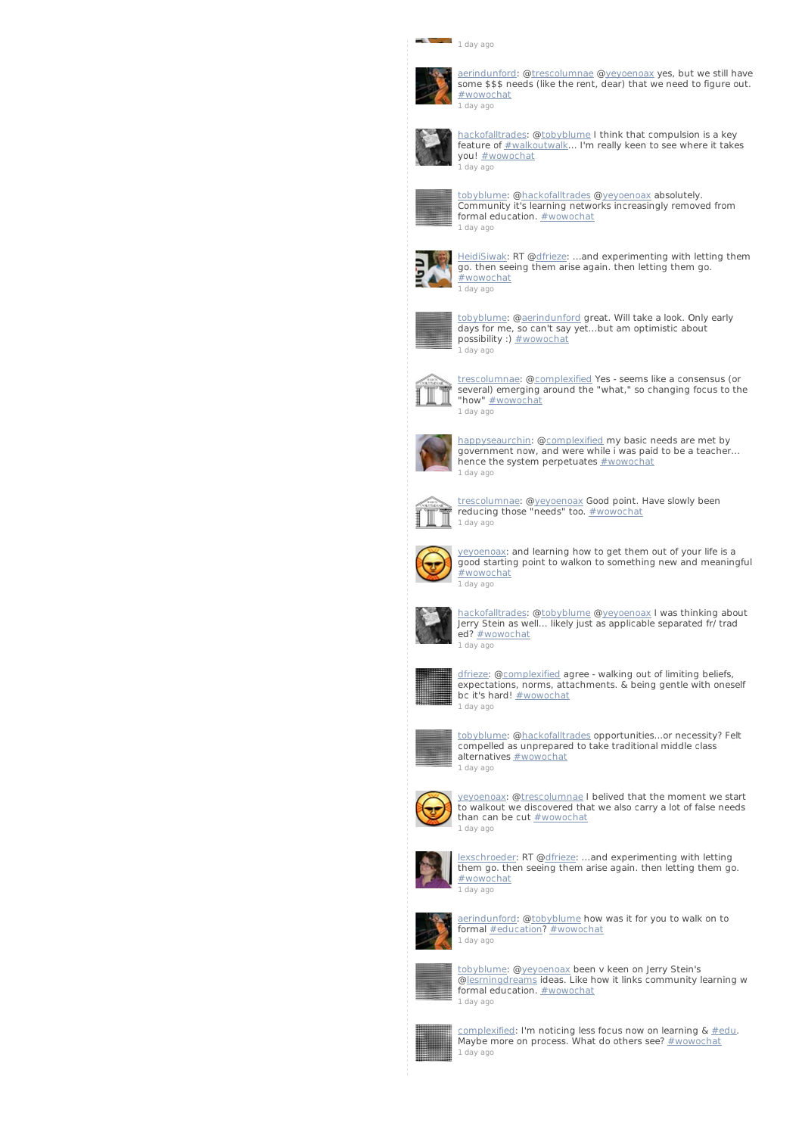## $\overline{\phantom{a}}$  1 [day](http://twitter.com/HeidiSiwak/statuses/235874457900679168) ago



[aerindunford](http://twitter.com/aerindunford): [@trescolumnae](http://twitter.com/trescolumnae) [@yeyoenoax](http://twitter.com/yeyoenoax) yes, but we still have some \$\$\$ needs (like the rent, dear) that we need to figure out. [#wowochat](/reach?q=%23wowochat) 1 [day](http://twitter.com/aerindunford/statuses/235874436501344256) ago



[hackofalltrades](http://twitter.com/hackofalltrades): @[tobyblume](http://twitter.com/tobyblume) I think that compulsion is a key feature of [#walkoutwalk](/reach?q=%23walkoutwalk)... I'm really keen to see where it takes you! [#wowochat](/reach?q=%23wowochat) 1 [day](http://twitter.com/hackofalltrades/statuses/235874356255920128) ago



[tobyblume](http://twitter.com/tobyblume): [@hackofalltrades](http://twitter.com/hackofalltrades) [@yeyoenoax](http://twitter.com/yeyoenoax) absolutely. Community it's learning networks increasingly removed from formal education. **[#wowochat](/reach?q=%23wowochat)** 1 [day](http://twitter.com/tobyblume/statuses/235874328061833217) ago



[HeidiSiwak](http://twitter.com/HeidiSiwak): RT [@dfrieze](http://twitter.com/dfrieze): ...and experimenting with letting them go. then seeing them arise again. then letting them go. [#wowochat](/reach?q=%23wowochat) 1 [day](http://twitter.com/HeidiSiwak/statuses/235874224093413376) ago



[tobyblume](http://twitter.com/tobyblume): [@aerindunford](http://twitter.com/aerindunford) great. Will take a look. Only early days for me, so can't say yet...but am optimistic about possibility :) **[#wowochat](/reach?q=%23wowochat)** 1 [day](http://twitter.com/tobyblume/statuses/235874140064714752) ago



[trescolumnae](http://twitter.com/trescolumnae): [@complexified](http://twitter.com/complexified) Yes - seems like a consensus (or several) emerging around the "what," so changing focus to the "how" [#wowochat](/reach?q=%23wowochat) 1 [day](http://twitter.com/trescolumnae/statuses/235874125904744449) ago



[happyseaurchin](http://twitter.com/happyseaurchin): [@complexified](http://twitter.com/complexified) my basic needs are met by government now, and were while i was paid to be a teacher... hence the system perpetuates **[#wowochat](/reach?q=%23wowochat)** 1 [day](http://twitter.com/happyseaurchin/statuses/235873967242612738) ago



[trescolumnae](http://twitter.com/trescolumnae): [@yeyoenoax](http://twitter.com/yeyoenoax) Good point. Have slowly been reducing those "needs" too. [#wowochat](/reach?q=%23wowochat) 1 [day](http://twitter.com/trescolumnae/statuses/235873946099138561) ago



[yeyoenoax](http://twitter.com/yeyoenoax): and learning how to get them out of your life is a good starting point to walkon to something new and meaningful [#wowochat](/reach?q=%23wowochat) 1 [day](http://twitter.com/yeyoenoax/statuses/235873842696974337) ago



[hackofalltrades](http://twitter.com/hackofalltrades): @[tobyblume](http://twitter.com/tobyblume) [@yeyoenoax](http://twitter.com/yeyoenoax) I was thinking about Jerry Stein as well... likely just as applicable separated fr/ trad ed? [#wowochat](/reach?q=%23wowochat) 1 [day](http://twitter.com/hackofalltrades/statuses/235873807263494144) ago



[dfrieze](http://twitter.com/dfrieze): [@complexified](http://twitter.com/complexified) agree - walking out of limiting beliefs, expectations, norms, attachments. & being gentle with oneself bc it's hard! [#wowochat](/reach?q=%23wowochat) 1 [day](http://twitter.com/dfrieze/statuses/235873661083602945) ago



[tobyblume](http://twitter.com/tobyblume): [@hackofalltrades](http://twitter.com/hackofalltrades) opportunities...or necessity? Felt compelled as unprepared to take traditional middle class alternatives **[#wowochat](/reach?q=%23wowochat)** 1 [day](http://twitter.com/tobyblume/statuses/235873585099575296) ago



[yeyoenoax](http://twitter.com/yeyoenoax): [@trescolumnae](http://twitter.com/trescolumnae) I belived that the moment we start to walkout we discovered that we also carry a lot of false needs than can be cut [#wowochat](/reach?q=%23wowochat) 1 [day](http://twitter.com/yeyoenoax/statuses/235873507211345922) ago



[lexschroeder](http://twitter.com/lexschroeder): RT [@dfrieze](http://twitter.com/dfrieze): ...and experimenting with letting them go. then seeing them arise again. then letting them go. [#wowochat](/reach?q=%23wowochat) 1 [day](http://twitter.com/lexschroeder/statuses/235873391805087744) ago



[aerindunford](http://twitter.com/aerindunford): [@tobyblume](http://twitter.com/tobyblume) how was it for you to walk on to formal [#education](/reach?q=%23education)? [#wowochat](/reach?q=%23wowochat) 1 [day](http://twitter.com/aerindunford/statuses/235873280123351040) ago



[tobyblume](http://twitter.com/tobyblume): [@yeyoenoax](http://twitter.com/yeyoenoax) been v keen on Jerry Stein's **Complete Community Community** Section of the state of the planning water of elements ideas. Like how it links community learning w



1 [day](http://twitter.com/tobyblume/statuses/235873214406983681) ago [complexified](http://twitter.com/complexified): I'm noticing less focus now on learning & <u>[#edu](/reach?q=%23edu)</u>.<br>Maybe more on process. What do others see? <u>[#wowochat](/reach?q=%23wowochat)</u>

formal education. **[#wowochat](/reach?q=%23wowochat)**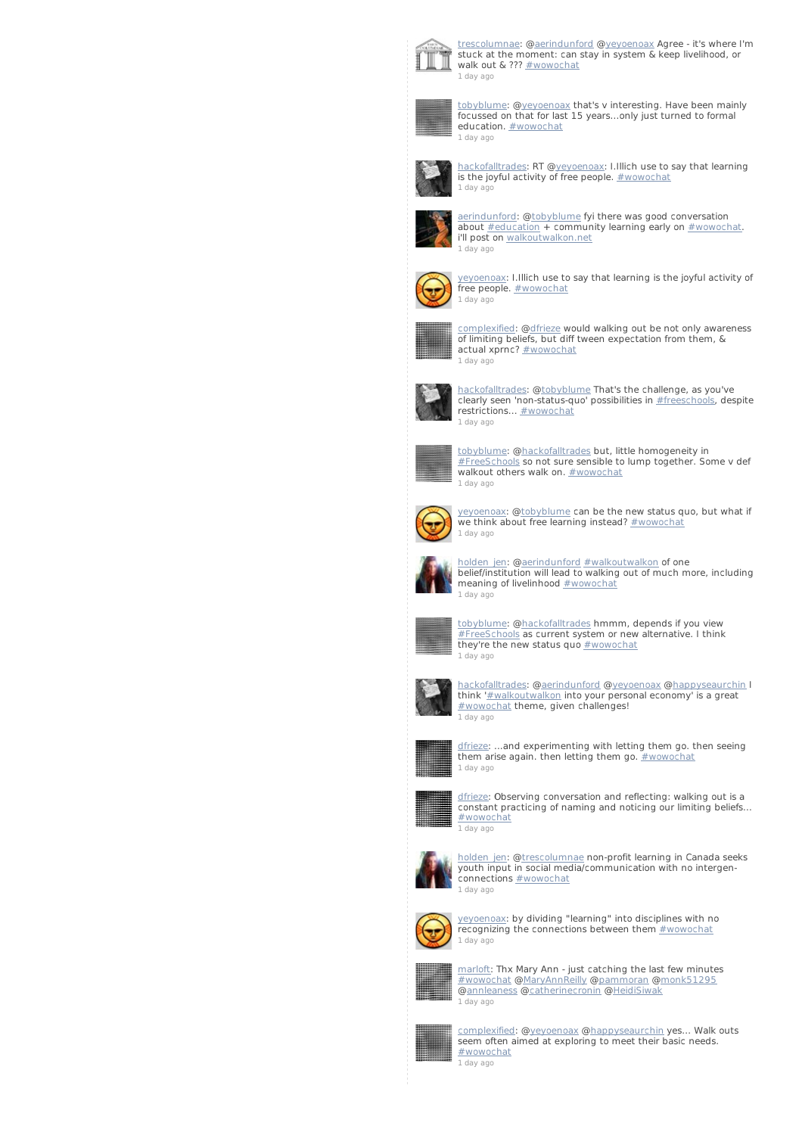

[trescolumnae](http://twitter.com/trescolumnae): [@aerindunford](http://twitter.com/aerindunford) [@yeyoenoax](http://twitter.com/yeyoenoax) Agree - it's where I'm stuck at the moment: can stay in system & keep livelihood, or walk out & ??? [#wowochat](/reach?q=%23wowochat) 1 [day](http://twitter.com/trescolumnae/statuses/235872988707295232) ago



[tobyblume](http://twitter.com/tobyblume): [@yeyoenoax](http://twitter.com/yeyoenoax) that's v interesting. Have been mainly focussed on that for last 15 years...only just turned to formal education. **[#wowochat](/reach?q=%23wowochat)** 1 [day](http://twitter.com/tobyblume/statuses/235872987771965441) ago



[hackofalltrades](http://twitter.com/hackofalltrades): RT [@yeyoenoax](http://twitter.com/yeyoenoax): I.Illich use to say that learning is the joyful activity of free people. [#wowochat](/reach?q=%23wowochat) 1 [day](http://twitter.com/hackofalltrades/statuses/235872918255587329) ago



[aerindunford](http://twitter.com/aerindunford): [@tobyblume](http://twitter.com/tobyblume) fyi there was good conversation about [#education](/reach?q=%23education) + community learning early on [#wowochat](/reach?q=%23wowochat). i'll post on [walkoutwalkon.net](http://t.co/CtWRi3B9) 1 [day](http://twitter.com/aerindunford/statuses/235872899884527616) ago



[yeyoenoax](http://twitter.com/yeyoenoax): I.Illich use to say that learning is the joyful activity of free people. **[#wowochat](/reach?q=%23wowochat)** 1 [day](http://twitter.com/yeyoenoax/statuses/235872874647396352) ago



[complexified](http://twitter.com/complexified): [@dfrieze](http://twitter.com/dfrieze) would walking out be not only awareness of limiting beliefs, but diff tween expectation from them, & actual xprnc? [#wowochat](/reach?q=%23wowochat) 1 [day](http://twitter.com/complexified/statuses/235872794888531969) ago



[hackofalltrades](http://twitter.com/hackofalltrades): @[tobyblume](http://twitter.com/tobyblume) That's the challenge, as you've clearly seen 'non-status-quo' possibilities in [#freeschools](/reach?q=%23freeschools), despite restrictions... **[#wowochat](/reach?q=%23wowochat)** 1 [day](http://twitter.com/hackofalltrades/statuses/235872737854386178) ago



[tobyblume](http://twitter.com/tobyblume): [@hackofalltrades](http://twitter.com/hackofalltrades) but, little homogeneity in [#FreeSchools](/reach?q=%23FreeSchools) so not sure sensible to lump together. Some v def walkout others walk on. **[#wowochat](/reach?q=%23wowochat)** 1 [day](http://twitter.com/tobyblume/statuses/235872660779839489) ago



y<u>eyoenoax</u>: @<u>tobyblume</u> can be the new status quo, but what if<br>we think about free learning instead? <u>[#wowochat](/reach?q=%23wowochat)</u> 1 [day](http://twitter.com/yeyoenoax/statuses/235872634141827072) ago



[holden\\_jen](http://twitter.com/holden_jen): [@aerindunford](http://twitter.com/aerindunford) [#walkoutwalkon](/reach?q=%23walkoutwalkon) of one belief/institution will lead to walking out of much more, including meaning of livelinhood [#wowochat](/reach?q=%23wowochat) 1 [day](http://twitter.com/holden_jen/statuses/235872594342055938) ago



[tobyblume](http://twitter.com/tobyblume): [@hackofalltrades](http://twitter.com/hackofalltrades) hmmm, depends if you view [#FreeSchools](/reach?q=%23FreeSchools) as current system or new alternative. I think they're the new status quo [#wowochat](/reach?q=%23wowochat) 1 [day](http://twitter.com/tobyblume/statuses/235872297137893376) ago



[hackofalltrades](http://twitter.com/hackofalltrades): @[aerindunford](http://twitter.com/aerindunford) [@yeyoenoax](http://twitter.com/yeyoenoax) [@happyseaurchin](http://twitter.com/happyseaurchin) I think ['#walkoutwalkon](/reach?q=%23walkoutwalkon) into your personal economy' is a great [#wowochat](/reach?q=%23wowochat) theme, given challenges! 1 [day](http://twitter.com/hackofalltrades/statuses/235872242683224064) ago



[dfrieze](http://twitter.com/dfrieze): ...and experimenting with letting them go. then seeing them arise again. then letting them go.  $\frac{\text{#} \text{wowochat}}{\text{#} \text{wowochat}}$ 1 [day](http://twitter.com/dfrieze/statuses/235872177734430720) ago



[dfrieze](http://twitter.com/dfrieze): Observing conversation and reflecting: walking out is a constant practicing of naming and noticing our limiting beliefs... [#wowochat](/reach?q=%23wowochat)



[holden\\_jen](http://twitter.com/holden_jen): @<u>trescolumnae</u> non-profit learning in Canada seeks<br>youth input in social media/communication with no intergenconnections **[#wowochat](/reach?q=%23wowochat)** 1 [day](http://twitter.com/holden_jen/statuses/235871492259336193) ago



[yeyoenoax](http://twitter.com/yeyoenoax): by dividing "learning" into disciplines with no recognizing the connections between them **[#wowochat](/reach?q=%23wowochat)** 1 [day](http://twitter.com/yeyoenoax/statuses/235871492053811200) ago



[marloft](http://twitter.com/marloft): Thx Mary Ann - just catching the last few minutes [#wowochat](/reach?q=%23wowochat) [@MaryAnnReilly](http://twitter.com/MaryAnnReilly) [@pammoran](http://twitter.com/pammoran) [@monk51295](http://twitter.com/monk51295) [@annleaness](http://twitter.com/annleaness) [@catherinecronin](http://twitter.com/catherinecronin) @[HeidiSiwak](http://twitter.com/HeidiSiwak)



1 [day](http://twitter.com/marloft/statuses/235871471543664640) ago

[complexified](http://twitter.com/complexified): [@yeyoenoax](http://twitter.com/yeyoenoax) [@happyseaurchin](http://twitter.com/happyseaurchin) yes... Walk outs seem often aimed at exploring to meet their basic needs. [#wowochat](/reach?q=%23wowochat) 1 [day](http://twitter.com/complexified/statuses/235871450505039872) ago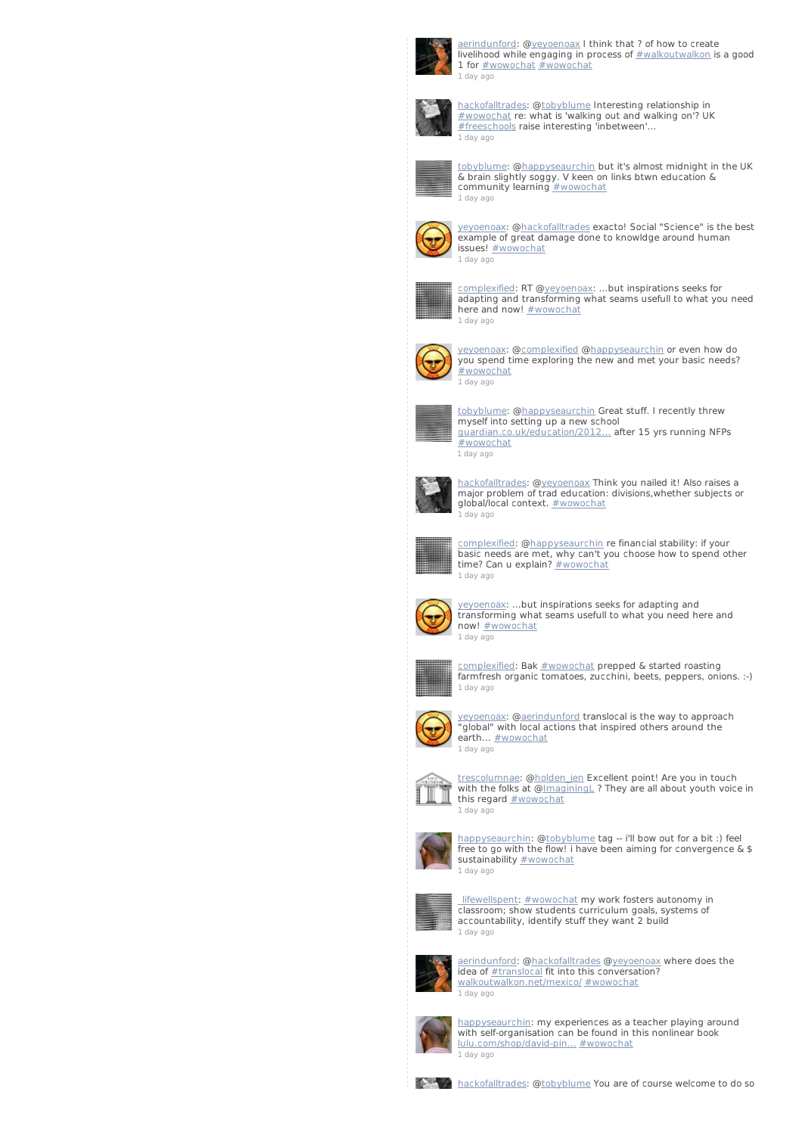

[aerindunford](http://twitter.com/aerindunford): [@yeyoenoax](http://twitter.com/yeyoenoax) I think that ? of how to create livelihood while engaging in process of [#walkoutwalkon](/reach?q=%23walkoutwalkon) is a good 1 for  $\frac{\text{#wowochat}}{\text{#wowochat}}$  $\frac{\text{#wowochat}}{\text{#wowochat}}$  $\frac{\text{#wowochat}}{\text{#wowochat}}$ 1 [day](http://twitter.com/aerindunford/statuses/235871383345848321) ago



[hackofalltrades](http://twitter.com/hackofalltrades): @[tobyblume](http://twitter.com/tobyblume) Interesting relationship in [#wowochat](/reach?q=%23wowochat) re: what is 'walking out and walking on'? UK [#freeschools](/reach?q=%23freeschools) raise interesting 'inbetween'... 1 [day](http://twitter.com/hackofalltrades/statuses/235871241779699712) ago



[tobyblume](http://twitter.com/tobyblume): [@happyseaurchin](http://twitter.com/happyseaurchin) but it's almost midnight in the UK & brain slightly soggy. V keen on links btwn education & community learning **[#wowochat](/reach?q=%23wowochat)** 1 [day](http://twitter.com/tobyblume/statuses/235871235731513344) ago



[yeyoenoax](http://twitter.com/yeyoenoax): [@hackofalltrades](http://twitter.com/hackofalltrades) exacto! Social "Science" is the best example of great damage done to knowldge around human issues! [#wowochat](/reach?q=%23wowochat) 1 [day](http://twitter.com/yeyoenoax/statuses/235871167116877824) ago



[complexified](http://twitter.com/complexified): RT [@yeyoenoax](http://twitter.com/yeyoenoax): ...but inspirations seeks for adapting and transforming what seams usefull to what you need here and now! [#wowochat](/reach?q=%23wowochat) 1 [day](http://twitter.com/complexified/statuses/235871045079408640) ago



[yeyoenoax](http://twitter.com/yeyoenoax): [@complexified](http://twitter.com/complexified) [@happyseaurchin](http://twitter.com/happyseaurchin) or even how do you spend time exploring the new and met your basic needs? [#wowochat](/reach?q=%23wowochat) 1 [day](http://twitter.com/yeyoenoax/statuses/235870818125631490) ago



<u>[tobyblume](http://twitter.com/tobyblume)</u>: @<u>happyseaurchin</u> Great stuff. I recently threw<br>myself into setting up a new school [guardian.co.uk/education/2012…](http://t.co/8BXzN1YA) after 15 yrs running NFPs [#wowochat](/reach?q=%23wowochat) 1 [day](http://twitter.com/tobyblume/statuses/235870728451391488) ago



<u>[hackofalltrades](http://twitter.com/hackofalltrades)</u>: @y<u>eyoenoax</u> Think you nailed it! Also raises a<br>major problem of trad education: divisions,whether subjects or global/local context. [#wowochat](/reach?q=%23wowochat) <u>.</u><br>1 [day](http://twitter.com/hackofalltrades/statuses/235870674646863872) ago



[complexified](http://twitter.com/complexified): [@happyseaurchin](http://twitter.com/happyseaurchin) re financial stability: if your basic needs are met, why can't you choose how to spend other<br>time? Can u explain? <u>[#wowochat](/reach?q=%23wowochat)</u> 1 [day](http://twitter.com/complexified/statuses/235870359625297921) ago



[yeyoenoax](http://twitter.com/yeyoenoax): ...but inspirations seeks for adapting and transforming what seams usefull to what you need here and now! [#wowochat](/reach?q=%23wowochat) 1 [day](http://twitter.com/yeyoenoax/statuses/235870031848804352) ago



[complexified](http://twitter.com/complexified): Bak [#wowochat](/reach?q=%23wowochat) prepped & started roasting farmfresh organic tomatoes, zucchini, beets, peppers, onions. :-) 1 [day](http://twitter.com/complexified/statuses/235869963578142720) ago



y<u>eyoenoax</u>: @<u>aerindunford</u> translocal is the way to approach<br>"global" with local actions that inspired others around the earth... [#wowochat](/reach?q=%23wowochat) 1 [day](http://twitter.com/yeyoenoax/statuses/235869819289870336) ago



t<u>rescolumnae</u>: @<u>holden\_jen</u> Excellent point! Are you in touch<br>with the folks at @<u>[ImaginingL](http://twitter.com/ImaginingL)</u> ? They are all about youth voice in this regard **[#wowochat](/reach?q=%23wowochat)** 1 [day](http://twitter.com/trescolumnae/statuses/235869409707700226) ago



[happyseaurchin](http://twitter.com/happyseaurchin): [@tobyblume](http://twitter.com/tobyblume) tag -- i'll bow out for a bit :) feel free to go with the flow! i have been aiming for convergence & \$<br>sustainability <u>[#wowochat](/reach?q=%23wowochat)</u> 1 [day](http://twitter.com/happyseaurchin/statuses/235869343978758145) ago



lifewellspent: [#wowochat](/reach?q=%23wowochat) my work fosters autonomy in classroom; show students curriculum goals, systems of accountability, identify stuff they want 2 build 1 [day](http://twitter.com/_lifewellspent/statuses/235869097076879360) ago



[aerindunford](http://twitter.com/aerindunford): [@hackofalltrades](http://twitter.com/hackofalltrades) [@yeyoenoax](http://twitter.com/yeyoenoax) where does the idea of **[#translocal](/reach?q=%23translocal)** fit into this conversation? [walkoutwalkon.net/mexico/](http://t.co/pe04eOTL) [#wowochat](/reach?q=%23wowochat) 1 [day](http://twitter.com/aerindunford/statuses/235868996451307520) ago



[happyseaurchin](http://twitter.com/happyseaurchin): my experiences as a teacher playing around with self-organisation can be found in this nonlinear book [lulu.com/shop/david-pin…](http://t.co/UQmI4G1x) [#wowochat](/reach?q=%23wowochat) 1 [day](http://twitter.com/happyseaurchin/statuses/235868825294352385) ago

**[hackofalltrades](http://twitter.com/hackofalltrades): @[tobyblume](http://twitter.com/tobyblume) You are of course welcome to do so**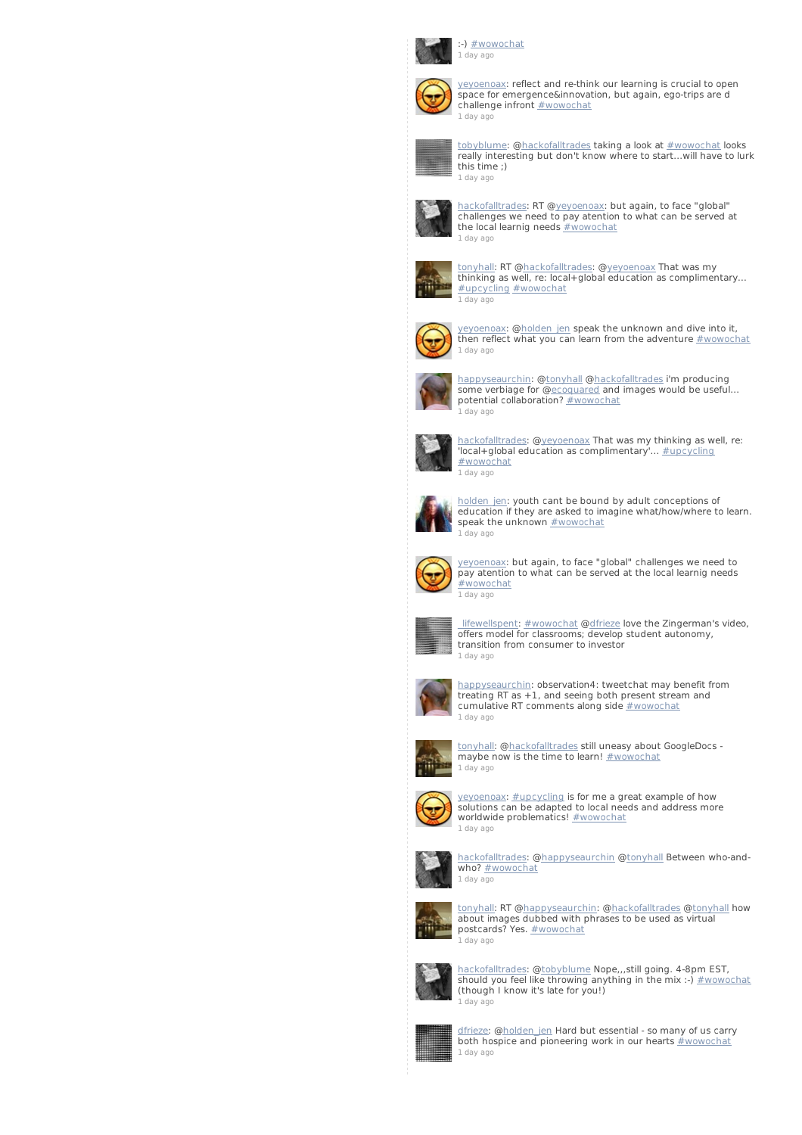

:-) [#wowochat](/reach?q=%23wowochat) 1 [day](http://twitter.com/hackofalltrades/statuses/235868703550492672) ago



[yeyoenoax](http://twitter.com/yeyoenoax): reflect and re-think our learning is crucial to open space for emergence&innovation, but again, ego-trips are d challenge infront **[#wowochat](/reach?q=%23wowochat)** 1 [day](http://twitter.com/yeyoenoax/statuses/235868682813833216) ago



<u>[tobyblume](http://twitter.com/tobyblume)</u>: @<u>hackofalltrades</u> taking a look at <u>[#wowochat](/reach?q=%23wowochat)</u> looks<br>really interesting but don't know where to start...will have to lurk this time ;) 1 [day](http://twitter.com/tobyblume/statuses/235868492950274049) ago



[hackofalltrades](http://twitter.com/hackofalltrades): RT [@yeyoenoax](http://twitter.com/yeyoenoax): but again, to face "global" challenges we need to pay atention to what can be served at the local learnig needs [#wowochat](/reach?q=%23wowochat) 1 [day](http://twitter.com/hackofalltrades/statuses/235868171767255040) ago



[tonyhall](http://twitter.com/tonyhall): RT [@hackofalltrades](http://twitter.com/hackofalltrades): [@yeyoenoax](http://twitter.com/yeyoenoax) That was my thinking as well, re: local+global education as complimentary... [#upcycling](/reach?q=%23upcycling) [#wowochat](/reach?q=%23wowochat) 1 [day](http://twitter.com/tonyhall/statuses/235868027864879104) ago



[yeyoenoax](http://twitter.com/yeyoenoax): [@holden\\_jen](http://twitter.com/holden_jen) speak the unknown and dive into it, then reflect what you can learn from the adventure **[#wowochat](/reach?q=%23wowochat)** 1 [day](http://twitter.com/yeyoenoax/statuses/235867983384289280) ago



[happyseaurchin](http://twitter.com/happyseaurchin): [@tonyhall](http://twitter.com/tonyhall) [@hackofalltrades](http://twitter.com/hackofalltrades) i'm producing some verbiage for @<u>ecoquared</u> and images would be useful...<br>potential collaboration? <u>[#wowochat](/reach?q=%23wowochat)</u> 1 [day](http://twitter.com/happyseaurchin/statuses/235867957861965824) ago



[hackofalltrades](http://twitter.com/hackofalltrades): @[yeyoenoax](http://twitter.com/yeyoenoax) That was my thinking as well, re: 'local+global education as complimentary'... [#upcycling](/reach?q=%23upcycling) [#wowochat](/reach?q=%23wowochat) 1 [day](http://twitter.com/hackofalltrades/statuses/235867781302738944) ago



<u>holden jen</u>: youth cant be bound by adult conceptions of<br>education if they are asked to imagine what/how/where to learn. speak the unknown **[#wowochat](/reach?q=%23wowochat)** 1 [day](http://twitter.com/holden_jen/statuses/235867628533583872) ago



[yeyoenoax](http://twitter.com/yeyoenoax): but again, to face "global" challenges we need to pay atention to what can be served at the local learnig needs [#wowochat](/reach?q=%23wowochat) 1 [day](http://twitter.com/yeyoenoax/statuses/235867570966786048) ago



lifewellspent: [#wowochat](/reach?q=%23wowochat) [@dfrieze](http://twitter.com/dfrieze) love the Zingerman's video, offers model for classrooms; develop student autonomy, transition from consumer to investor 1 [day](http://twitter.com/_lifewellspent/statuses/235867494194237440) ago



[happyseaurchin](http://twitter.com/happyseaurchin): observation4: tweetchat may benefit from treating RT as  $+1$ , and seeing both present stream and cumulative RT comments along side **[#wowochat](/reach?q=%23wowochat)** 1 [day](http://twitter.com/happyseaurchin/statuses/235867344642121728) ago



[tonyhall](http://twitter.com/tonyhall): [@hackofalltrades](http://twitter.com/hackofalltrades) still uneasy about GoogleDocs - maybe now is the time to learn! [#wowochat](/reach?q=%23wowochat) 1 [day](http://twitter.com/tonyhall/statuses/235867239742599168) ago



[yeyoenoax](http://twitter.com/yeyoenoax): [#upcycling](/reach?q=%23upcycling) is for me a great example of how solutions can be adapted to local needs and address more worldwide problematics! [#wowochat](/reach?q=%23wowochat) 1 [day](http://twitter.com/yeyoenoax/statuses/235867170725302272) ago



<u>[hackofalltrades](http://twitter.com/hackofalltrades)</u>: @<u>[happyseaurchin](http://twitter.com/happyseaurchin)</u> @<u>tonyhall</u> Between who-and-<br>who? <u>[#wowochat](/reach?q=%23wowochat)</u> 1 [day](http://twitter.com/hackofalltrades/statuses/235867155416096768) ago



[tonyhall](http://twitter.com/tonyhall): RT [@happyseaurchin](http://twitter.com/happyseaurchin): @[hackofalltrades](http://twitter.com/hackofalltrades) [@tonyhal](http://twitter.com/tonyhall)l how about images dubbed with phrases to be used as virtual postcards? Yes. <u>[#wowochat](/reach?q=%23wowochat)</u> .<br>1 dav ago



[hackofalltrades](http://twitter.com/hackofalltrades): @[tobyblume](http://twitter.com/tobyblume) Nope,,,still going. 4-8pm EST, should you feel like throwing anything in the mix :-) [#wowochat](/reach?q=%23wowochat) (though I know it's late for you!) 1 [day](http://twitter.com/hackofalltrades/statuses/235866941053603840) ago



<u>[dfrieze](http://twitter.com/dfrieze)</u>: @<u>holden\_jen</u> Hard but essential - so many of us carry<br>both hospice and pioneering work in our hearts <u>[#wowochat](/reach?q=%23wowochat)</u> 1 [day](http://twitter.com/dfrieze/statuses/235866833322901504) ago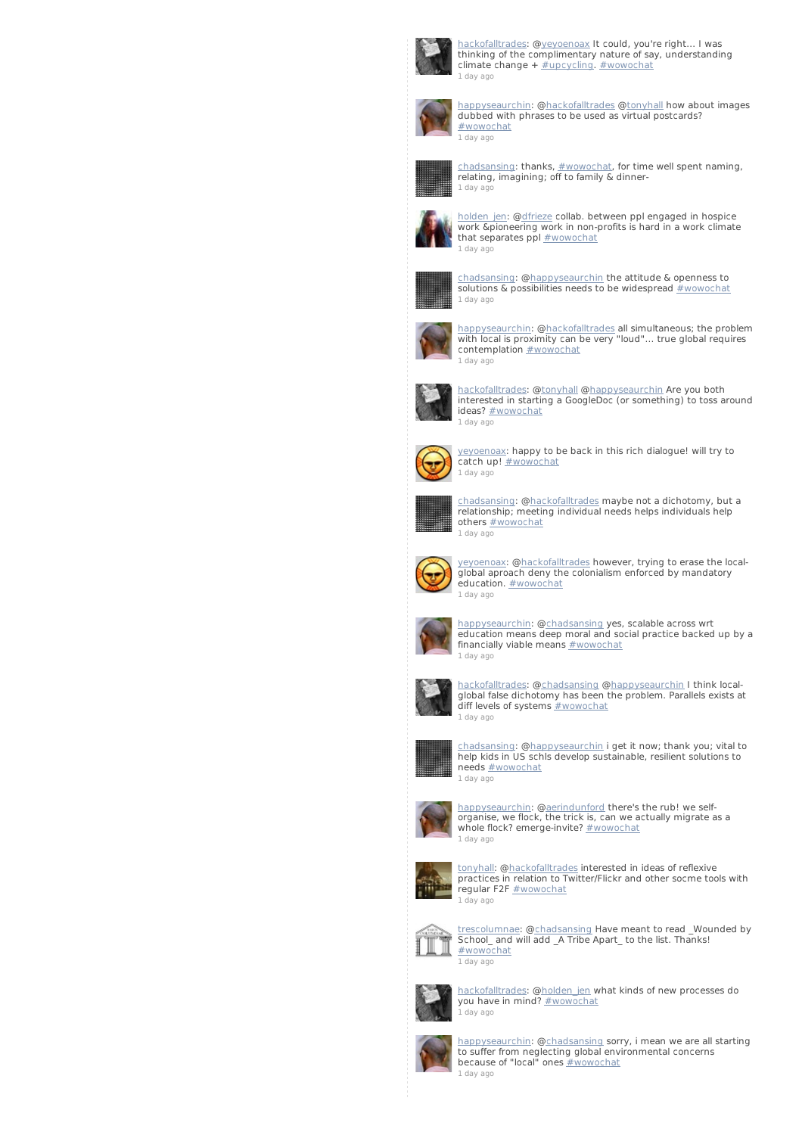

ackofalltrades: @[yeyoenoax](http://twitter.com/yeyoenoax) It could, you're right... I was thinking of the complimentary nature of say, understanding  $climate channel + #upcyclicing. #wwwochat$ 1 [day](http://twitter.com/hackofalltrades/statuses/235866609548402688) ago



[happyseaurchin](http://twitter.com/happyseaurchin): [@hackofalltrades](http://twitter.com/hackofalltrades) [@tonyhal](http://twitter.com/tonyhall)l how about images dubbed with phrases to be used as virtual postcards? [#wowochat](/reach?q=%23wowochat) 1 [day](http://twitter.com/happyseaurchin/statuses/235866567815077888) ago



[chadsansing](http://twitter.com/chadsansing): thanks, <u>[#wowochat](/reach?q=%23wowochat)</u>, for time well spent naming,<br>relating, imagining; off to family & dinner-1 [day](http://twitter.com/chadsansing/statuses/235866366576566272) ago



holden jen: [@dfrieze](http://twitter.com/dfrieze) collab. between ppl engaged in hospice work &pioneering work in non-profits is hard in a work climate that separates ppl  $#wowochat$ 1 [day](http://twitter.com/holden_jen/statuses/235866240218972161) ago



[chadsansing](http://twitter.com/chadsansing): [@happyseaurchin](http://twitter.com/happyseaurchin) the attitude & openness to solutions & possibilities needs to be widespread [#wowochat](/reach?q=%23wowochat) 1 [day](http://twitter.com/chadsansing/statuses/235866170446716929) ago



[happyseaurchin](http://twitter.com/happyseaurchin): [@hackofalltrades](http://twitter.com/hackofalltrades) all simultaneous; the problem with local is proximity can be very "loud"... true global requires contemplation **[#wowochat](/reach?q=%23wowochat)** 1 [day](http://twitter.com/happyseaurchin/statuses/235866170132135936) ago



[hackofalltrades](http://twitter.com/hackofalltrades): @[tonyhall](http://twitter.com/tonyhall) [@happyseaurchin](http://twitter.com/happyseaurchin) Are you both interested in starting a GoogleDoc (or something) to toss around ideas? [#wowochat](/reach?q=%23wowochat) 1 [day](http://twitter.com/hackofalltrades/statuses/235866141594112000) ago



[yeyoenoax](http://twitter.com/yeyoenoax): happy to be back in this rich dialogue! will try to catch up! [#wowochat](/reach?q=%23wowochat) 1 [day](http://twitter.com/yeyoenoax/statuses/235866087718268928) ago



[chadsansing](http://twitter.com/chadsansing): [@hackofalltrades](http://twitter.com/hackofalltrades) maybe not a dichotomy, but a relationship; meeting individual needs helps individuals help others **[#wowochat](/reach?q=%23wowochat)** 1 [day](http://twitter.com/chadsansing/statuses/235866008584351744) ago



[yeyoenoax](http://twitter.com/yeyoenoax): [@hackofalltrades](http://twitter.com/hackofalltrades) however, trying to erase the localglobal aproach deny the colonialism enforced by mandatory education. **[#wowochat](/reach?q=%23wowochat)** 1 [day](http://twitter.com/yeyoenoax/statuses/235865976766345220) ago



[happyseaurchin](http://twitter.com/happyseaurchin): [@chadsansing](http://twitter.com/chadsansing) yes, scalable across wrt education means deep moral and social practice backed up by a<br>financially viable means <u>[#wowochat](/reach?q=%23wowochat)</u> 1 [day](http://twitter.com/happyseaurchin/statuses/235865671349714945) ago



[hackofalltrades](http://twitter.com/hackofalltrades): @[chadsansing](http://twitter.com/chadsansing) [@happyseaurchin](http://twitter.com/happyseaurchin) I think local-global false dichotomy has been the problem. Parallels exists at diff levels of systems  $\frac{H}{H}$ wowochat 1 [day](http://twitter.com/hackofalltrades/statuses/235865548578234369) ago



[chadsansing](http://twitter.com/chadsansing): [@happyseaurchin](http://twitter.com/happyseaurchin) i get it now; thank you; vital to help kids in US schls develop sustainable, resilient solutions to needs [#wowochat](/reach?q=%23wowochat) 1 [day](http://twitter.com/chadsansing/statuses/235865147451768832) ago



[happyseaurchin](http://twitter.com/happyseaurchin): [@aerindunford](http://twitter.com/aerindunford) there's the rub! we self-organise, we flock, the trick is, can we actually migrate as a whole flock? emerge-invite? [#wowochat](/reach?q=%23wowochat) 1 [day](http://twitter.com/happyseaurchin/statuses/235864950051053568) ago



[tonyhall](http://twitter.com/tonyhall): [@hackofalltrades](http://twitter.com/hackofalltrades) interested in ideas of reflexive practices in relation to Twitter/Flickr and other socme tools with regular F2F [#wowochat](/reach?q=%23wowochat) 1 [day](http://twitter.com/tonyhall/statuses/235864870728392705) ago



t<u>rescolumnae</u>: @<u>chadsansing</u> Have meant to read \_Wounded by<br>School\_and will add \_A Tribe Apart\_ to the list. Thanks! [#wowochat](/reach?q=%23wowochat) 1 [day](http://twitter.com/trescolumnae/statuses/235864769763098624) ago



[hackofalltrades](http://twitter.com/hackofalltrades): @[holden\\_jen](http://twitter.com/holden_jen) what kinds of new processes do you have in mind? [#wowochat](/reach?q=%23wowochat) 1 [day](http://twitter.com/hackofalltrades/statuses/235864681259085825) ago



[happyseaurchin](http://twitter.com/happyseaurchin): [@chadsansing](http://twitter.com/chadsansing) sorry, i mean we are all starting to suffer from neglecting global environmental concerns because of "local" ones **[#wowochat](/reach?q=%23wowochat)** 1 [day](http://twitter.com/happyseaurchin/statuses/235864600183197697) ago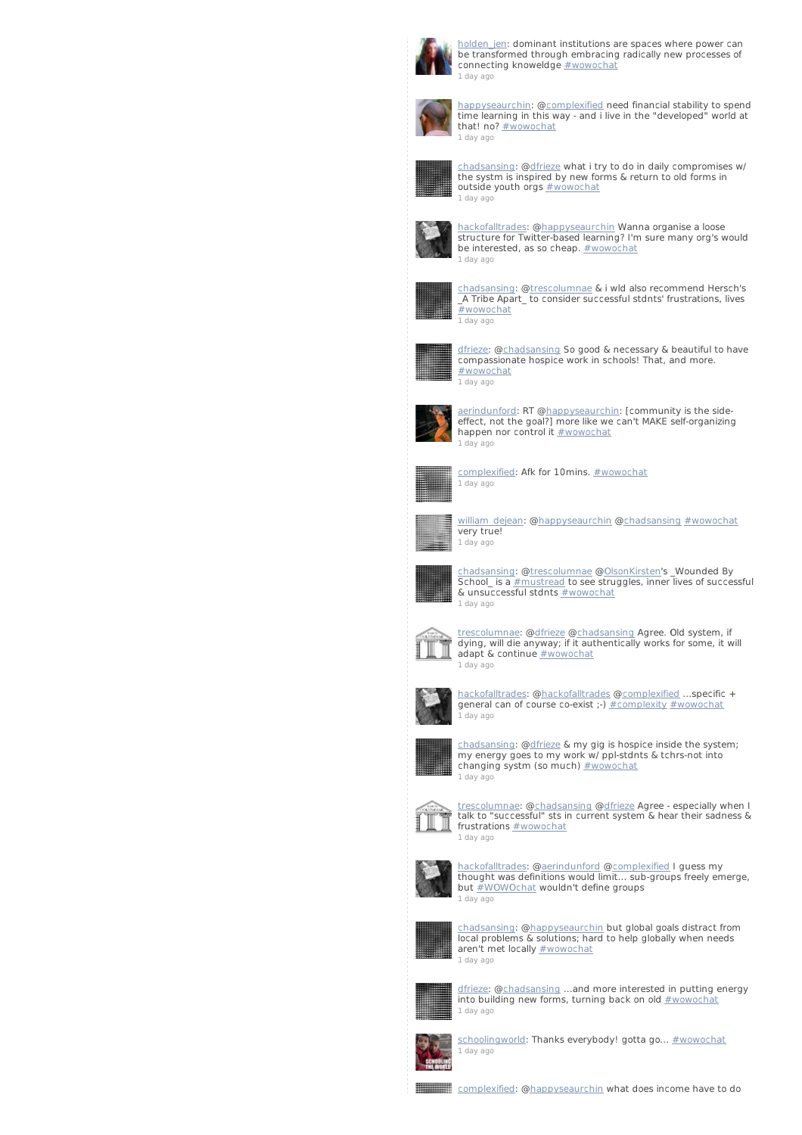

[holden\\_jen](http://twitter.com/holden_jen): dominant institutions are spaces where power can be transformed through embracing radically new processes of connecting knoweldge **[#wowochat](/reach?q=%23wowochat)** 1 [day](http://twitter.com/holden_jen/statuses/235864146938327040) ago



[happyseaurchin](http://twitter.com/happyseaurchin): [@complexified](http://twitter.com/complexified) need financial stability to spend time learning in this way - and i live in the "developed" world at that! no? [#wowochat](/reach?q=%23wowochat) 1 [day](http://twitter.com/happyseaurchin/statuses/235864096342413312) ago



[chadsansing](http://twitter.com/chadsansing): [@dfrieze](http://twitter.com/dfrieze) what i try to do in daily compromises w/ the systm is inspired by new forms & return to old forms in outside youth orgs **[#wowochat](/reach?q=%23wowochat)** 1 [day](http://twitter.com/chadsansing/statuses/235863751411245056) ago



[hackofalltrades](http://twitter.com/hackofalltrades): @[happyseaurchin](http://twitter.com/happyseaurchin) Wanna organise a loose structure for Twitter-based learning? I'm sure many org's would be interested, as so cheap. [#wowochat](/reach?q=%23wowochat) 1 [day](http://twitter.com/hackofalltrades/statuses/235863522326757376) ago



[chadsansing](http://twitter.com/chadsansing): [@trescolumnae](http://twitter.com/trescolumnae) & i wld also recommend Hersch's \_A Tribe Apart\_ to consider successful stdnts' frustrations, lives [#wowochat](/reach?q=%23wowochat) 1 [day](http://twitter.com/chadsansing/statuses/235863470757785600) ago



[dfrieze](http://twitter.com/dfrieze): [@chadsansing](http://twitter.com/chadsansing) So good & necessary & beautiful to have compassionate hospice work in schools! That, and more. [#wowochat](/reach?q=%23wowochat) 1 [day](http://twitter.com/dfrieze/statuses/235863433751441408) ago



[aerindunford](http://twitter.com/aerindunford): RT [@happyseaurchin](http://twitter.com/happyseaurchin): [community is the side-effect, not the goal?] more like we can't MAKE self-organizing happen nor control it **[#wowochat](/reach?q=%23wowochat)** 1 [day](http://twitter.com/aerindunford/statuses/235863369679241216) ago



[complexified](http://twitter.com/complexified): Afk for 10mins. [#wowochat](/reach?q=%23wowochat) 1 [day](http://twitter.com/complexified/statuses/235863281456250880) ago



[william\\_dejean](http://twitter.com/william_dejean): [@happyseaurchin](http://twitter.com/happyseaurchin) [@chadsansing](http://twitter.com/chadsansing) [#wowochat](/reach?q=%23wowochat) very true! 1 [day](http://twitter.com/william_dejean/statuses/235863227232305153) ago



[chadsansing](http://twitter.com/chadsansing): [@trescolumnae](http://twitter.com/trescolumnae) [@OlsonKirsten](http://twitter.com/OlsonKirsten)'s \_Wounded By School\_ is a [#mustread](/reach?q=%23mustread) to see struggles, inner lives of successful & unsuccessful stdnts [#wowochat](/reach?q=%23wowochat) 1 [day](http://twitter.com/chadsansing/statuses/235863170282045440) ago



[trescolumnae](http://twitter.com/trescolumnae): [@dfrieze](http://twitter.com/dfrieze) [@chadsansing](http://twitter.com/chadsansing) Agree. Old system, if dying, will die anyway; if it authentically works for some, it will adapt & continue **[#wowochat](/reach?q=%23wowochat)** 1 [day](http://twitter.com/trescolumnae/statuses/235863068054278145) ago



[hackofalltrades](http://twitter.com/hackofalltrades): @[hackofalltrades](http://twitter.com/hackofalltrades) [@complexified](http://twitter.com/complexified) ...specific + general can of course co-exist ;-) [#complexity](/reach?q=%23complexity) [#wowochat](/reach?q=%23wowochat) 1 [day](http://twitter.com/hackofalltrades/statuses/235863001004113921) ago



[chadsansing](http://twitter.com/chadsansing): [@dfrieze](http://twitter.com/dfrieze) & my gig is hospice inside the system; my energy goes to my work w/ ppl-stdnts & tchrs-not into changing systm (so much) [#wowochat](/reach?q=%23wowochat) 1 [day](http://twitter.com/chadsansing/statuses/235862881567121408) ago



[trescolumnae](http://twitter.com/trescolumnae): [@chadsansing](http://twitter.com/chadsansing) [@dfrieze](http://twitter.com/dfrieze) Agree - especially when I talk to "successful" sts in current system & hear their sadness & frustrations **[#wowochat](/reach?q=%23wowochat)** 1 [day](http://twitter.com/trescolumnae/statuses/235862747219390465) ago



[hackofalltrades](http://twitter.com/hackofalltrades): @[aerindunford](http://twitter.com/aerindunford) [@complexified](http://twitter.com/complexified) I guess my thought was definitions would limit... sub-groups freely emerge, but  $\frac{\text{*WOWOchat}}{\text{w0W0ch}}$  wouldn't define groups 1 [day](http://twitter.com/hackofalltrades/statuses/235862744967032833) ago



[chadsansing](http://twitter.com/chadsansing): [@happyseaurchin](http://twitter.com/happyseaurchin) but global goals distract from **Character Manual Constitutions** and the solutions; hard to help globally when needs aren't met locally [#wowochat](/reach?q=%23wowochat) 1 [day](http://twitter.com/chadsansing/statuses/235862666416119808) ago



<u>[dfrieze](http://twitter.com/dfrieze)</u>: @<u>chadsansing</u> ...and more interested in putting energy<br>into building new forms, turning back on old <u>[#wowochat](/reach?q=%23wowochat)</u> 1 [day](http://twitter.com/dfrieze/statuses/235862643687186432) ago



[schoolingworld](http://twitter.com/schoolingworld): Thanks everybody! gotta go...  $\#$ wowochat 1 [day](http://twitter.com/schoolingworld/statuses/235862610296315904) ago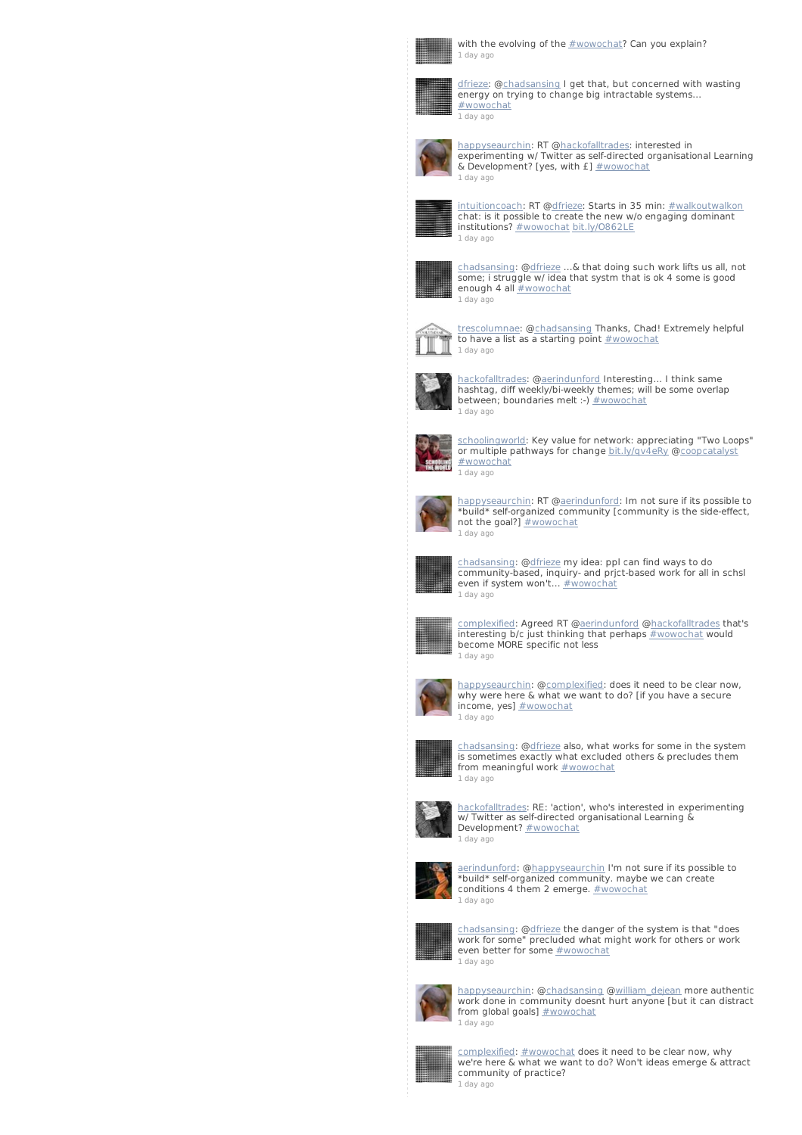

with the evolving of the **[#wowochat](/reach?q=%23wowochat)?** Can you explain? 1 [day](http://twitter.com/complexified/statuses/235862569749987328) ago



[dfrieze](http://twitter.com/dfrieze): [@chadsansing](http://twitter.com/chadsansing) I get that, but concerned with wasting energy on trying to change big intractable systems... [#wowochat](/reach?q=%23wowochat) 1 [day](http://twitter.com/dfrieze/statuses/235862525412007936) ago



[happyseaurchin](http://twitter.com/happyseaurchin): RT [@hackofalltrades](http://twitter.com/hackofalltrades): interested in experimenting w/ Twitter as self-directed organisational Learning & Development? [yes, with  $f$ ]  $\#$ wowochat 1 [day](http://twitter.com/happyseaurchin/statuses/235862486404964352) ago



<u>[intuitioncoach](http://twitter.com/intuitioncoach)</u>: RT @<u>dfrieze</u>: Starts in 35 min: <u>[#walkoutwalkon](/reach?q=%23walkoutwalkon)</u><br>chat: is it possible to create the new w/o engaging dominant institutions? [#wowochat](/reach?q=%23wowochat) [bit.ly/O862LE](http://t.co/HHN9IFSM) 1 [day](http://twitter.com/intuitioncoach/statuses/235862445682470914) ago



[chadsansing](http://twitter.com/chadsansing): [@dfrieze](http://twitter.com/dfrieze) ...& that doing such work lifts us all, not some; i struggle w/ idea that systm that is ok 4 some is good enough 4 all **[#wowochat](/reach?q=%23wowochat)** 1 [day](http://twitter.com/chadsansing/statuses/235862292036726785) ago



[trescolumnae](http://twitter.com/trescolumnae): [@chadsansing](http://twitter.com/chadsansing) Thanks, Chad! Extremely helpful to have a list as a starting point [#wowochat](/reach?q=%23wowochat) 1 [day](http://twitter.com/trescolumnae/statuses/235862206955270144) ago



[hackofalltrades](http://twitter.com/hackofalltrades): @[aerindunford](http://twitter.com/aerindunford) Interesting... I think same hashtag, diff weekly/bi-weekly themes; will be some overlap between; boundaries melt :-)  $\#$ wowochat 1 [day](http://twitter.com/hackofalltrades/statuses/235862186210234368) ago



[schoolingworld](http://twitter.com/schoolingworld): Key value for network: appreciating "Two Loops" or multiple pathways for change [bit.ly/qv4eRy](http://t.co/yyj2xEJU) [@coopcatalyst](http://twitter.com/coopcatalyst) [#wowochat](/reach?q=%23wowochat) 1 [day](http://twitter.com/schoolingworld/statuses/235862147740078081) ago



[happyseaurchin](http://twitter.com/happyseaurchin): RT @<u>aerindunford</u>: Im not sure if its possible to<br>\*build\* self-organized community [community is the side-effect,<br>not the goal?] <u>[#wowochat](/reach?q=%23wowochat)</u> 1 [day](http://twitter.com/happyseaurchin/statuses/235862122586857472) ago



[chadsansing](http://twitter.com/chadsansing): [@dfrieze](http://twitter.com/dfrieze) my idea: ppl can find ways to do community-based, inquiry- and prjct-based work for all in schsl even if system won't... [#wowochat](/reach?q=%23wowochat) 1 [day](http://twitter.com/chadsansing/statuses/235861967707983872) ago



[complexified](http://twitter.com/complexified): Agreed RT [@aerindunford](http://twitter.com/aerindunford) [@hackofalltrades](http://twitter.com/hackofalltrades) that's interesting b/c just thinking that perhaps <u>[#wowochat](/reach?q=%23wowochat)</u> would<br>become MORE specific not less 1 [day](http://twitter.com/complexified/statuses/235861906928304128) ago



[happyseaurchin](http://twitter.com/happyseaurchin): [@complexified](http://twitter.com/complexified): does it need to be clear now, why were here & what we want to do? [if you have a secure income, yes]  $#wowochat$ 1 [day](http://twitter.com/happyseaurchin/statuses/235861824317317120) ago



[chadsansing](http://twitter.com/chadsansing): [@dfrieze](http://twitter.com/dfrieze) also, what works for some in the system is sometimes exactly what excluded others & precludes them from meaningful work [#wowochat](/reach?q=%23wowochat) 1 [day](http://twitter.com/chadsansing/statuses/235861675847327744) ago



[hackofalltrades](http://twitter.com/hackofalltrades): RE: 'action', who's interested in experimenting w/ Twitter as self-directed organisational Learning & Development? [#wowochat](/reach?q=%23wowochat) 1 [day](http://twitter.com/hackofalltrades/statuses/235861564450803712) ago



[aerindunford](http://twitter.com/aerindunford): [@happyseaurchin](http://twitter.com/happyseaurchin) I'm not sure if its possible to \*build\* self-organized community. maybe we can create conditions 4 them 2 emerge. [#wowochat](/reach?q=%23wowochat) 1 [day](http://twitter.com/aerindunford/statuses/235861559358930944) ago



[chadsansing](http://twitter.com/chadsansing): [@dfrieze](http://twitter.com/dfrieze) the danger of the system is that "does work for some" precluded what might work for others or work even better for some [#wowochat](/reach?q=%23wowochat) 1 [day](http://twitter.com/chadsansing/statuses/235861481000931328) ago



[happyseaurchin](http://twitter.com/happyseaurchin): [@chadsansing](http://twitter.com/chadsansing) [@william\\_dejean](http://twitter.com/william_dejean) more authentic work done in community doesnt hurt anyone [but it can distract from global goals] [#wowochat](/reach?q=%23wowochat) 1 [day](http://twitter.com/happyseaurchin/statuses/235861459224121345) ago



[complexified](http://twitter.com/complexified): [#wowochat](/reach?q=%23wowochat) does it need to be clear now, why we're here & what we want to do? Won't ideas emerge & attract community of practice? 1 [day](http://twitter.com/complexified/statuses/235861387786735616) ago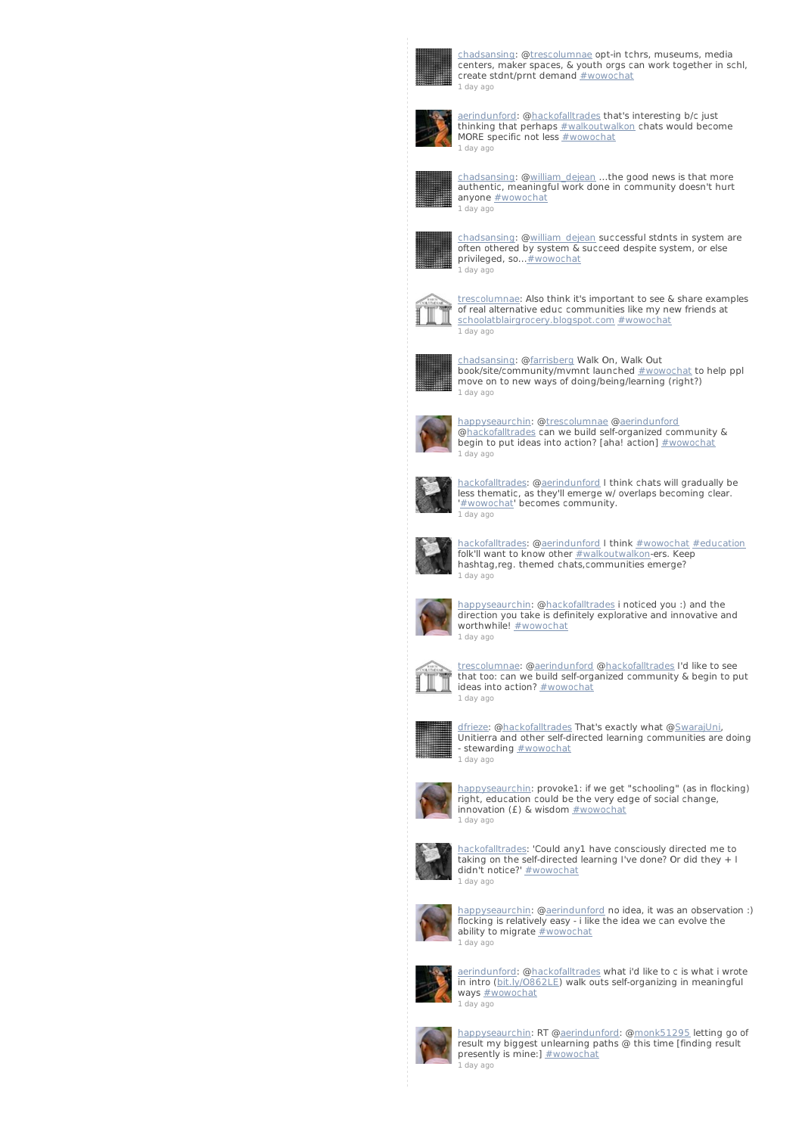

[chadsansing](http://twitter.com/chadsansing): [@trescolumnae](http://twitter.com/trescolumnae) opt-in tchrs, museums, media centers, maker spaces, & youth orgs can work together in schl, create stdnt/prnt demand [#wowochat](/reach?q=%23wowochat) 1 [day](http://twitter.com/chadsansing/statuses/235861256354033664) ago



[aerindunford](http://twitter.com/aerindunford): @<u>hackofalltrades</u> th**at's interesting b/c just**<br>thinking that perhaps <u>[#walkoutwalkon](/reach?q=%23walkoutwalkon)</u> chats would become<br>MORE specific not less <u>[#wowochat](/reach?q=%23wowochat)</u> 1 [day](http://twitter.com/aerindunford/statuses/235860897535520768) ago



[chadsansing](http://twitter.com/chadsansing): [@william\\_dejean](http://twitter.com/william_dejean) ...the good news is that more authentic, meaningful work done in community doesn't hurt anyone [#wowochat](/reach?q=%23wowochat) 1 [day](http://twitter.com/chadsansing/statuses/235860759781978112) ago



[chadsansing](http://twitter.com/chadsansing): [@william\\_dejean](http://twitter.com/william_dejean) successful stdnts in system are often othered by system & succeed despite system, or else privileged, so... **#wowochat** 1 [day](http://twitter.com/chadsansing/statuses/235860665619853312) ago



[trescolumnae](http://twitter.com/trescolumnae): Also think it's important to see & share examples of real alternative educ communities like my new friends at [schoolatblairgrocery.blogspot.com](http://t.co/vQHuXXBn) [#wowochat](/reach?q=%23wowochat) 1 [day](http://twitter.com/trescolumnae/statuses/235860631142666240) ago



[chadsansing](http://twitter.com/chadsansing): [@farrisberg](http://twitter.com/farrisberg) Walk On, Walk Out book/site/community/mvmnt launched [#wowochat](/reach?q=%23wowochat) to help ppl move on to new ways of doing/being/learning (right?) 1 [day](http://twitter.com/chadsansing/statuses/235860432504647682) ago



[happyseaurchin](http://twitter.com/happyseaurchin): [@trescolumnae](http://twitter.com/trescolumnae) [@aerindunford](http://twitter.com/aerindunford) [@hackofalltrades](http://twitter.com/hackofalltrades) can we build self-organized community & begin to put ideas into action? [aha! action] [#wowochat](/reach?q=%23wowochat) 1 [day](http://twitter.com/happyseaurchin/statuses/235860405413629953) ago



[hackofalltrades](http://twitter.com/hackofalltrades): @[aerindunford](http://twitter.com/aerindunford) I think chats will gradually be less thematic, as they'll emerge w/ overlaps becoming clear. '[#wowochat](/reach?q=%23wowochat)' becomes community. 1 [day](http://twitter.com/hackofalltrades/statuses/235860405371674625) ago



ackofalltrades: @[aerindunford](http://twitter.com/aerindunford) I think [#wowochat](/reach?q=%23wowochat) [#education](/reach?q=%23education) folk'll want to know other <u>[#walkoutwalkon](/reach?q=%23walkoutwalkon)</u>-ers. Keep<br>hashtag,reg. themed chats,communities emerge? 1 [day](http://twitter.com/hackofalltrades/statuses/235860029545271296) ago



[happyseaurchin](http://twitter.com/happyseaurchin): [@hackofalltrades](http://twitter.com/hackofalltrades) i noticed you :) and the direction you take is definitely explorative and innovative and worthwhile! **[#wowochat](/reach?q=%23wowochat)** 1 [day](http://twitter.com/happyseaurchin/statuses/235859940479209474) ago



[trescolumnae](http://twitter.com/trescolumnae): [@aerindunford](http://twitter.com/aerindunford) [@hackofalltrades](http://twitter.com/hackofalltrades) I'd like to see that too: can we build self-organized community & begin to put ideas into action? [#wowochat](/reach?q=%23wowochat) 1 [day](http://twitter.com/trescolumnae/statuses/235859865900285952) ago



<u>[dfrieze](http://twitter.com/dfrieze)</u>: @<u>hackofalltrades</u> That's exactly what @<u>[SwarajUni](http://twitter.com/SwarajUni)</u>,<br>Unitierra and other self-directed learning communities are doing - stewarding **[#wowochat](/reach?q=%23wowochat)** 1 [day](http://twitter.com/dfrieze/statuses/235859476446601216) ago



[happyseaurchin](http://twitter.com/happyseaurchin): provoke1: if we get "schooling" (as in flocking) right, education could be the very edge of social change, innovation (£) & wisdom [#wowochat](/reach?q=%23wowochat) 1 [day](http://twitter.com/happyseaurchin/statuses/235859391688085505) ago



[hackofalltrades](http://twitter.com/hackofalltrades): 'Could any1 have consciously directed me to taking on the self-directed learning I've done? Or did they + I didn't notice?' [#wowochat](/reach?q=%23wowochat) 1 [day](http://twitter.com/hackofalltrades/statuses/235858907162087425) ago



[happyseaurchin](http://twitter.com/happyseaurchin): [@aerindunford](http://twitter.com/aerindunford) no idea, it was an observation :) flocking is relatively easy - i like the idea we can evolve the ability to migrate **[#wowochat](/reach?q=%23wowochat)** 1 [day](http://twitter.com/happyseaurchin/statuses/235858787125301248) ago



[aerindunford](http://twitter.com/aerindunford): [@hackofalltrades](http://twitter.com/hackofalltrades) what i'd like to c is what i wrote in intro [\(bit.ly/O862LE](http://t.co/fI5mmEDA)) walk outs self-organizing in meaningful ways **[#wowochat](/reach?q=%23wowochat)** 1 [day](http://twitter.com/aerindunford/statuses/235858761636528128) ago



[happyseaurchin](http://twitter.com/happyseaurchin): RT [@aerindunford](http://twitter.com/aerindunford): [@monk51295](http://twitter.com/monk51295) letting go of result my biggest unlearning paths @ this time [finding result presently is mine:] **[#wowochat](/reach?q=%23wowochat)** 1 [day](http://twitter.com/happyseaurchin/statuses/235858124806946816) ago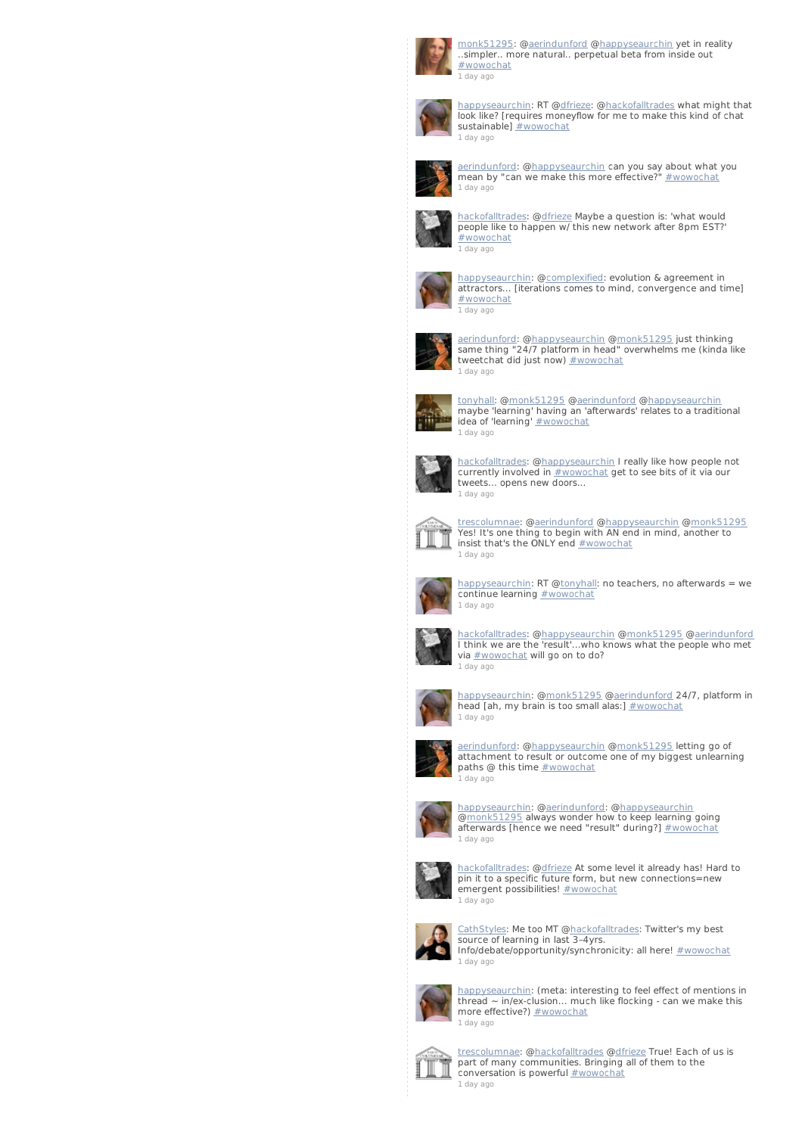

[monk51295](http://twitter.com/monk51295): [@aerindunford](http://twitter.com/aerindunford) [@happyseaurchin](http://twitter.com/happyseaurchin) yet in reality ..simpler.. more natural.. perpetual beta from inside out [#wowochat](/reach?q=%23wowochat) 1 [day](http://twitter.com/monk51295/statuses/235857639710535680) ago



[happyseaurchin](http://twitter.com/happyseaurchin): RT [@dfrieze](http://twitter.com/dfrieze): [@hackofalltrades](http://twitter.com/hackofalltrades) what might that look like? [requires moneyflow for me to make this kind of chat sustainable] [#wowochat](/reach?q=%23wowochat) 1 [day](http://twitter.com/happyseaurchin/statuses/235857360420212736) ago



[aerindunford](http://twitter.com/aerindunford): [@happyseaurchin](http://twitter.com/happyseaurchin) can you say about what you<br>mean by "can we make this more effective?" <u>[#wowochat](/reach?q=%23wowochat)</u> 1 [day](http://twitter.com/aerindunford/statuses/235857290496987136) ago



[hackofalltrades](http://twitter.com/hackofalltrades): @[dfrieze](http://twitter.com/dfrieze) Maybe a question is: 'what would people like to happen w/ this new network after 8pm EST?' [#wowochat](/reach?q=%23wowochat) 1 [day](http://twitter.com/hackofalltrades/statuses/235857077002727425) ago



[happyseaurchin](http://twitter.com/happyseaurchin): [@complexified](http://twitter.com/complexified): evolution & agreement in attractors... [iterations comes to mind, convergence and time] [#wowochat](/reach?q=%23wowochat) 1 [day](http://twitter.com/happyseaurchin/statuses/235856923394719744) ago



[aerindunford](http://twitter.com/aerindunford): [@happyseaurchin](http://twitter.com/happyseaurchin) [@monk51295](http://twitter.com/monk51295) just thinking same thing "24/7 platform in head" overwhelms me (kinda like tweetchat did just now)  $\frac{\text{#wowochat}}{\text{#wowochat}}$  $\frac{\text{#wowochat}}{\text{#wowochat}}$  $\frac{\text{#wowochat}}{\text{#wowochat}}$ 1 [day](http://twitter.com/aerindunford/statuses/235856907485724672) ago



[tonyhall](http://twitter.com/tonyhall): [@monk51295](http://twitter.com/monk51295) [@aerindunford](http://twitter.com/aerindunford) [@happyseaurchin](http://twitter.com/happyseaurchin) maybe 'learning' having an 'afterwards' relates to a traditional<br>idea of 'learning' <u>[#wowochat](/reach?q=%23wowochat)</u> 1 [day](http://twitter.com/tonyhall/statuses/235856773993619456) ago



[hackofalltrades](http://twitter.com/hackofalltrades): @[happyseaurchin](http://twitter.com/happyseaurchin) I really like how people not currently involved in  $\frac{\text{#wowochat}}{\text{#yowochat}}$  $\frac{\text{#wowochat}}{\text{#yowochat}}$  $\frac{\text{#wowochat}}{\text{#yowochat}}$  get to see bits of it via our tweets... opens new doors... 1 [day](http://twitter.com/hackofalltrades/statuses/235856760127246336) ago



[trescolumnae](http://twitter.com/trescolumnae): [@aerindunford](http://twitter.com/aerindunford) [@happyseaurchin](http://twitter.com/happyseaurchin) [@monk51295](http://twitter.com/monk51295) Yes! It's one thing to begin with AN end in mind, another to insist that's the ONLY end **[#wowochat](/reach?q=%23wowochat)** 1 [day](http://twitter.com/trescolumnae/statuses/235856655336751106) ago



[happyseaurchin](http://twitter.com/happyseaurchin): RT [@tonyhal](http://twitter.com/tonyhall)l: no teachers, no afterwards = we continue learning [#wowochat](/reach?q=%23wowochat) 1 [day](http://twitter.com/happyseaurchin/statuses/235856630804271104) ago



[hackofalltrades](http://twitter.com/hackofalltrades): @[happyseaurchin](http://twitter.com/happyseaurchin) [@monk51295](http://twitter.com/monk51295) [@aerindunford](http://twitter.com/aerindunford) I think we are the 'result'...who knows what the people who met via [#wowochat](/reach?q=%23wowochat) will go on to do? 1 [day](http://twitter.com/hackofalltrades/statuses/235856451967537152) ago



[happyseaurchin](http://twitter.com/happyseaurchin): [@monk51295](http://twitter.com/monk51295) @[aerindunford](http://twitter.com/aerindunford) 24/7, platform in head [ah, my brain is too small alas:] [#wowochat](/reach?q=%23wowochat) 1 [day](http://twitter.com/happyseaurchin/statuses/235856285038440448) ago



[aerindunford](http://twitter.com/aerindunford): [@happyseaurchin](http://twitter.com/happyseaurchin) [@monk51295](http://twitter.com/monk51295) letting go of attachment to result or outcome one of my biggest unlearning paths @ this time **[#wowochat](/reach?q=%23wowochat)** .<br>1 [day](http://twitter.com/aerindunford/statuses/235856214037262337) ago



[happyseaurchin](http://twitter.com/happyseaurchin): [@aerindunford](http://twitter.com/aerindunford): [@happyseaurchin](http://twitter.com/happyseaurchin)<br>@<u>monk51295</u> always wonder how to keep learning going afterwards [hence we need "result" during?]  $\#$ wowochat 1 [day](http://twitter.com/happyseaurchin/statuses/235855875468840960) ago



[hackofalltrades](http://twitter.com/hackofalltrades): @[dfrieze](http://twitter.com/dfrieze) At some level it already has! Hard to pin it to a specific future form, but new connections=new emergent possibilities! [#wowochat](/reach?q=%23wowochat) 1 [day](http://twitter.com/hackofalltrades/statuses/235855838911295488) ago



[CathStyles](http://twitter.com/CathStyles): Me too MT @<u>hackofalltrades</u>: Twitter's my best<br>source of learning in last 3–4yrs.<br>Info/debate/opportunity/synchronicity: all here! <u>[#wowochat](/reach?q=%23wowochat)</u> 1 [day](http://twitter.com/CathStyles/statuses/235855398626787329) ago



[happyseaurchin](http://twitter.com/happyseaurchin): (meta: interesting to feel effect of mentions in thread ~ in/ex-clusion... much like flocking - can we make this<br>more effective?) <u>[#wowochat](/reach?q=%23wowochat)</u> 1 [day](http://twitter.com/happyseaurchin/statuses/235855365009453056) ago



[trescolumnae](http://twitter.com/trescolumnae): [@hackofalltrades](http://twitter.com/hackofalltrades) [@dfrieze](http://twitter.com/dfrieze) True! Each of us is part of many communities. Bringing all of them to the conversation is powerful **[#wowochat](/reach?q=%23wowochat)** 1 [day](http://twitter.com/trescolumnae/statuses/235855152098197505) ago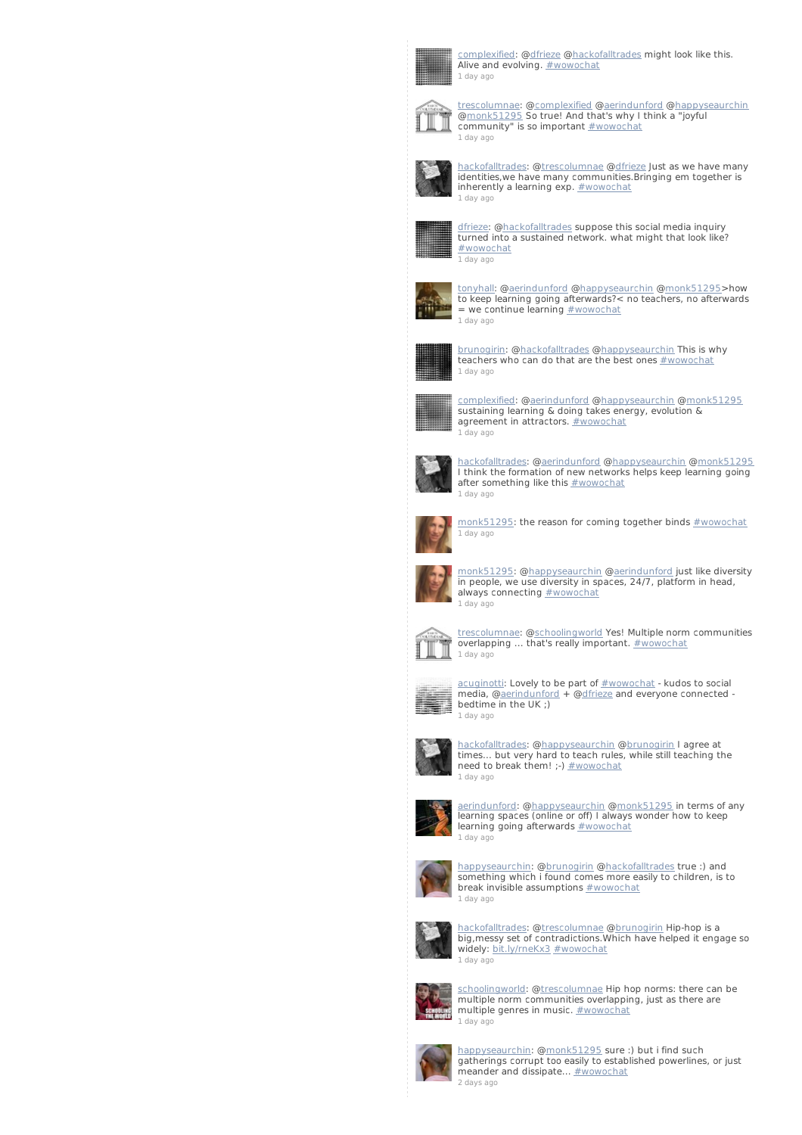

[complexified](http://twitter.com/complexified): [@dfrieze](http://twitter.com/dfrieze) [@hackofalltrades](http://twitter.com/hackofalltrades) might look like this. Alive and evolving. [#wowochat](/reach?q=%23wowochat) 1 [day](http://twitter.com/complexified/statuses/235855004701970433) ago



[trescolumnae](http://twitter.com/trescolumnae): [@complexified](http://twitter.com/complexified) [@aerindunford](http://twitter.com/aerindunford) @[happyseaurchin](http://twitter.com/happyseaurchin)<br>@<u>monk51295</u> So true! And that's why I think a "joyful<br>community" is so important <u>[#wowochat](/reach?q=%23wowochat)</u> 1 [day](http://twitter.com/trescolumnae/statuses/235854916244103168) ago



[hackofalltrades](http://twitter.com/hackofalltrades): @[trescolumnae](http://twitter.com/trescolumnae) [@dfrieze](http://twitter.com/dfrieze) Just as we have many identities,we have many communities.Bringing em together is inherently a learning  $exp.$   $#$ *wowochat* 1 [day](http://twitter.com/hackofalltrades/statuses/235854803111120897) ago



[dfrieze](http://twitter.com/dfrieze): [@hackofalltrades](http://twitter.com/hackofalltrades) suppose this social media inquiry turned into a sustained network. what might that look like? [#wowochat](/reach?q=%23wowochat) 1 [day](http://twitter.com/dfrieze/statuses/235854609929891840) ago



[tonyhall](http://twitter.com/tonyhall): [@aerindunford](http://twitter.com/aerindunford) [@happyseaurchin](http://twitter.com/happyseaurchin) [@monk51295](http://twitter.com/monk51295)>how to keep learning going afterwards?< no teachers, no afterwards  $=$  we continue learning  $#$ wowochat 1 [day](http://twitter.com/tonyhall/statuses/235854599653818368) ago



[brunogirin](http://twitter.com/brunogirin): @<u>hackofalltrades</u> @<u>happyseaurchin</u> This is why<br>teachers who can do that are the best ones <u>[#wowochat](/reach?q=%23wowochat)</u> 1 [day](http://twitter.com/brunogirin/statuses/235854552753139713) ago



[complexified](http://twitter.com/complexified): [@aerindunford](http://twitter.com/aerindunford) [@happyseaurchin](http://twitter.com/happyseaurchin) [@monk51295](http://twitter.com/monk51295) sustaining learning & doing takes energy, evolution & agreement in attractors.  $\frac{\# {\tt wowochat}}{}$ 1 [day](http://twitter.com/complexified/statuses/235854185575358464) ago



[hackofalltrades](http://twitter.com/hackofalltrades): @[aerindunford](http://twitter.com/aerindunford) [@happyseaurchin](http://twitter.com/happyseaurchin) [@monk51295](http://twitter.com/monk51295) I think the formation of new networks helps keep learning going after something like this **[#wowochat](/reach?q=%23wowochat)** 1 [day](http://twitter.com/hackofalltrades/statuses/235854153916764161) ago



[monk51295](http://twitter.com/monk51295): the reason for coming together binds  $\#$ wowochat 1 [day](http://twitter.com/monk51295/statuses/235854144508919808) ago



[monk51295](http://twitter.com/monk51295): [@happyseaurchin](http://twitter.com/happyseaurchin) @[aerindunford](http://twitter.com/aerindunford) just like diversity in people, we use diversity in spaces, 24/7, platform in head, always connecting **[#wowochat](/reach?q=%23wowochat)** 1 [day](http://twitter.com/monk51295/statuses/235853980687814656) ago



t<u>rescolumnae</u>: @<u>schoolingworld</u> Yes! Multiple norm communities<br>overlapping ... that's really important. <u>[#wowochat](/reach?q=%23wowochat)</u> 1 [day](http://twitter.com/trescolumnae/statuses/235853971380645888) ago



 $acuginotti$ : Lovely to be part of  $#wowochat$  - kudos to social media, @<u>aerindunford</u> + @<u>dfrieze</u> and everyone connected -<br>bedtime in the UK ;) 1 [day](http://twitter.com/acuginotti/statuses/235853885003157505) ago



[hackofalltrades](http://twitter.com/hackofalltrades): @[happyseaurchin](http://twitter.com/happyseaurchin) [@brunogirin](http://twitter.com/brunogirin) I agree at times... but very hard to teach rules, while still teaching the need to break them! ;-)  $\frac{\# wowochat}{\# wawachat}$ 1 [day](http://twitter.com/hackofalltrades/statuses/235853827608285186) ago



[aerindunford](http://twitter.com/aerindunford): [@happyseaurchin](http://twitter.com/happyseaurchin) [@monk51295](http://twitter.com/monk51295) in terms of any learning spaces (online or off) I always wonder how to keep learning going afterwards **[#wowochat](/reach?q=%23wowochat)** 1 [day](http://twitter.com/aerindunford/statuses/235853527191261185) ago



[happyseaurchin](http://twitter.com/happyseaurchin): [@brunogirin](http://twitter.com/brunogirin) [@hackofalltrades](http://twitter.com/hackofalltrades) true :) and something which i found comes more easily to children, is to break invisible assumptions  $\frac{\text{#wowochat}}{\text{#wowochat}}$  $\frac{\text{#wowochat}}{\text{#wowochat}}$  $\frac{\text{#wowochat}}{\text{#wowochat}}$ 1 [day](http://twitter.com/happyseaurchin/statuses/235853353698070529) ago



[hackofalltrades](http://twitter.com/hackofalltrades): @<u>[trescolumnae](http://twitter.com/trescolumnae)</u> @<u>brunogirin</u> Hip-hop is a<br>big,messy set of contradictions.Which have helped it engage so widely: [bit.ly/rneKx3](http://t.co/3qIN1IbA) [#wowochat](/reach?q=%23wowochat) 1 [day](http://twitter.com/hackofalltrades/statuses/235853189604315137) ago



<u>[schoolingworld](http://twitter.com/schoolingworld)</u>: @<u>trescolumnae</u> Hip hop norms: there can be<br>multiple norm communities overlapping, just as there are multiple genres in music. [#wowochat](/reach?q=%23wowochat) 1 [day](http://twitter.com/schoolingworld/statuses/235852964684767233) ago



[happyseaurchin](http://twitter.com/happyseaurchin): [@monk51295](http://twitter.com/monk51295) sure :) but i find such<br>gatherings corrupt too easily to established powerlines, or just<br>meander and dissipate... <u>[#wowochat](/reach?q=%23wowochat)</u> 2 [days](http://twitter.com/happyseaurchin/statuses/235852620206596096) ago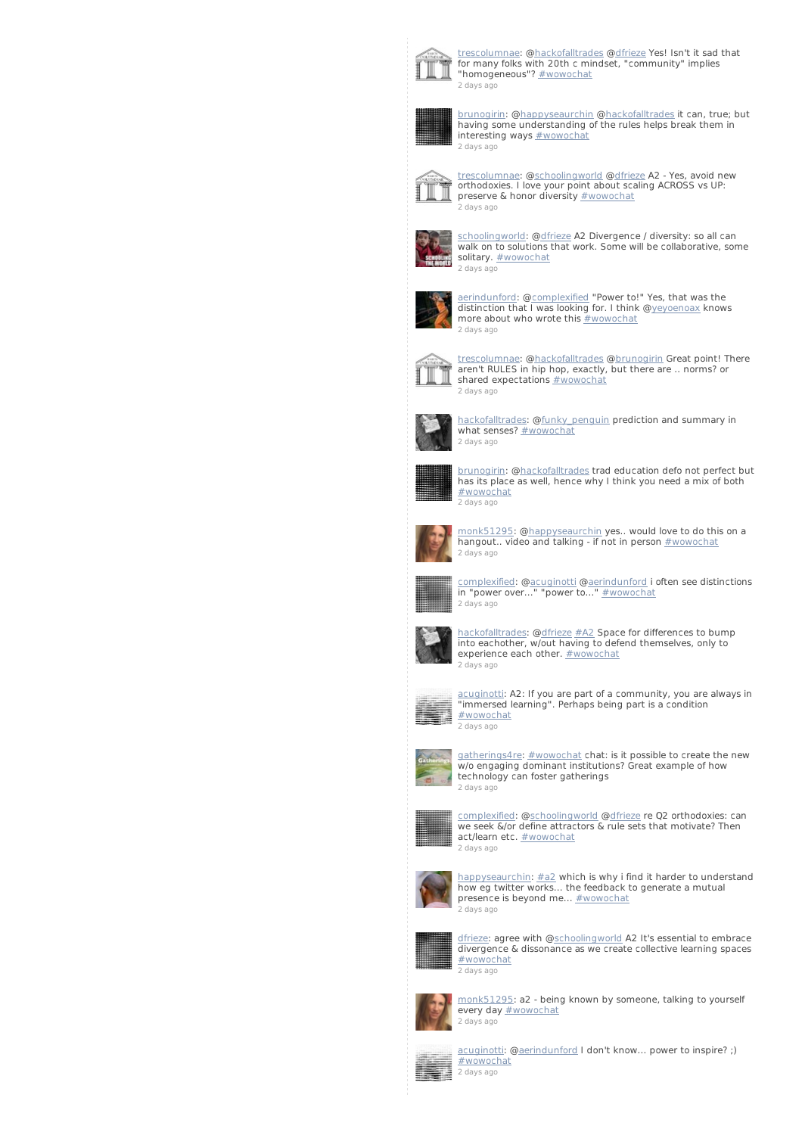

[trescolumnae](http://twitter.com/trescolumnae): [@hackofalltrades](http://twitter.com/hackofalltrades) [@dfrieze](http://twitter.com/dfrieze) Yes! Isn't it sad that for many folks with 20th c mindset, "community" implies "homogeneous"? [#wowochat](/reach?q=%23wowochat) 2 [days](http://twitter.com/trescolumnae/statuses/235852576770379776) ago



[brunogirin](http://twitter.com/brunogirin): [@happyseaurchin](http://twitter.com/happyseaurchin) [@hackofalltrades](http://twitter.com/hackofalltrades) it can, true; but having some understanding of the rules helps break them in interesting ways **[#wowochat](/reach?q=%23wowochat)** 2 [days](http://twitter.com/brunogirin/statuses/235852567505166336) ago



[trescolumnae](http://twitter.com/trescolumnae): [@schoolingworld](http://twitter.com/schoolingworld) [@dfrieze](http://twitter.com/dfrieze) A2 - Yes, avoid new orthodoxies. I love your point about scaling ACROSS vs UP: preserve & honor diversity [#wowochat](/reach?q=%23wowochat) 2 [days](http://twitter.com/trescolumnae/statuses/235852205129879552) ago



[schoolingworld](http://twitter.com/schoolingworld): [@dfrieze](http://twitter.com/dfrieze) A2 Divergence / diversity: so all can walk on to solutions that work. Some will be collaborative, some solitary. **[#wowochat](/reach?q=%23wowochat)** 2 [days](http://twitter.com/schoolingworld/statuses/235852180899393536) ago



[aerindunford](http://twitter.com/aerindunford): [@complexified](http://twitter.com/complexified) "Power to!" Yes, that was the distinction that I was looking for. I think [@yeyoenoax](http://twitter.com/yeyoenoax) knows more about who wrote this **[#wowochat](/reach?q=%23wowochat)** 2 [days](http://twitter.com/aerindunford/statuses/235852073705545729) ago



[trescolumnae](http://twitter.com/trescolumnae): [@hackofalltrades](http://twitter.com/hackofalltrades) [@brunogirin](http://twitter.com/brunogirin) Great point! There aren't RULES in hip hop, exactly, but there are .. norms? or shared expectations **[#wowochat](/reach?q=%23wowochat)** 2 [days](http://twitter.com/trescolumnae/statuses/235851915173457921) ago



[hackofalltrades](http://twitter.com/hackofalltrades): @[funky\\_penguin](http://twitter.com/funky_penguin) prediction and summary in what senses? [#wowochat](/reach?q=%23wowochat) 2 [days](http://twitter.com/hackofalltrades/statuses/235851913755758592) ago



[brunogirin](http://twitter.com/brunogirin): [@hackofalltrades](http://twitter.com/hackofalltrades) trad education defo not perfect but has its place as well, hence why I think you need a mix of both [#wowochat](/reach?q=%23wowochat) 2 [days](http://twitter.com/brunogirin/statuses/235851701997936640) ago



[monk51295](http://twitter.com/monk51295): [@happyseaurchin](http://twitter.com/happyseaurchin) yes.. would love to do this on a hangout.. video and talking - if not in person [#wowochat](/reach?q=%23wowochat) 2 [days](http://twitter.com/monk51295/statuses/235851590454611968) ago



[complexified](http://twitter.com/complexified): [@acuginotti](http://twitter.com/acuginotti) [@aerindunford](http://twitter.com/aerindunford) i often see distinctions in "power over..." "power to..." [#wowochat](/reach?q=%23wowochat) 2 [days](http://twitter.com/complexified/statuses/235851530413174784) ago



[hackofalltrades](http://twitter.com/hackofalltrades): @[dfrieze](http://twitter.com/dfrieze) [#A2](/reach?q=%23A2) Space for differences to bump into eachother, w/out having to defend themselves, only to experience each other. [#wowochat](/reach?q=%23wowochat) 2 [days](http://twitter.com/hackofalltrades/statuses/235851380072538112) ago



[acuginotti](http://twitter.com/acuginotti): A2: If you are part of a community, you are always in "immersed learning". Perhaps being part is a condition [#wowochat](/reach?q=%23wowochat) 2 [days](http://twitter.com/acuginotti/statuses/235851379393052672) ago



[gatherings4re](http://twitter.com/gatherings4re): [#wowochat](/reach?q=%23wowochat) chat: is it possible to create the new w/o engaging dominant institutions? Great example of how technology can foster gatherings 2 [days](http://twitter.com/gatherings4re/statuses/235851297176289280) ago



[complexified](http://twitter.com/complexified): [@schoolingworld](http://twitter.com/schoolingworld) @[dfrieze](http://twitter.com/dfrieze) re Q2 orthodoxies: can we seek &/or define attractors & rule sets that motivate? Then act/learn etc. **[#wowochat](/reach?q=%23wowochat)** 2 [days](http://twitter.com/complexified/statuses/235851292038270976) ago



[happyseaurchin](http://twitter.com/happyseaurchin): [#a2](/reach?q=%23a2) which is why i find it harder to understand how eg twitter works... the feedback to generate a mutual presence is beyond me... **[#wowochat](/reach?q=%23wowochat)** 2 [days](http://twitter.com/happyseaurchin/statuses/235851122819100672) ago



[dfrieze](http://twitter.com/dfrieze): agree with [@schoolingworld](http://twitter.com/schoolingworld) A2 It's essential to embrace divergence & dissonance as we create collective learning spaces [#wowochat](/reach?q=%23wowochat) 2 [days](http://twitter.com/dfrieze/statuses/235850976031043585) ago



[monk51295](http://twitter.com/monk51295): a2 - being known by someone, talking to yourself every day [#wowochat](/reach?q=%23wowochat) 2 [days](http://twitter.com/monk51295/statuses/235850754513043456) ago



[acuginotti](http://twitter.com/acuginotti): [@aerindunford](http://twitter.com/aerindunford) I don't know... power to inspire? ;) [#wowochat](/reach?q=%23wowochat) 2 [days](http://twitter.com/acuginotti/statuses/235850662376779777) ago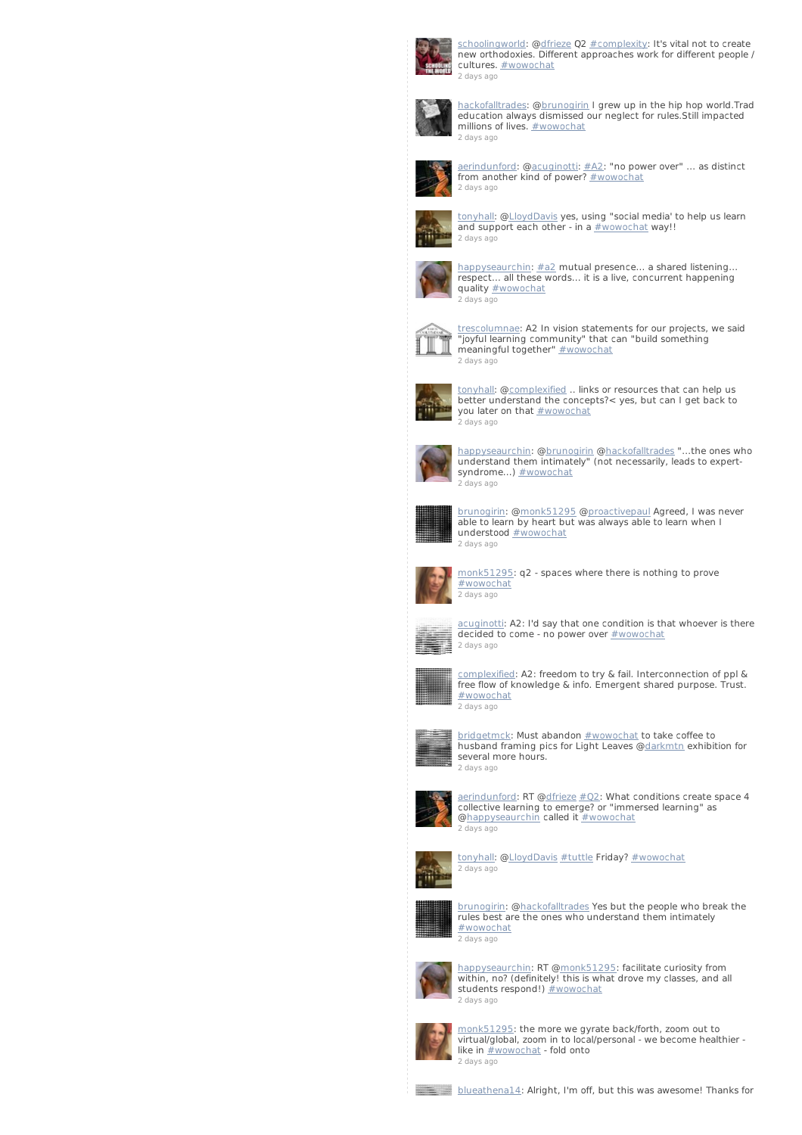

[schoolingworld](http://twitter.com/schoolingworld): [@dfrieze](http://twitter.com/dfrieze) Q2 [#complexity](/reach?q=%23complexity): It's vital not to create new orthodoxies. Different approaches work for different people / cultures. **[#wowochat](/reach?q=%23wowochat)** 2 [days](http://twitter.com/schoolingworld/statuses/235850623298465792) ago



[hackofalltrades](http://twitter.com/hackofalltrades): @[brunogirin](http://twitter.com/brunogirin) I grew up in the hip hop world.Trad education always dismissed our neglect for rules.Still impacted<br>millions of lives. <u>[#wowochat](/reach?q=%23wowochat)</u> 2 [days](http://twitter.com/hackofalltrades/statuses/235850614670757888) ago



[aerindunford](http://twitter.com/aerindunford): [@acuginotti](http://twitter.com/acuginotti): [#A2](/reach?q=%23A2): "no power over" ... as distinct<br>from another kind of power? <u>[#wowochat](/reach?q=%23wowochat)</u> 2 [days](http://twitter.com/aerindunford/statuses/235850432767987712) ago



[tonyhall](http://twitter.com/tonyhall): [@LloydDavis](http://twitter.com/LloydDavis) yes, using "social media' to help us learn and support each other - in a [#wowochat](/reach?q=%23wowochat) way!! 2 [days](http://twitter.com/tonyhall/statuses/235850171051823104) ago



[happyseaurchin](http://twitter.com/happyseaurchin): [#a2](/reach?q=%23a2) mutual presence... a shared listening... respect... all these words... it is a live, concurrent happening quality **[#wowochat](/reach?q=%23wowochat)** 2 [days](http://twitter.com/happyseaurchin/statuses/235850169533480961) ago



[trescolumnae](http://twitter.com/trescolumnae): A2 In vision statements for our projects, we said "joyful learning community" that can "build something meaningful together" [#wowochat](/reach?q=%23wowochat) 2 [days](http://twitter.com/trescolumnae/statuses/235849934866358272) ago



[tonyhall](http://twitter.com/tonyhall): [@complexified](http://twitter.com/complexified) .. links or resources that can help us better understand the concepts?< yes, but can I get back to you later on that **[#wowochat](/reach?q=%23wowochat)** 2 [days](http://twitter.com/tonyhall/statuses/235849650152828928) ago



[happyseaurchin](http://twitter.com/happyseaurchin): [@brunogirin](http://twitter.com/brunogirin) [@hackofalltrades](http://twitter.com/hackofalltrades) "...the ones who understand them intimately" (not necessarily, leads to expert-syndrome...) [#wowochat](/reach?q=%23wowochat) 2 [days](http://twitter.com/happyseaurchin/statuses/235849510067253248) ago



[brunogirin](http://twitter.com/brunogirin): [@monk51295](http://twitter.com/monk51295) [@proactivepaul](http://twitter.com/proactivepaul) Agreed, I was never able to learn by heart but was always able to learn when I understood **[#wowochat](/reach?q=%23wowochat)** 2 [days](http://twitter.com/brunogirin/statuses/235849497773760512) ago



[monk51295](http://twitter.com/monk51295): q2 - spaces where there is nothing to prove [#wowochat](/reach?q=%23wowochat) 2 [days](http://twitter.com/monk51295/statuses/235849469223116802) ago



[acuginotti](http://twitter.com/acuginotti): A2: I'd say that one condition is that whoever is there decided to come - no power over  $#$ wowochat 2 [days](http://twitter.com/acuginotti/statuses/235849343792455681) ago



[complexified](http://twitter.com/complexified): A2: freedom to try & fail. Interconnection of ppl & free flow of knowledge & info. Emergent shared purpose. Trust. [#wowochat](/reach?q=%23wowochat) 2 [days](http://twitter.com/complexified/statuses/235849204633829377) ago



<u>[bridgetmck](http://twitter.com/bridgetmck)</u>: Must abandon <u>[#wowochat](/reach?q=%23wowochat)</u> to take coffee to<br>husband framing pics for Light Leaves @<u>darkmtn</u> exhibition for several more hours. 2 [days](http://twitter.com/bridgetmck/statuses/235848977415811072) ago



[aerindunford](http://twitter.com/aerindunford): RT [@dfrieze](http://twitter.com/dfrieze) [#Q2](/reach?q=%23Q2): What conditions create space 4 collective learning to emerge? or "immersed learning" as [@happyseaurchin](http://twitter.com/happyseaurchin) called it [#wowochat](/reach?q=%23wowochat) 2 [days](http://twitter.com/aerindunford/statuses/235848965994717184) ago



[tonyhall](http://twitter.com/tonyhall): [@LloydDavis](http://twitter.com/LloydDavis) [#tuttle](/reach?q=%23tuttle) Friday? [#wowochat](/reach?q=%23wowochat) 2 [days](http://twitter.com/tonyhall/statuses/235848830946525185) ago



[brunogirin](http://twitter.com/brunogirin): [@hackofalltrades](http://twitter.com/hackofalltrades) Yes but the people who break the rules best are the ones who understand them intimately [#wowochat](/reach?q=%23wowochat) 2 [days](http://twitter.com/brunogirin/statuses/235848819047288832) ago



[happyseaurchin](http://twitter.com/happyseaurchin): RT [@monk51295](http://twitter.com/monk51295): facilitate curiosity from within, no? (definitely! this is what drove my classes, and all students respond!) [#wowochat](/reach?q=%23wowochat) 2 [days](http://twitter.com/happyseaurchin/statuses/235848810281197571) ago



[monk51295](http://twitter.com/monk51295): the more we gyrate back/forth, zoom out to virtual/global, zoom in to local/personal - we become healthier like in  $\frac{\text{#wowocht}}{}$  - fold onto 2 [days](http://twitter.com/monk51295/statuses/235848750273290240) ago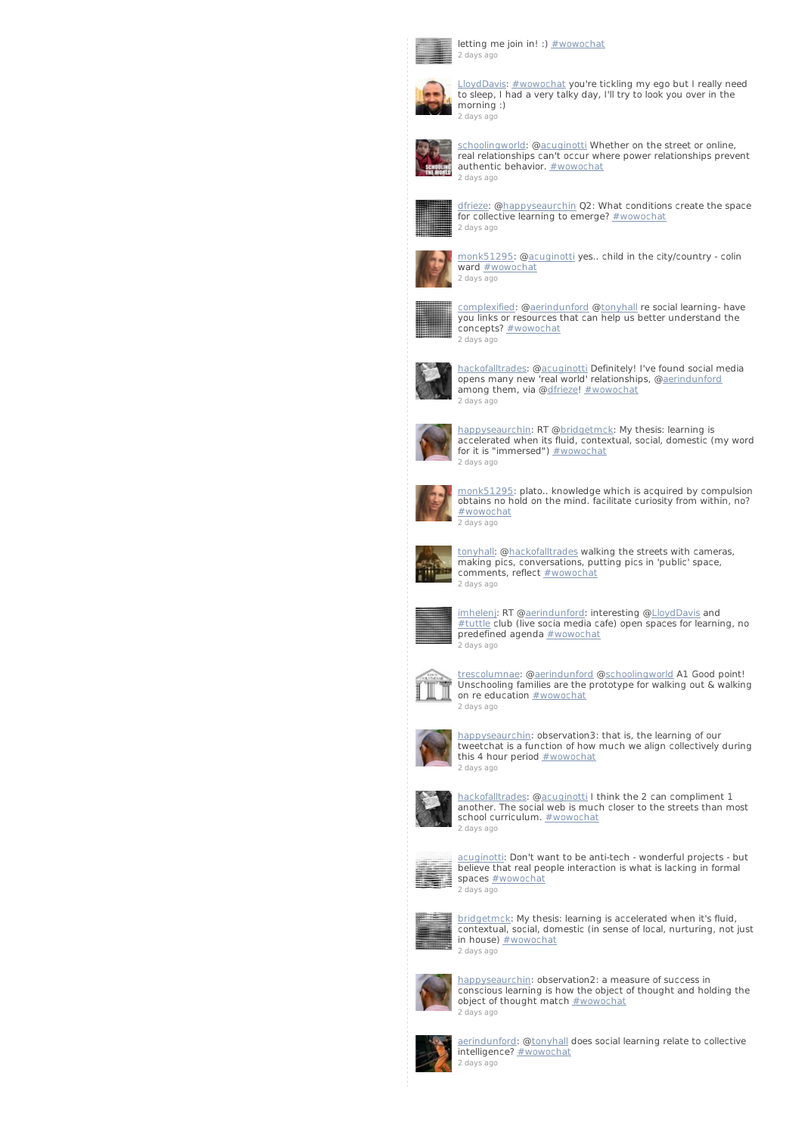

letting me join in! :) [#wowochat](/reach?q=%23wowochat) 2 [days](http://twitter.com/blueathena14/statuses/235848630018392064) ago



[LloydDavis](http://twitter.com/LloydDavis): [#wowochat](/reach?q=%23wowochat) you're tickling my ego but I really need to sleep, I had a very talky day, I'll try to look you over in the morning :) 2 [days](http://twitter.com/LloydDavis/statuses/235848545708679169) ago



[schoolingworld](http://twitter.com/schoolingworld): [@acuginotti](http://twitter.com/acuginotti) Whether on the street or online, real relationships can't occur where power relationships prevent authentic behavior. **[#wowochat](/reach?q=%23wowochat)** 2 [days](http://twitter.com/schoolingworld/statuses/235848501429424129) ago



[dfrieze](http://twitter.com/dfrieze): @<u>happyseaurchin</u> Q2: What conditions create the space<br>for collective learning to emerge? <u>[#wowochat](/reach?q=%23wowochat)</u> 2 [days](http://twitter.com/dfrieze/statuses/235848384345432064) ago



[monk51295](http://twitter.com/monk51295): [@acuginotti](http://twitter.com/acuginotti) yes.. child in the city/country - colin ward **[#wowochat](/reach?q=%23wowochat)** 2 [days](http://twitter.com/monk51295/statuses/235848236169056258) ago



[complexified](http://twitter.com/complexified): [@aerindunford](http://twitter.com/aerindunford) [@tonyhall](http://twitter.com/tonyhall) re social learning- have you links or resources that can help us better understand the concepts? **[#wowochat](/reach?q=%23wowochat)** 2 [days](http://twitter.com/complexified/statuses/235848125623967744) ago



[hackofalltrades](http://twitter.com/hackofalltrades): @[acuginotti](http://twitter.com/acuginotti) Definitely! I've found social media opens many new 'real world' relationships, [@aerindunford](http://twitter.com/aerindunford) among them, via [@dfrieze](http://twitter.com/dfrieze)! [#wowochat](/reach?q=%23wowochat) 2 [days](http://twitter.com/hackofalltrades/statuses/235847969189019648) ago



[happyseaurchin](http://twitter.com/happyseaurchin): RT @<u>bridgetmck</u>: My thesis: learning is<br>accelerated when its fluid, contextual, social, domestic (my word<br>for it is "immersed") <u>[#wowochat](/reach?q=%23wowochat)</u> 2 [days](http://twitter.com/happyseaurchin/statuses/235847893137891329) ago



[monk51295](http://twitter.com/monk51295): plato.. knowledge which is acquired by compulsion obtains no hold on the mind. facilitate curiosity from within, no? [#wowochat](/reach?q=%23wowochat) 2 [days](http://twitter.com/monk51295/statuses/235847890319314944) ago



[tonyhall](http://twitter.com/tonyhall): [@hackofalltrades](http://twitter.com/hackofalltrades) walking the streets with cameras, making pics, conversations, putting pics in 'public' space, comments, reflect **[#wowochat](/reach?q=%23wowochat)** 2 [days](http://twitter.com/tonyhall/statuses/235847845549322242) ago



imheleni: RT [@aerindunford](http://twitter.com/aerindunford): interesting [@LloydDavis](http://twitter.com/LloydDavis) and [#tuttle](/reach?q=%23tuttle) club (live socia media cafe) open spaces for learning, no predefined agenda **[#wowochat](/reach?q=%23wowochat)** 2 [days](http://twitter.com/imhelenj/statuses/235847724652716033) ago



[trescolumnae](http://twitter.com/trescolumnae): [@aerindunford](http://twitter.com/aerindunford) [@schoolingworld](http://twitter.com/schoolingworld) A1 Good point! Unschooling families are the prototype for walking out & walking on re education **[#wowochat](/reach?q=%23wowochat)** 2 [days](http://twitter.com/trescolumnae/statuses/235847692486574082) ago



[happyseaurchin](http://twitter.com/happyseaurchin): observation3: that is, the learning of our tweetchat is a function of how much we align collectively during this 4 hour period **[#wowochat](/reach?q=%23wowochat)** 2 [days](http://twitter.com/happyseaurchin/statuses/235847657732575233) ago



[hackofalltrades](http://twitter.com/hackofalltrades): @[acuginotti](http://twitter.com/acuginotti) I think the 2 can compliment 1 another. The social web is much closer to the streets than most school curriculum. [#wowochat](/reach?q=%23wowochat) 2 [days](http://twitter.com/hackofalltrades/statuses/235847601692487680) ago



cuginotti: Don't want to be anti-tech - wonderful projects - but believe that real people interaction is what is lacking in formal spaces [#wowochat](/reach?q=%23wowochat) 2 [days](http://twitter.com/acuginotti/statuses/235847465155305472) ago



[bridgetmck](http://twitter.com/bridgetmck): My thesis: learning is accelerated when it's fluid, contextual, social, domestic (in sense of local, nurturing, not just in house) [#wowochat](/reach?q=%23wowochat) 2 [days](http://twitter.com/bridgetmck/statuses/235847453004398592) ago



[happyseaurchin](http://twitter.com/happyseaurchin): observation2: a measure of success in conscious learning is how the object of thought and holding the object of thought match **[#wowochat](/reach?q=%23wowochat)** 2 [days](http://twitter.com/happyseaurchin/statuses/235847232283353090) ago



[aerindunford](http://twitter.com/aerindunford): [@tonyhall](http://twitter.com/tonyhall) does social learning relate to collective intelligence? [#wowochat](/reach?q=%23wowochat) 2 [days](http://twitter.com/aerindunford/statuses/235847050367991810) ago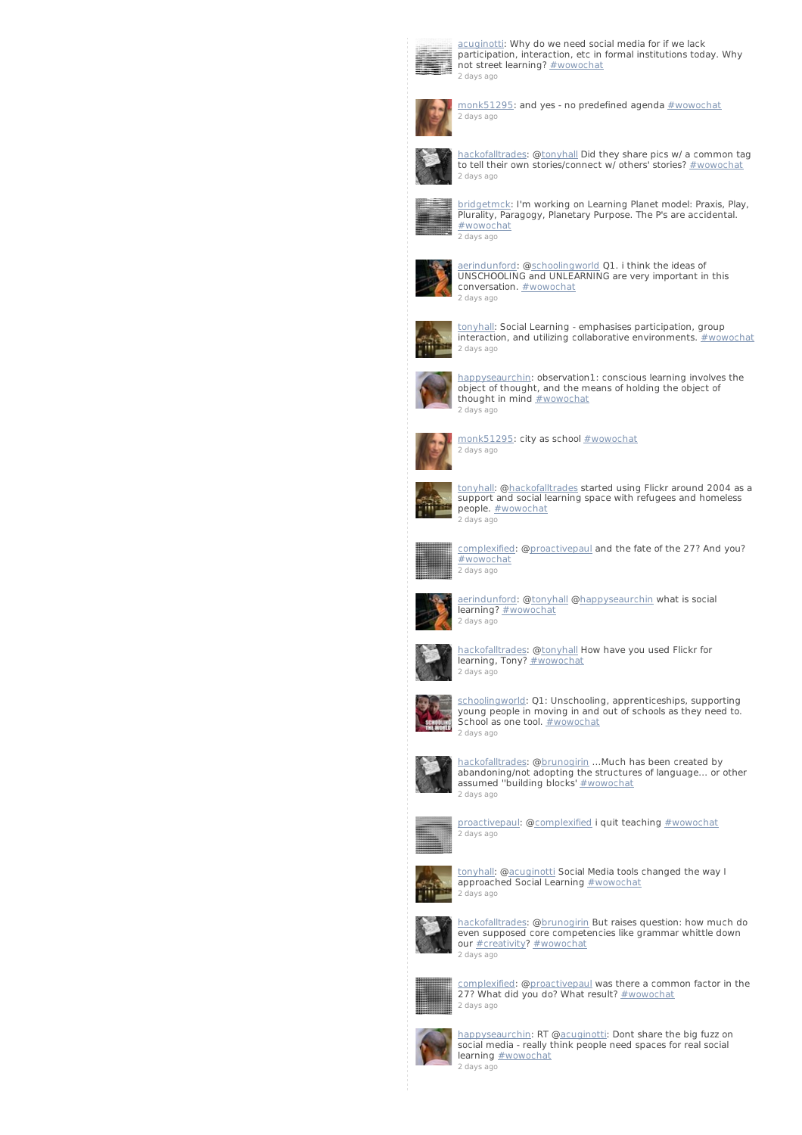

[acuginotti](http://twitter.com/acuginotti): Why do we need social media for if we lack participation, interaction, etc in formal institutions today. Why not street learning? [#wowochat](/reach?q=%23wowochat) 2 [days](http://twitter.com/acuginotti/statuses/235847045095751680) ago



[monk51295](http://twitter.com/monk51295): and yes - no predefined agenda [#wowochat](/reach?q=%23wowochat) 2 [days](http://twitter.com/monk51295/statuses/235846983116541952) ago



[hackofalltrades](http://twitter.com/hackofalltrades): @[tonyhall](http://twitter.com/tonyhall) Did they share pics w/ a common tag to tell their own stories/connect w/ others' stories? [#wowochat](/reach?q=%23wowochat) 2 [days](http://twitter.com/hackofalltrades/statuses/235846959972372480) ago



[bridgetmck](http://twitter.com/bridgetmck): I'm working on Learning Planet model: Praxis, Play, Plurality, Paragogy, Planetary Purpose. The P's are accidental. [#wowochat](/reach?q=%23wowochat) 2 [days](http://twitter.com/bridgetmck/statuses/235846928661872640) ago



[aerindunford](http://twitter.com/aerindunford): [@schoolingworld](http://twitter.com/schoolingworld) Q1. i think the ideas of UNSCHOOLING and UNLEARNING are very important in this conversation. [#wowochat](/reach?q=%23wowochat) 2 [days](http://twitter.com/aerindunford/statuses/235846884588150784) ago



<u>[tonyhall](http://twitter.com/tonyhall)</u>: Social Learning - emphasises participation, group<br>interaction, and utilizing collaborative environments. <u>[#wowochat](/reach?q=%23wowochat)</u> 2 [days](http://twitter.com/tonyhall/statuses/235846669219012608) ago



[happyseaurchin](http://twitter.com/happyseaurchin): observation1: conscious learning involves the object of thought, and the means of holding the object of thought in mind **[#wowochat](/reach?q=%23wowochat)** 2 [days](http://twitter.com/happyseaurchin/statuses/235846609177550850) ago



[monk51295](http://twitter.com/monk51295): city as school [#wowochat](/reach?q=%23wowochat) 2 [days](http://twitter.com/monk51295/statuses/235846582849904642) ago



[tonyhall](http://twitter.com/tonyhall): [@hackofalltrades](http://twitter.com/hackofalltrades) started using Flickr around 2004 as a support and social learning space with refugees and homeless people. **[#wowochat](/reach?q=%23wowochat)** .<br>2 [days](http://twitter.com/tonyhall/statuses/235846511227985920) ago



[complexified](http://twitter.com/complexified): [@proactivepaul](http://twitter.com/proactivepaul) and the fate of the 27? And you? [#wowochat](/reach?q=%23wowochat) 2 [days](http://twitter.com/complexified/statuses/235846038810935297) ago



[aerindunford](http://twitter.com/aerindunford): [@tonyhall](http://twitter.com/tonyhall) [@happyseaurchin](http://twitter.com/happyseaurchin) what is social learning? [#wowochat](/reach?q=%23wowochat)



[hackofalltrades](http://twitter.com/hackofalltrades): @[tonyhall](http://twitter.com/tonyhall) How have you used Flickr for learning, Tony? [#wowochat](/reach?q=%23wowochat) 2 [days](http://twitter.com/hackofalltrades/statuses/235845880438202368) ago



<u>[schoolingworld](http://twitter.com/schoolingworld)</u>: Q1: Unschooling, apprenticeships, supporting<br>young people in moving in and out of schools as they need to.<br>School as one tool. <u>[#wowochat](/reach?q=%23wowochat)</u> 2 [days](http://twitter.com/schoolingworld/statuses/235845827489308673) ago



[hackofalltrades](http://twitter.com/hackofalltrades): @[brunogirin](http://twitter.com/brunogirin) ...Much has been created by abandoning/not adopting the structures of language... or other assumed "building blocks' [#wowochat](/reach?q=%23wowochat) 2 [days](http://twitter.com/hackofalltrades/statuses/235845748514754560) ago



[proactivepaul](http://twitter.com/proactivepaul): [@complexified](http://twitter.com/complexified) i quit teaching [#wowochat](/reach?q=%23wowochat) 2 [days](http://twitter.com/proactivepaul/statuses/235845478749720576) ago



[tonyhall](http://twitter.com/tonyhall): [@acuginott](http://twitter.com/acuginotti)i Social Media tools changed the way I approached Social Learning [#wowochat](/reach?q=%23wowochat) 2 [days](http://twitter.com/tonyhall/statuses/235845461603414016) ago



[hackofalltrades](http://twitter.com/hackofalltrades): @[brunogirin](http://twitter.com/brunogirin) But raises question: how much do even supposed core competencies like grammar whittle down our **[#creativity](/reach?q=%23creativity)?** [#wowochat](/reach?q=%23wowochat) 2 [days](http://twitter.com/hackofalltrades/statuses/235845399036977153) ago



omplexified: [@proactivepaul](http://twitter.com/proactivepaul) was there a common factor in the 27? What did you do? What result? [#wowochat](/reach?q=%23wowochat) 2 [days](http://twitter.com/complexified/statuses/235845252085325824) ago



[happyseaurchin](http://twitter.com/happyseaurchin): RT [@acuginotti](http://twitter.com/acuginotti): Dont share the big fuzz on social media - really think people need spaces for real social learning **[#wowochat](/reach?q=%23wowochat)** 2 [days](http://twitter.com/happyseaurchin/statuses/235845179712602112) ago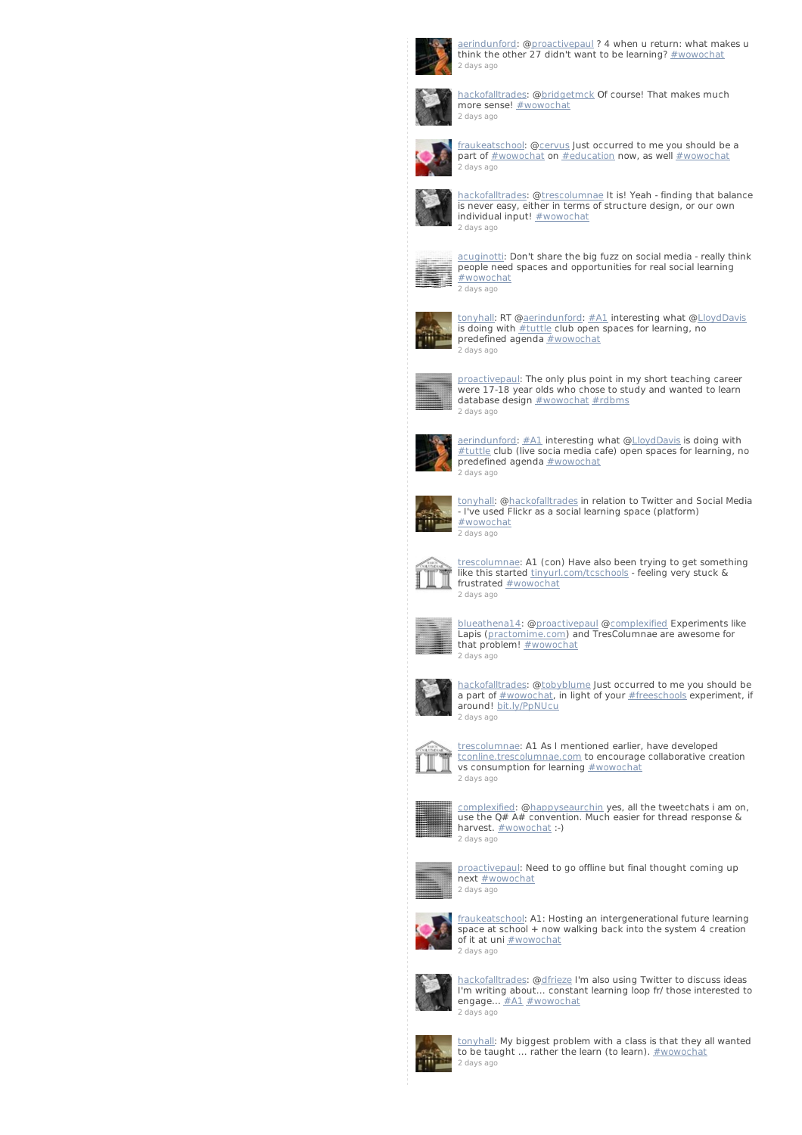

[aerindunford](http://twitter.com/aerindunford): [@proactivepaul](http://twitter.com/proactivepaul) ? 4 when u return: what makes u<br>think the other 27 didn't want to be learning? <u>[#wowochat](/reach?q=%23wowochat)</u> 2 [days](http://twitter.com/aerindunford/statuses/235845016080240640) ago



[hackofalltrades](http://twitter.com/hackofalltrades): @[bridgetmck](http://twitter.com/bridgetmck) Of course! That makes much more sense! [#wowochat](/reach?q=%23wowochat) 2 [days](http://twitter.com/hackofalltrades/statuses/235845010002685952) ago



[fraukeatschool](http://twitter.com/fraukeatschool): [@cervus](http://twitter.com/cervus) Just occurred to me you should be a part of [#wowochat](/reach?q=%23wowochat) on [#education](/reach?q=%23education) now, as well [#wowochat](/reach?q=%23wowochat) 2 [days](http://twitter.com/fraukeatschool/statuses/235844894839685121) ago



[hackofalltrades](http://twitter.com/hackofalltrades): @[trescolumnae](http://twitter.com/trescolumnae) It is! Yeah - finding that balance is never easy, either in terms of structure design, or our own individual input! [#wowochat](/reach?q=%23wowochat) 2 [days](http://twitter.com/hackofalltrades/statuses/235844889143803904) ago



[acuginotti](http://twitter.com/acuginotti): Don't share the big fuzz on social media - really think people need spaces and opportunities for real social learning [#wowochat](/reach?q=%23wowochat) 2 [days](http://twitter.com/acuginotti/statuses/235844883259195393) ago



[tonyhall](http://twitter.com/tonyhall): RT [@aerindunford](http://twitter.com/aerindunford): [#A1](/reach?q=%23A1) interesting what [@LloydDavis](http://twitter.com/LloydDavis) is doing with **[#tuttle](/reach?q=%23tuttle) club open spaces for learning**, no predefined agenda **[#wowochat](/reach?q=%23wowochat)** .<br>2 [days](http://twitter.com/tonyhall/statuses/235844870873419776) ago



[proactivepaul](http://twitter.com/proactivepaul): The only plus point in my short teaching career were 17-18 year olds who chose to study and wanted to learn database design **[#wowochat](/reach?q=%23wowochat) [#rdbms](/reach?q=%23rdbms)** 2 [days](http://twitter.com/proactivepaul/statuses/235844632053948416) ago



[aerindunford](http://twitter.com/aerindunford): [#A1](/reach?q=%23A1) interesting what @[LloydDavis](http://twitter.com/LloydDavis) is doing with [#tuttle](/reach?q=%23tuttle) club (live socia media cafe) open spaces for learning, no predefined agenda [#wowochat](/reach?q=%23wowochat) .<br>2 [days](http://twitter.com/aerindunford/statuses/235844591457271808) ago



[tonyhall](http://twitter.com/tonyhall): [@hackofalltrades](http://twitter.com/hackofalltrades) in relation to Twitter and Social Media - I've used Flickr as a social learning space (platform) [#wowochat](/reach?q=%23wowochat) 2 [days](http://twitter.com/tonyhall/statuses/235844560142598144) ago



<u>[trescolumnae](http://twitter.com/trescolumnae)</u>: A1 (con) Have also been trying to get something<br>like this started <u>[tinyurl.com/tcschools](http://t.co/hsiqk6Cd)</u> - feeling very stuck & frustrated **[#wowochat](/reach?q=%23wowochat)** 2 [days](http://twitter.com/trescolumnae/statuses/235844418182189056) ago



[blueathena14](http://twitter.com/blueathena14): [@proactivepau](http://twitter.com/proactivepaul)l @[complexified](http://twitter.com/complexified) Experiments like Lapis (<u>practomime.com</u>) and TresColumnae are awesome for<br>that problem! <u>[#wowochat](/reach?q=%23wowochat)</u> 2 [days](http://twitter.com/blueathena14/statuses/235844408082321409) ago



[hackofalltrades](http://twitter.com/hackofalltrades): @[tobyblume](http://twitter.com/tobyblume) Just occurred to me you should be a part of  $\frac{H}{W}$  wowochat, in light of your  $\frac{H}{W}$  freeschools experiment, if around! [bit.ly/PpNUcu](http://t.co/aMNwOZOy) 2 [days](http://twitter.com/hackofalltrades/statuses/235844324997345280) ago



[trescolumnae](http://twitter.com/trescolumnae): A1 As I mentioned earlier, have developed [tconline.trescolumnae.com](http://t.co/Zt6aeAc4) to encourage collaborative creation vs consumption for learning **[#wowochat](/reach?q=%23wowochat)** 2 [days](http://twitter.com/trescolumnae/statuses/235844227324583937) ago



[complexified](http://twitter.com/complexified): [@happyseaurchin](http://twitter.com/happyseaurchin) yes, all the tweetchats i am on, use the Q# A# convention. Much easier for thread response & harvest. **[#wowochat](/reach?q=%23wowochat)** :-) 2 [days](http://twitter.com/complexified/statuses/235844139651059712) ago



[proactivepaul](http://twitter.com/proactivepaul): Need to go offline but final thought coming up next [#wowochat](/reach?q=%23wowochat) 2 [days](http://twitter.com/proactivepaul/statuses/235844102711812096) ago



[fraukeatschool](http://twitter.com/fraukeatschool): A1: Hosting an intergenerational future learning space at school  $+$  now walking back into the system 4 creation of it at uni **[#wowochat](/reach?q=%23wowochat)** 2 [days](http://twitter.com/fraukeatschool/statuses/235844051516157952) ago



[hackofalltrades](http://twitter.com/hackofalltrades): @[dfrieze](http://twitter.com/dfrieze) I'm also using Twitter to discuss ideas I'm writing about... constant learning loop fr/ those interested to engage...  $\frac{\# \text{A1}}{\# \text{wowochat}}$ 2 [days](http://twitter.com/hackofalltrades/statuses/235843911053086720) ago



[tonyhall](http://twitter.com/tonyhall): My biggest problem with a class is that they all wanted to be taught ... rather the learn (to learn). [#wowochat](/reach?q=%23wowochat) 2 [days](http://twitter.com/tonyhall/statuses/235843904031838208) ago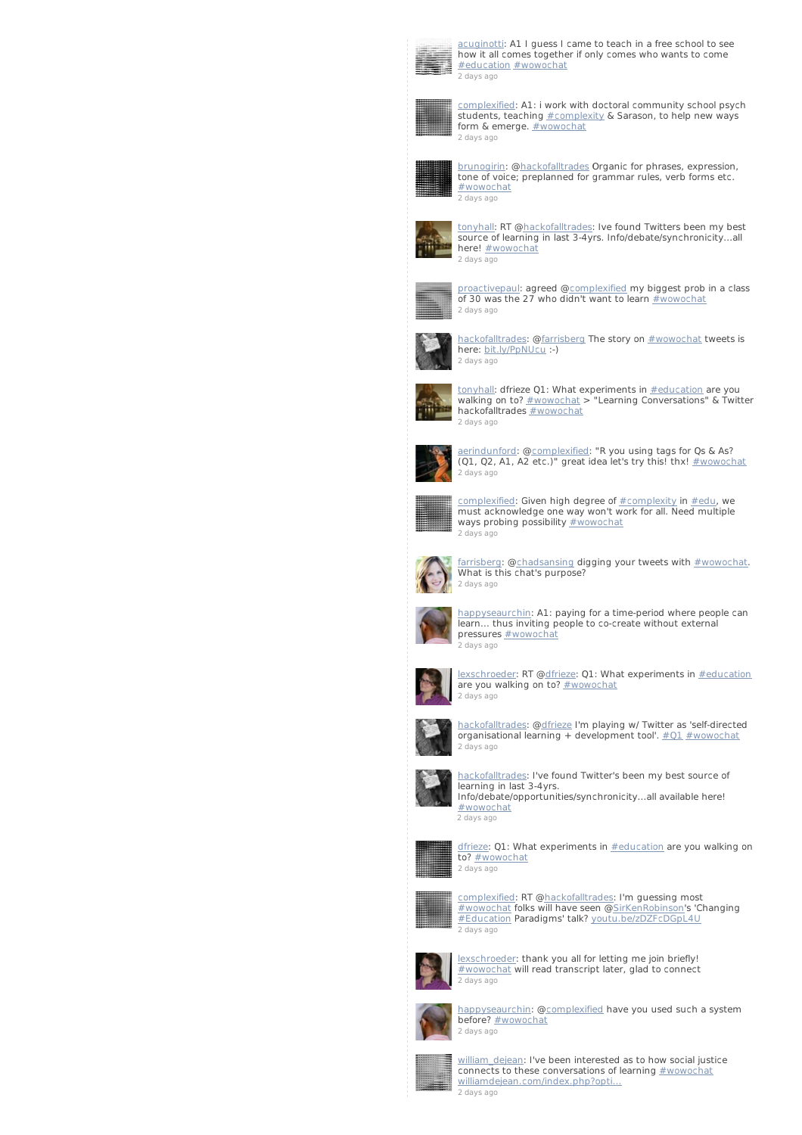

cuginotti: A1 I guess I came to teach in a free school to see how it all comes together if only comes who wants to come [#education](/reach?q=%23education) [#wowochat](/reach?q=%23wowochat) 2 [days](http://twitter.com/acuginotti/statuses/235843813703290881) ago



[complexified](http://twitter.com/complexified): A1: i work with doctoral community school psych students, teaching **[#complexity](/reach?q=%23complexity) & Sarason**, to help new ways form & emerge. **[#wowochat](/reach?q=%23wowochat)** 2 [days](http://twitter.com/complexified/statuses/235843664058929152) ago



[brunogirin](http://twitter.com/brunogirin): [@hackofalltrades](http://twitter.com/hackofalltrades) Organic for phrases, expression, tone of voice; preplanned for grammar rules, verb forms etc. [#wowochat](/reach?q=%23wowochat) 2 [days](http://twitter.com/brunogirin/statuses/235843506717990912) ago



[tonyhall](http://twitter.com/tonyhall): RT [@hackofalltrades](http://twitter.com/hackofalltrades): Ive found Twitters been my best source of learning in last 3-4yrs. Info/debate/synchronicity...all here! [#wowochat](/reach?q=%23wowochat) 2 [days](http://twitter.com/tonyhall/statuses/235843491417190400) ago



[proactivepaul](http://twitter.com/proactivepaul): agreed @<u>complexified</u> my biggest prob in a class<br>of 30 was the 27 who didn't want to learn <u>[#wowochat](/reach?q=%23wowochat)</u> 2 [days](http://twitter.com/proactivepaul/statuses/235843425835044864) ago



[hackofalltrades](http://twitter.com/hackofalltrades): @[farrisberg](http://twitter.com/farrisberg) The story on <u>[#wowochat](/reach?q=%23wowochat)</u> tweets is<br>here: <u>[bit.ly/PpNUcu](http://t.co/aMNwOZOy)</u> :-) 2 [days](http://twitter.com/hackofalltrades/statuses/235843093298020352) ago



[tonyhall](http://twitter.com/tonyhall): dfrieze Q1: What experiments in **[#education](/reach?q=%23education)** are you walking on to?  $\frac{\text{#wowochat}}{\text{#wawochat}}$  $\frac{\text{#wowochat}}{\text{#wawochat}}$  $\frac{\text{#wowochat}}{\text{#wawochat}}$  > "Learning Conversations" & Twitter hackofalltrades **[#wowochat](/reach?q=%23wowochat)** 2 [days](http://twitter.com/tonyhall/statuses/235843051694747648) ago



[aerindunford](http://twitter.com/aerindunford): [@complexified](http://twitter.com/complexified): "R you using tags for Qs & As? (Q1, Q2, A1, A2 etc.)" great idea let's try this! thx! [#wowochat](/reach?q=%23wowochat) 2 [days](http://twitter.com/aerindunford/statuses/235842962737745920) ago



[complexified](http://twitter.com/complexified): Given high degree of [#complexity](/reach?q=%23complexity) in [#edu](/reach?q=%23edu), we must acknowledge one way won't work for all. Need multiple ways probing possibility **[#wowochat](/reach?q=%23wowochat)** 2 [days](http://twitter.com/complexified/statuses/235842956882477056) ago



[farrisberg](http://twitter.com/farrisberg): @<u>chadsansing</u> digging your tweets with <u>[#wowochat](/reach?q=%23wowochat)</u>.<br>What is this chat's purpose? 2 [days](http://twitter.com/farrisberg/statuses/235842900833992705) ago



[happyseaurchin](http://twitter.com/happyseaurchin): A1: paying for a time-period where people can learn... thus inviting people to co-create without external pressures [#wowochat](/reach?q=%23wowochat) .<br>2 [days](http://twitter.com/happyseaurchin/statuses/235842889874305024) ago



[lexschroeder](http://twitter.com/lexschroeder): RT [@dfrieze](http://twitter.com/dfrieze): Q1: What experiments in [#education](/reach?q=%23education) are you walking on to? [#wowochat](/reach?q=%23wowochat) 2 [days](http://twitter.com/lexschroeder/statuses/235842815874174976) ago



[hackofalltrades](http://twitter.com/hackofalltrades): @[dfrieze](http://twitter.com/dfrieze) I'm playing w/ Twitter as 'self-directed organisational learning + development tool'.  $\#01$   $\#$ wowochat 2 [days](http://twitter.com/hackofalltrades/statuses/235842761859928064) ago



[hackofalltrades](http://twitter.com/hackofalltrades): I've found Twitter's been my best source of learning in last 3-4yrs. Info/debate/opportunities/synchronicity...all available here! [#wowochat](/reach?q=%23wowochat) 2 [days](http://twitter.com/hackofalltrades/statuses/235842443566804992) ago



[dfrieze](http://twitter.com/dfrieze): Q1: What experiments in **[#education](/reach?q=%23education)** are you walking on to? [#wowochat](/reach?q=%23wowochat) 2 [days](http://twitter.com/dfrieze/statuses/235842363883405312) ago



[complexified](http://twitter.com/complexified): RT [@hackofalltrades](http://twitter.com/hackofalltrades): I'm guessing most [#wowochat](/reach?q=%23wowochat) folks will have seen @[SirKenRobinson](http://twitter.com/SirKenRobinson)'s 'Changing [#Education](/reach?q=%23Education) Paradigms' talk? [youtu.be/zDZFcDGpL4U](http://t.co/Bn6iyoAJ) 2 [days](http://twitter.com/complexified/statuses/235842267351506944) ago



[lexschroeder](http://twitter.com/lexschroeder): thank you all for letting me join briefly! [#wowochat](/reach?q=%23wowochat) will read transcript later, glad to connect 2 [days](http://twitter.com/lexschroeder/statuses/235842169968140288) ago



[happyseaurchin](http://twitter.com/happyseaurchin): [@complexified](http://twitter.com/complexified) have you used such a system before? [#wowochat](/reach?q=%23wowochat) 2 [days](http://twitter.com/happyseaurchin/statuses/235842165807411200) ago



william dejean: I've been interested as to how social justice connects to these conversations of learning [#wowochat](/reach?q=%23wowochat) [williamdejean.com/index.php?opti…](http://t.co/MMpZVhl9) 2 [days](http://twitter.com/william_dejean/statuses/235842116067155968) ago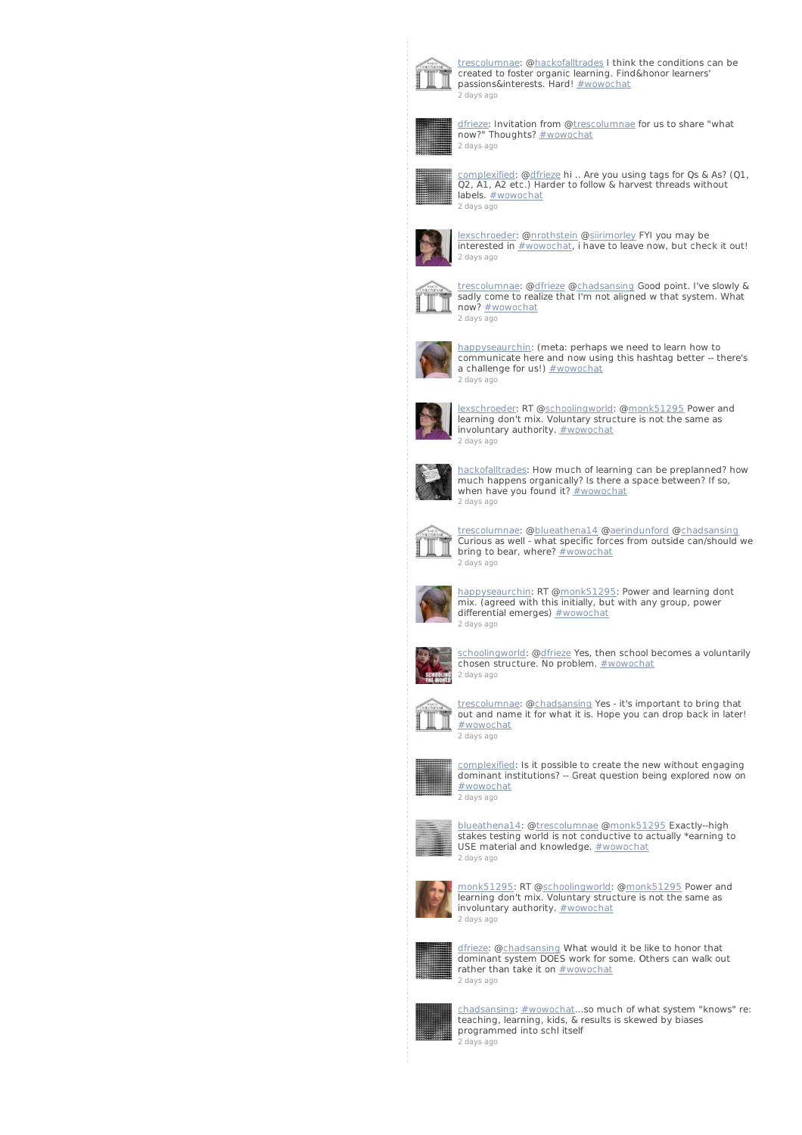

t<u>rescolumnae</u>: @<u>hackofalltrades</u> I think the conditions can be<br>created to foster organic learning. Find&honor learners'<br>passions&interests. Hard! <u>[#wowochat](/reach?q=%23wowochat)</u> 2 [days](http://twitter.com/trescolumnae/statuses/235842076812664832) ago



<u>[dfrieze](http://twitter.com/dfrieze)</u>: Invitation from @<u>trescolumnae</u> for us to share "what<br>now?" Thoughts? <u>[#wowochat](/reach?q=%23wowochat)</u> 2 [days](http://twitter.com/dfrieze/statuses/235842046378774528) ago



[complexified](http://twitter.com/complexified): [@dfrieze](http://twitter.com/dfrieze) hi .. Are you using tags for Qs & As? (Q1, Q2, A1, A2 etc.) Harder to follow & harvest threads without labels. **[#wowochat](/reach?q=%23wowochat)** 2 [days](http://twitter.com/complexified/statuses/235841905320136704) ago



<u>[lexschroeder](http://twitter.com/lexschroeder)</u>: @<u>nrothstein</u> @<u>siirimorley</u> FYI you may be<br>interested in <u>[#wowochat](/reach?q=%23wowochat)</u>, i have to leave now, but check it out! 2 [days](http://twitter.com/lexschroeder/statuses/235841622045253632) ago



[trescolumnae](http://twitter.com/trescolumnae): [@dfrieze](http://twitter.com/dfrieze) [@chadsansing](http://twitter.com/chadsansing) Good point. I've slowly & sadly come to realize that I'm not aligned w that system. What<br>now? <u>[#wowochat](/reach?q=%23wowochat)</u> 2 [days](http://twitter.com/trescolumnae/statuses/235841615309189120) ago



[happyseaurchin](http://twitter.com/happyseaurchin): (meta: perhaps we need to learn how to communicate here and now using this hashtag better -- there's a challenge for us!) [#wowochat](/reach?q=%23wowochat) 2 [days](http://twitter.com/happyseaurchin/statuses/235841559948558336) ago



[lexschroeder](http://twitter.com/lexschroeder): RT [@schoolingworld](http://twitter.com/schoolingworld): [@monk51295](http://twitter.com/monk51295) Power and learning don't mix. Voluntary structure is not the same as involuntary authority. **[#wowochat](/reach?q=%23wowochat)** 2 [days](http://twitter.com/lexschroeder/statuses/235841294759497728) ago



[hackofalltrades](http://twitter.com/hackofalltrades): How much of learning can be preplanned? how much happens organically? Is there a space between? If so, when have you found it?  $#$  wowochat 2 [days](http://twitter.com/hackofalltrades/statuses/235841207383756803) ago



[trescolumnae](http://twitter.com/trescolumnae): [@blueathena14](http://twitter.com/blueathena14) @[aerindunford](http://twitter.com/aerindunford) [@chadsansing](http://twitter.com/chadsansing) Curious as well - what specific forces from outside can/should we bring to bear, where? [#wowochat](/reach?q=%23wowochat) 2 [days](http://twitter.com/trescolumnae/statuses/235841205416640512) ago



[happyseaurchin](http://twitter.com/happyseaurchin): RT [@monk51295](http://twitter.com/monk51295): Power and learning dont<br>mix. (agreed with this initially, but with any group, power differential emerges) [#wowochat](/reach?q=%23wowochat) 2 [days](http://twitter.com/happyseaurchin/statuses/235841184709345280) ago



[schoolingworld](http://twitter.com/schoolingworld): [@dfrieze](http://twitter.com/dfrieze) Yes, then school becomes a voluntarily chosen structure. No problem. [#wowochat](/reach?q=%23wowochat) 2 [days](http://twitter.com/schoolingworld/statuses/235841054279086080) ago



[trescolumnae](http://twitter.com/trescolumnae): [@chadsansing](http://twitter.com/chadsansing) Yes - it's important to bring that out and name it for what it is. Hope you can drop back in later! [#wowochat](/reach?q=%23wowochat) 2 [days](http://twitter.com/trescolumnae/statuses/235840928684838913) ago



[complexified](http://twitter.com/complexified): Is it possible to create the new without engaging dominant institutions? -- Great question being explored now on [#wowochat](/reach?q=%23wowochat) 2 [days](http://twitter.com/complexified/statuses/235840838419247104) ago



[blueathena14](http://twitter.com/blueathena14): [@trescolumnae](http://twitter.com/trescolumnae) @[monk51295](http://twitter.com/monk51295) Exactly--high stakes testing world is not conductive to actually \*earning to USE material and knowledge. [#wowochat](/reach?q=%23wowochat) 2 [days](http://twitter.com/blueathena14/statuses/235840830865281024) ago



[monk51295](http://twitter.com/monk51295): RT @[schoolingworld](http://twitter.com/schoolingworld): [@monk51295](http://twitter.com/monk51295) Power and learning don't mix. Voluntary structure is not the same as involuntary authority. **[#wowochat](/reach?q=%23wowochat)** 2 [days](http://twitter.com/monk51295/statuses/235840777354354688) ago



d<u>frieze</u>: @<u>chadsansing</u> What would it be like to honor that<br>dominant system DOES work for some. Others can walk out<br>rather than take it on <u>[#wowochat](/reach?q=%23wowochat)</u> 2 [days](http://twitter.com/dfrieze/statuses/235840717510033408) ago



[chadsansing](http://twitter.com/chadsansing): [#wowochat](/reach?q=%23wowochat)...so much of what system "knows" re: teaching, learning, kids, & results is skewed by biases programmed into schl itself 2 [days](http://twitter.com/chadsansing/statuses/235840684324687872) ago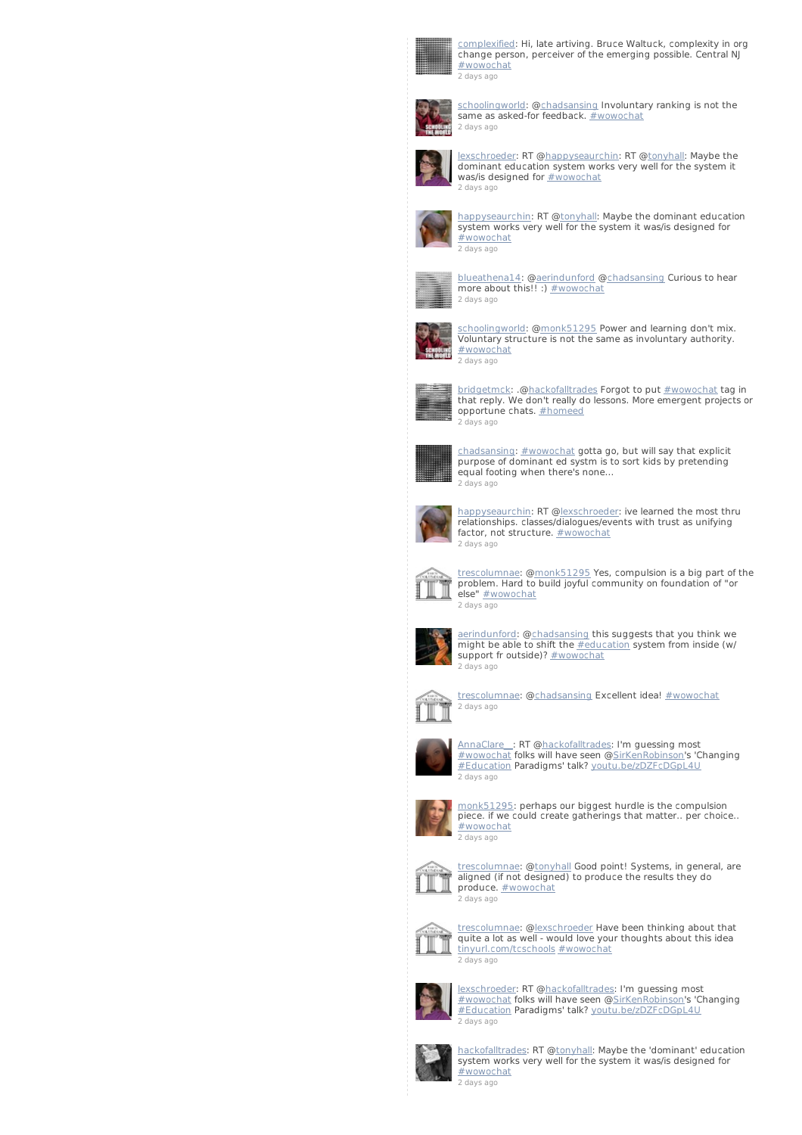

omplexified: Hi, late artiving. Bruce Waltuck, complexity in org change person, perceiver of the emerging possible. Central NJ [#wowochat](/reach?q=%23wowochat) 2 [days](http://twitter.com/complexified/statuses/235840667459403777) ago



[schoolingworld](http://twitter.com/schoolingworld): [@chadsansing](http://twitter.com/chadsansing) Involuntary ranking is not the same as asked-for feedback. **[#wowochat](/reach?q=%23wowochat)** 2 [days](http://twitter.com/schoolingworld/statuses/235840651177119744) ago



[lexschroeder](http://twitter.com/lexschroeder): RT [@happyseaurchin](http://twitter.com/happyseaurchin): RT [@tonyhall](http://twitter.com/tonyhall): Maybe the dominant education system works very well for the system it was/is designed for **[#wowochat](/reach?q=%23wowochat)** 2 [days](http://twitter.com/lexschroeder/statuses/235840633858822144) ago



[happyseaurchin](http://twitter.com/happyseaurchin): RT [@tonyhal](http://twitter.com/tonyhall)l: Maybe the dominant education system works very well for the system it was/is designed for [#wowochat](/reach?q=%23wowochat) 2 [days](http://twitter.com/happyseaurchin/statuses/235840565562986496) ago



[blueathena14](http://twitter.com/blueathena14): [@aerindunford](http://twitter.com/aerindunford) @<u>chadsansing</u> Curious to hear<br>more about this!! :) <u>[#wowochat](/reach?q=%23wowochat)</u> 2 [days](http://twitter.com/blueathena14/statuses/235840413066489856) ago



choolingworld: [@monk51295](http://twitter.com/monk51295) Power and learning don't mix. Voluntary structure is not the same as involuntary authority. [#wowochat](/reach?q=%23wowochat) 2 [days](http://twitter.com/schoolingworld/statuses/235840379004530688) ago



[bridgetmck](http://twitter.com/bridgetmck): .[@hackofalltrades](http://twitter.com/hackofalltrades) Forgot to put [#wowochat](/reach?q=%23wowochat) tag in that reply. We don't really do lessons. More emergent projects or opportune chats. [#homeed](/reach?q=%23homeed) 2 [days](http://twitter.com/bridgetmck/statuses/235840324180770816) ago



[chadsansing](http://twitter.com/chadsansing): [#wowochat](/reach?q=%23wowochat) gotta go, but will say that explicit purpose of dominant ed systm is to sort kids by pretending equal footing when there's none... 2 [days](http://twitter.com/chadsansing/statuses/235840165241835520) ago



[happyseaurchin](http://twitter.com/happyseaurchin): RT [@lexschroeder](http://twitter.com/lexschroeder): ive learned the most thru relationships. classes/dialogues/events with trust as unifying factor, not structure. **[#wowochat](/reach?q=%23wowochat)** 2 [days](http://twitter.com/happyseaurchin/statuses/235840093338877954) ago



[trescolumnae](http://twitter.com/trescolumnae): [@monk51295](http://twitter.com/monk51295) Yes, compulsion is a big part of the problem. Hard to build joyful community on foundation of "or else" **[#wowochat](/reach?q=%23wowochat)** 2 [days](http://twitter.com/trescolumnae/statuses/235840090415460352) ago



[aerindunford](http://twitter.com/aerindunford): [@chadsansing](http://twitter.com/chadsansing) this suggests that you think we<br>might be able to shift the <u>[#education](/reach?q=%23education)</u> system from inside (w/ support fr outside)? [#wowochat](/reach?q=%23wowochat) 2 [days](http://twitter.com/aerindunford/statuses/235840081833893888) ago



[trescolumnae](http://twitter.com/trescolumnae): [@chadsansing](http://twitter.com/chadsansing) Excellent idea! [#wowochat](/reach?q=%23wowochat) 2 [days](http://twitter.com/trescolumnae/statuses/235839834093146112) ago



[AnnaClare\\_\\_](http://twitter.com/AnnaClare__): RT [@hackofalltrades](http://twitter.com/hackofalltrades): I'm guessing most [#wowochat](/reach?q=%23wowochat) folks will have seen @[SirKenRobinson](http://twitter.com/SirKenRobinson)'s 'Changing [#Education](/reach?q=%23Education) Paradigms' talk? [youtu.be/zDZFcDGpL4U](http://t.co/Bn6iyoAJ) 2 [days](http://twitter.com/AnnaClare__/statuses/235839808625324032) ago



[monk51295](http://twitter.com/monk51295): perhaps our biggest hurdle is the compulsion piece. if we could create gatherings that matter.. per choice.. [#wowochat](/reach?q=%23wowochat) 2 [days](http://twitter.com/monk51295/statuses/235839732469354497) ago



[trescolumnae](http://twitter.com/trescolumnae): [@tonyhall](http://twitter.com/tonyhall) Good point! Systems, in general, are aligned (if not designed) to produce the results they do produce. **[#wowochat](/reach?q=%23wowochat)** 2 [days](http://twitter.com/trescolumnae/statuses/235839246831845378) ago



[trescolumnae](http://twitter.com/trescolumnae): [@lexschroeder](http://twitter.com/lexschroeder) Have been thinking about that quite a lot as well - would love your thoughts about this idea [tinyurl.com/tcschools](http://t.co/hsiqk6Cd) [#wowochat](/reach?q=%23wowochat) 2 [days](http://twitter.com/trescolumnae/statuses/235839061909180416) ago



[lexschroeder](http://twitter.com/lexschroeder): RT [@hackofalltrades](http://twitter.com/hackofalltrades): I'm guessing most [#wowochat](/reach?q=%23wowochat) folks will have seen @[SirKenRobinson](http://twitter.com/SirKenRobinson)'s 'Changing [#Education](/reach?q=%23Education) Paradigms' talk? [youtu.be/zDZFcDGpL4U](http://t.co/Bn6iyoAJ) 2 [days](http://twitter.com/lexschroeder/statuses/235838966853689344) ago



[hackofalltrades](http://twitter.com/hackofalltrades): RT [@tonyhall](http://twitter.com/tonyhall): Maybe the 'dominant' education system works very well for the system it was/is designed for [#wowochat](/reach?q=%23wowochat) 2 [days](http://twitter.com/hackofalltrades/statuses/235838934825959424) ago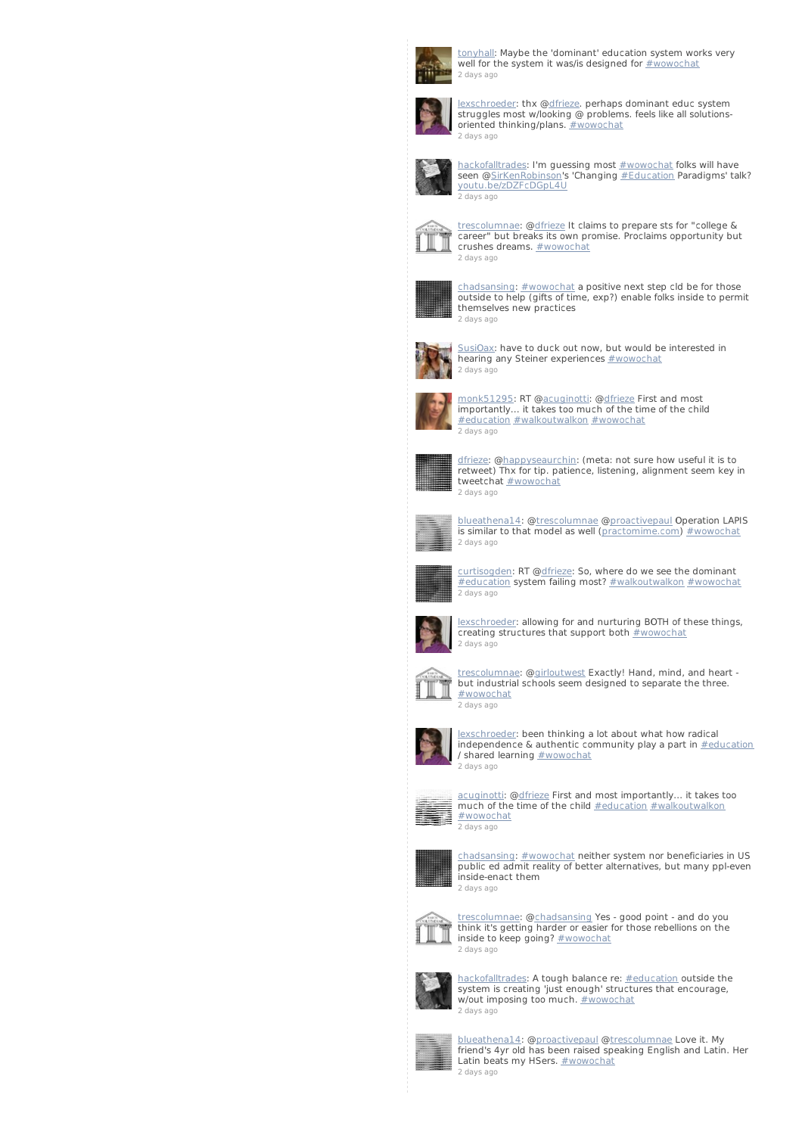

[tonyhall](http://twitter.com/tonyhall): Maybe the 'dominant' education system works very well for the system it was/is designed for [#wowochat](/reach?q=%23wowochat) 2 [days](http://twitter.com/tonyhall/statuses/235838892589326336) ago



[lexschroeder](http://twitter.com/lexschroeder): thx [@dfrieze](http://twitter.com/dfrieze). perhaps dominant educ system struggles most w/looking @ problems. feels like all solutions-oriented thinking/plans. [#wowochat](/reach?q=%23wowochat) 2 [days](http://twitter.com/lexschroeder/statuses/235838850671448065) ago



[hackofalltrades](http://twitter.com/hackofalltrades): I'm guessing most **[#wowochat](/reach?q=%23wowochat)** folks will have seen @<u>SirKenRobinson</u>'s 'Changing <u>[#Education](/reach?q=%23Education)</u> Paradigms' talk?<br>[youtu.be/zDZFcDGpL4U](http://t.co/Bn6iyoAJ) 2 [days](http://twitter.com/hackofalltrades/statuses/235838735130976256) ago



[trescolumnae](http://twitter.com/trescolumnae): [@dfrieze](http://twitter.com/dfrieze) It claims to prepare sts for "college & career" but breaks its own promise. Proclaims opportunity but crushes dreams. **[#wowochat](/reach?q=%23wowochat)** 2 [days](http://twitter.com/trescolumnae/statuses/235838719511379968) ago



[chadsansing](http://twitter.com/chadsansing): [#wowochat](/reach?q=%23wowochat) a positive next step cld be for those outside to help (gifts of time, exp?) enable folks inside to permit themselves new practices 2 [days](http://twitter.com/chadsansing/statuses/235838645309935616) ago



[SusiOax](http://twitter.com/SusiOax): have to duck out now, but would be interested in hearing any Steiner experiences **[#wowochat](/reach?q=%23wowochat)** 2 [days](http://twitter.com/SusiOax/statuses/235838514497998848) ago



[monk51295](http://twitter.com/monk51295): RT @[acuginotti](http://twitter.com/acuginotti): [@dfrieze](http://twitter.com/dfrieze) First and most importantly... it takes too much of the time of the child [#education](/reach?q=%23education) [#walkoutwalkon](/reach?q=%23walkoutwalkon) [#wowochat](/reach?q=%23wowochat) 2 [days](http://twitter.com/monk51295/statuses/235838493836840960) ago



[dfrieze](http://twitter.com/dfrieze): [@happyseaurchin](http://twitter.com/happyseaurchin): (meta: not sure how useful it is to retweet) Thx for tip. patience, listening, alignment seem key in tweetchat [#wowochat](/reach?q=%23wowochat) 2 [days](http://twitter.com/dfrieze/statuses/235838471963549698) ago



[blueathena14](http://twitter.com/blueathena14): [@trescolumnae](http://twitter.com/trescolumnae) @[proactivepaul](http://twitter.com/proactivepaul) Operation LAPIS is similar to that model as well [\(practomime.com](http://t.co/7qHahtIu)) [#wowochat](/reach?q=%23wowochat) 2 [days](http://twitter.com/blueathena14/statuses/235838336193937408) ago



[curtisogden](http://twitter.com/curtisogden): RT @[dfrieze](http://twitter.com/dfrieze): So, where do we see the dominant [#education](/reach?q=%23education) system failing most? [#walkoutwalkon](/reach?q=%23walkoutwalkon) [#wowochat](/reach?q=%23wowochat) 2 [days](http://twitter.com/curtisogden/statuses/235838316610736129) ago



[lexschroeder](http://twitter.com/lexschroeder): allowing for and nurturing BOTH of these things, creating structures that support both [#wowochat](/reach?q=%23wowochat) 2 [days](http://twitter.com/lexschroeder/statuses/235838210654212096) ago



[trescolumnae](http://twitter.com/trescolumnae): [@girloutwest](http://twitter.com/girloutwest) Exactly! Hand, mind, and heart - but industrial schools seem designed to separate the three. [#wowochat](/reach?q=%23wowochat) 2 [days](http://twitter.com/trescolumnae/statuses/235838130261999616) ago



[lexschroeder](http://twitter.com/lexschroeder): been thinking a lot about what how radical  $interspace$  & authentic community play a part in  $\frac{\text{# education}}{\text{#section}}$ / shared learning  $\#$ wowochat 2 [days](http://twitter.com/lexschroeder/statuses/235838110234206208) ago



[acuginotti](http://twitter.com/acuginotti): @<u>dfrieze</u> First and most importantly... it takes too<br>much of the time of the child <u>[#education](/reach?q=%23education) [#walkoutwalkon](/reach?q=%23walkoutwalkon)</u> [#wowochat](/reach?q=%23wowochat) 2 [days](http://twitter.com/acuginotti/statuses/235837918038601728) ago



[chadsansing](http://twitter.com/chadsansing): [#wowochat](/reach?q=%23wowochat) neither system nor beneficiaries in US public ed admit reality of better alternatives, but many ppl-even inside-enact them 2 [days](http://twitter.com/chadsansing/statuses/235837901064253440) ago



[trescolumnae](http://twitter.com/trescolumnae): [@chadsansing](http://twitter.com/chadsansing) Yes - good point - and do you think it's getting harder or easier for those rebellions on the inside to keep going? [#wowochat](/reach?q=%23wowochat) 2 [days](http://twitter.com/trescolumnae/statuses/235837894676344832) ago



<u>[hackofalltrades](http://twitter.com/hackofalltrades)</u>: A tough balance re: <u>[#education](/reach?q=%23education)</u> outside the<br>system is creating 'just enough' structures that encourage,<br>w/out imposing too much. <u>[#wowochat](/reach?q=%23wowochat)</u> 2 [days](http://twitter.com/hackofalltrades/statuses/235837893887803392) ago



[blueathena14](http://twitter.com/blueathena14): [@proactivepau](http://twitter.com/proactivepaul)l @[trescolumnae](http://twitter.com/trescolumnae) Love it. My friend's 4yr old has been raised speaking English and Latin. Her Latin beats my HSers. **[#wowochat](/reach?q=%23wowochat)** 2 [days](http://twitter.com/blueathena14/statuses/235837794122092544) ago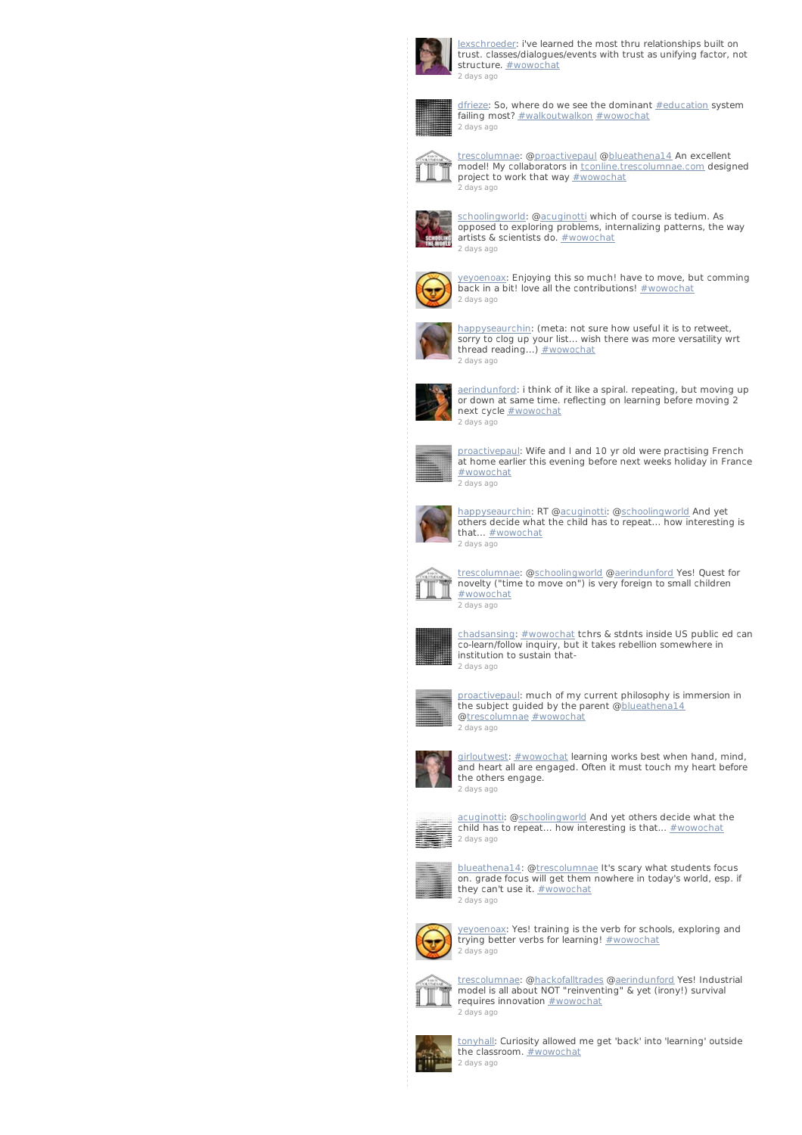

[lexschroeder](http://twitter.com/lexschroeder): i've learned the most thru relationships built on trust. classes/dialogues/events with trust as unifying factor, not structure. **[#wowochat](/reach?q=%23wowochat)** 2 [days](http://twitter.com/lexschroeder/statuses/235837785523757056) ago



[dfrieze](http://twitter.com/dfrieze): So, where do we see the dominant **[#education](/reach?q=%23education)** system failing most? [#walkoutwalkon](/reach?q=%23walkoutwalkon) [#wowochat](/reach?q=%23wowochat) 2 [days](http://twitter.com/dfrieze/statuses/235837740720201728) ago



[trescolumnae](http://twitter.com/trescolumnae): [@proactivepau](http://twitter.com/proactivepaul)l [@blueathena14](http://twitter.com/blueathena14) An excellent model! My collaborators in [tconline.trescolumnae.com](http://t.co/Zt6aeAc4) designed project to work that way **[#wowochat](/reach?q=%23wowochat)** 2 [days](http://twitter.com/trescolumnae/statuses/235837687234428929) ago



[schoolingworld](http://twitter.com/schoolingworld): [@acuginotti](http://twitter.com/acuginotti) which of course is tedium. As opposed to exploring problems, internalizing patterns, the way artists & scientists do. [#wowochat](/reach?q=%23wowochat) 2 [days](http://twitter.com/schoolingworld/statuses/235837568472735744) ago



[yeyoenoax](http://twitter.com/yeyoenoax): Enjoying this so much! have to move, but comming back in a bit! love all the contributions! [#wowochat](/reach?q=%23wowochat) 2 [days](http://twitter.com/yeyoenoax/statuses/235837472377012224) ago



[happyseaurchin](http://twitter.com/happyseaurchin): (meta: not sure how useful it is to retweet, sorry to clog up your list... wish there was more versatility wrt thread reading...) **[#wowochat](/reach?q=%23wowochat)** 2 [days](http://twitter.com/happyseaurchin/statuses/235837440252862464) ago



[aerindunford](http://twitter.com/aerindunford): i think of it like a spiral. repeating, but moving up or down at same time. reflecting on learning before moving 2 next cycle [#wowochat](/reach?q=%23wowochat) 2 [days](http://twitter.com/aerindunford/statuses/235837280349208576) ago



[proactivepaul](http://twitter.com/proactivepaul): Wife and I and 10 yr old were practising French at home earlier this evening before next weeks holiday in France [#wowochat](/reach?q=%23wowochat) 2 [days](http://twitter.com/proactivepaul/statuses/235837254004776960) ago



[happyseaurchin](http://twitter.com/happyseaurchin): RT [@acuginotti](http://twitter.com/acuginotti): [@schoolingworld](http://twitter.com/schoolingworld) And yet others decide what the child has to repeat... how interesting is that... **[#wowochat](/reach?q=%23wowochat)** 2 [days](http://twitter.com/happyseaurchin/statuses/235837022466629633) ago



[trescolumnae](http://twitter.com/trescolumnae): [@schoolingworld](http://twitter.com/schoolingworld) [@aerindunford](http://twitter.com/aerindunford) Yes! Quest for novelty ("time to move on") is very foreign to small children [#wowochat](/reach?q=%23wowochat) 2 [days](http://twitter.com/trescolumnae/statuses/235836990539591680) ago



[chadsansing](http://twitter.com/chadsansing): [#wowochat](/reach?q=%23wowochat) tchrs & stdnts inside US public ed can co-learn/follow inquiry, but it takes rebellion somewhere in institution to sustain that-2 [days](http://twitter.com/chadsansing/statuses/235836971434528768) ago



[proactivepaul](http://twitter.com/proactivepaul): much of my current philosophy is immersion in the subject guided by the parent [@blueathena14](http://twitter.com/blueathena14) [@trescolumnae](http://twitter.com/trescolumnae) [#wowochat](/reach?q=%23wowochat) 2 [days](http://twitter.com/proactivepaul/statuses/235836914832396289) ago



[girloutwest](http://twitter.com/girloutwest): [#wowochat](/reach?q=%23wowochat) learning works best when hand, mind, and heart all are engaged. Often it must touch my heart before the others engage. 2 [days](http://twitter.com/girloutwest/statuses/235836884314640385) ago



[acuginotti](http://twitter.com/acuginotti): [@schoolingworld](http://twitter.com/schoolingworld) And yet others decide what the child has to repeat... how interesting is that... **[#wowochat](/reach?q=%23wowochat)** 



[blueathena14](http://twitter.com/blueathena14): [@trescolumnae](http://twitter.com/trescolumnae) It's scary what students focus on. grade focus will get them nowhere in today's world, esp. if they can't use it. [#wowochat](/reach?q=%23wowochat) 2 [days](http://twitter.com/blueathena14/statuses/235836743587360768) ago



[yeyoenoax](http://twitter.com/yeyoenoax): Yes! training is the verb for schools, exploring and trying better verbs for learning! [#wowochat](/reach?q=%23wowochat) 2 [days](http://twitter.com/yeyoenoax/statuses/235836718429921281) ago



t<u>rescolumnae</u>: @<u>hackofalltrades</u> @<u>aerindunford</u> Yes! Industrial<br>model is all about NOT "reinventing" & yet (irony!) survival requires innovation **[#wowochat](/reach?q=%23wowochat)** 2 [days](http://twitter.com/trescolumnae/statuses/235836706891366400) ago



[tonyhall](http://twitter.com/tonyhall): Curiosity allowed me get 'back' into 'learning' outside the classroom. [#wowochat](/reach?q=%23wowochat) 2 [days](http://twitter.com/tonyhall/statuses/235836668140220416) ago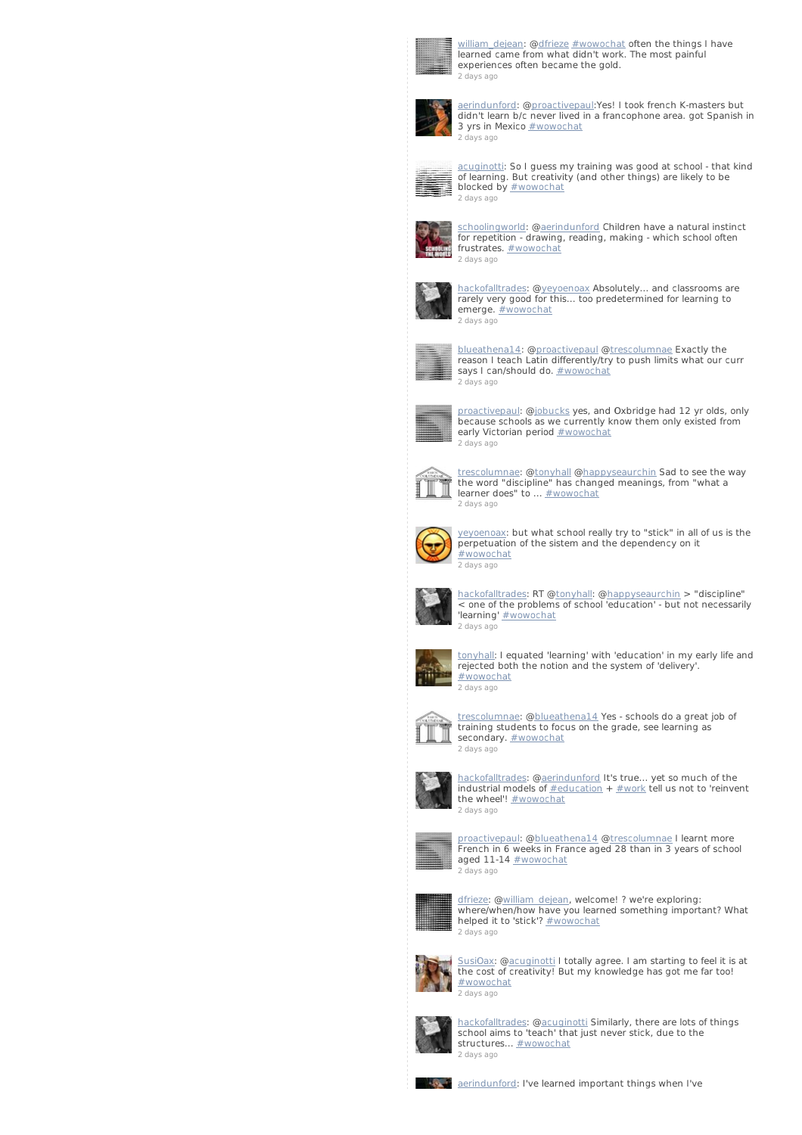

[william\\_dejean](http://twitter.com/william_dejean): [@dfrieze](http://twitter.com/dfrieze) [#wowochat](/reach?q=%23wowochat) often the things I have learned came from what didn't work. The most painful experiences often became the gold. 2 [days](http://twitter.com/william_dejean/statuses/235836642546561026) ago



[aerindunford](http://twitter.com/aerindunford): [@proactivepaul](http://twitter.com/proactivepaul):Yes! I took french K-masters but didn't learn b/c never lived in a francophone area. got Spanish in 3 yrs in Mexico **[#wowochat](/reach?q=%23wowochat)** 2 [days](http://twitter.com/aerindunford/statuses/235836603870900224) ago



[acuginotti](http://twitter.com/acuginotti): So I guess my training was good at school - that kind of learning. But creativity (and other things) are likely to be blocked by **[#wowochat](/reach?q=%23wowochat)** 2 [days](http://twitter.com/acuginotti/statuses/235836404939251712) ago



[schoolingworld](http://twitter.com/schoolingworld): [@aerindunford](http://twitter.com/aerindunford) Children have a natural instinct for repetition - drawing, reading, making - which school often frustrates. **[#wowochat](/reach?q=%23wowochat)** 2 [days](http://twitter.com/schoolingworld/statuses/235836393476202496) ago



[hackofalltrades](http://twitter.com/hackofalltrades): @[yeyoenoax](http://twitter.com/yeyoenoax) Absolutely... and classrooms are rarely very good for this... too predetermined for learning to emerge. **[#wowochat](/reach?q=%23wowochat)** 2 [days](http://twitter.com/hackofalltrades/statuses/235836357967220736) ago



[blueathena14](http://twitter.com/blueathena14): [@proactivepau](http://twitter.com/proactivepaul)l @[trescolumnae](http://twitter.com/trescolumnae) Exactly the reason I teach Latin differently/try to push limits what our curr says I can/should do. **[#wowochat](/reach?q=%23wowochat)** 2 [days](http://twitter.com/blueathena14/statuses/235836298655592448) ago



[proactivepaul](http://twitter.com/proactivepaul): [@jobucks](http://twitter.com/jobucks) yes, and Oxbridge had 12 yr olds, only because schools as we currently know them only existed from early Victorian period **[#wowochat](/reach?q=%23wowochat)** 2 [days](http://twitter.com/proactivepaul/statuses/235836128165519360) ago



t<u>rescolumnae</u>: @<u>tonyhall [@happyseaurchin](http://twitter.com/happyseaurchin)</u> Sad to see the way<br>the word "discipline" has changed meanings, from "what a<br>learner does" to ... <u>[#wowochat](/reach?q=%23wowochat)</u> 2 [days](http://twitter.com/trescolumnae/statuses/235836055939604480) ago



[yeyoenoax](http://twitter.com/yeyoenoax): but what school really try to "stick" in all of us is the perpetuation of the sistem and the dependency on it [#wowochat](/reach?q=%23wowochat) 2 [days](http://twitter.com/yeyoenoax/statuses/235835909432541186) ago



[hackofalltrades](http://twitter.com/hackofalltrades): RT [@tonyhall](http://twitter.com/tonyhall): [@happyseaurchin](http://twitter.com/happyseaurchin) > "discipline" < one of the problems of school 'education' - but not necessarily 'learning' [#wowochat](/reach?q=%23wowochat) 2 [days](http://twitter.com/hackofalltrades/statuses/235835865660809217) ago



[tonyhall](http://twitter.com/tonyhall): I equated 'learning' with 'education' in my early life and rejected both the notion and the system of 'delivery'. [#wowochat](/reach?q=%23wowochat) 2 [days](http://twitter.com/tonyhall/statuses/235835811369725952) ago



[trescolumnae](http://twitter.com/trescolumnae): [@blueathena14](http://twitter.com/blueathena14) Yes - schools do a great job of training students to focus on the grade, see learning as secondary. **[#wowochat](/reach?q=%23wowochat)** 2 [days](http://twitter.com/trescolumnae/statuses/235835677730811904) ago



[hackofalltrades](http://twitter.com/hackofalltrades): @[aerindunford](http://twitter.com/aerindunford) It's true... yet so much of the industrial models of [#education](/reach?q=%23education) + [#work](/reach?q=%23work) tell us not to 'reinvent the wheel'! **[#wowochat](/reach?q=%23wowochat)** 2 [days](http://twitter.com/hackofalltrades/statuses/235835671602921472) ago



[proactivepaul](http://twitter.com/proactivepaul): [@blueathena14](http://twitter.com/blueathena14) @[trescolumnae](http://twitter.com/trescolumnae) I learnt more French in 6 weeks in France aged 28 than in 3 years of school<br>aged 11-14 <u>[#wowochat](/reach?q=%23wowochat)</u> 2 [days](http://twitter.com/proactivepaul/statuses/235835629915750400) ago



[dfrieze](http://twitter.com/dfrieze): [@william\\_dejean](http://twitter.com/william_dejean), welcome! ? we're exploring: where/when/how have you learned something important? What helped it to 'stick'? **[#wowochat](/reach?q=%23wowochat)** 2 [days](http://twitter.com/dfrieze/statuses/235835628405805056) ago



[SusiOax](http://twitter.com/SusiOax): [@acuginott](http://twitter.com/acuginotti)i I totally agree. I am starting to feel it is at the cost of creativity! But my knowledge has got me far too! [#wowochat](/reach?q=%23wowochat) 2 [days](http://twitter.com/SusiOax/statuses/235835524621934593) ago



[hackofalltrades](http://twitter.com/hackofalltrades): @[acuginotti](http://twitter.com/acuginotti) Similarly, there are lots of things school aims to 'teach' that just never stick, due to the structures... **[#wowochat](/reach?q=%23wowochat)** 2 [days](http://twitter.com/hackofalltrades/statuses/235835380727939073) ago



**A. A. A.** [aerindunford](http://twitter.com/aerindunford): I've learned important things when I've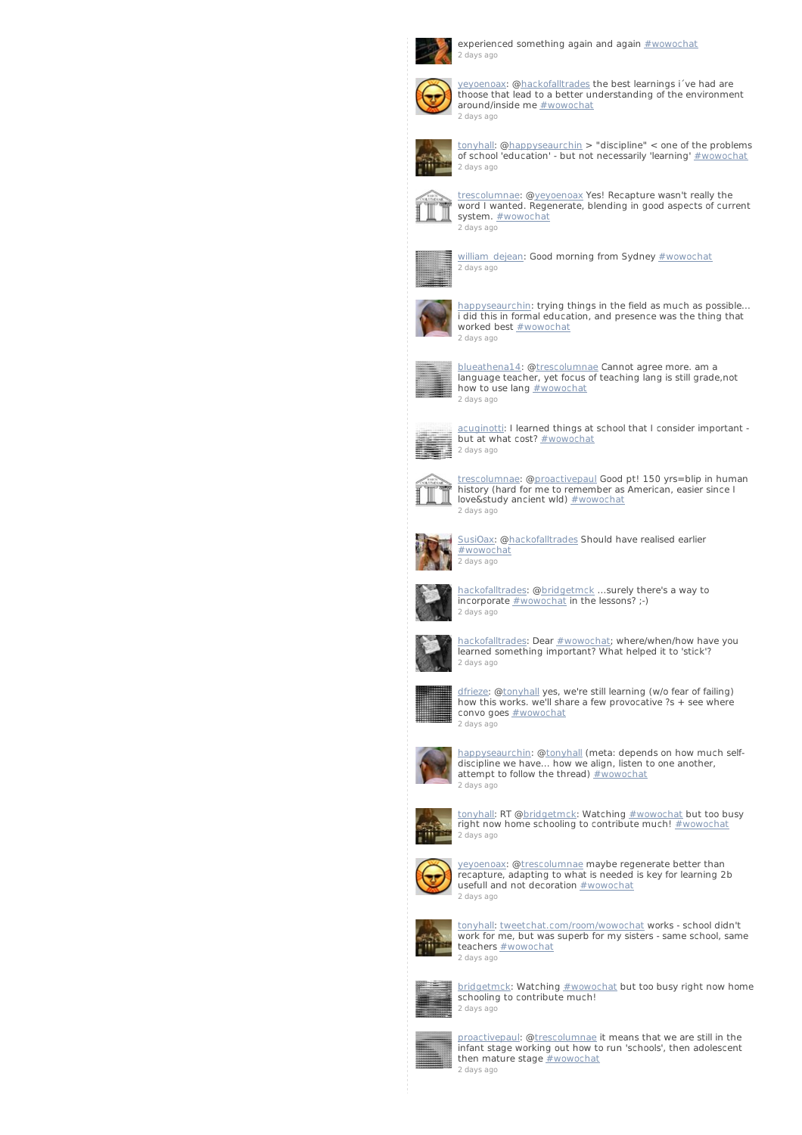

experienced something again and again  $\frac{\text{#wowochat}}{}$  $\frac{\text{#wowochat}}{}$  $\frac{\text{#wowochat}}{}$ 2 [days](http://twitter.com/aerindunford/statuses/235835256517849088) ago



[yeyoenoax](http://twitter.com/yeyoenoax): [@hackofalltrades](http://twitter.com/hackofalltrades) the best learnings i´ve had are thoose that lead to a better understanding of the environment around/inside me **[#wowochat](/reach?q=%23wowochat)** 2 [days](http://twitter.com/yeyoenoax/statuses/235835119947116544) ago



[tonyhall](http://twitter.com/tonyhall): [@happyseaurchin](http://twitter.com/happyseaurchin) > "discipline" < one of the problems of school 'education' - but not necessarily 'learning' [#wowochat](/reach?q=%23wowochat) 2 [days](http://twitter.com/tonyhall/statuses/235835042734157824) ago



[trescolumnae](http://twitter.com/trescolumnae): [@yeyoenoax](http://twitter.com/yeyoenoax) Yes! Recapture wasn't really the word I wanted. Regenerate, blending in good aspects of current system. [#wowochat](/reach?q=%23wowochat) 2 [days](http://twitter.com/trescolumnae/statuses/235835011784380416) ago



[william\\_dejean](http://twitter.com/william_dejean): Good morning from Sydney [#wowochat](/reach?q=%23wowochat) 2 [days](http://twitter.com/william_dejean/statuses/235834996957540352) ago



[happyseaurchin](http://twitter.com/happyseaurchin): trying things in the field as much as possible... i did this in formal education, and presence was the thing that worked best **[#wowochat](/reach?q=%23wowochat)** 2 [days](http://twitter.com/happyseaurchin/statuses/235834958248304641) ago



[blueathena14](http://twitter.com/blueathena14): [@trescolumnae](http://twitter.com/trescolumnae) Cannot agree more. am a language teacher, yet focus of teaching lang is still grade,not how to use lang **[#wowochat](/reach?q=%23wowochat)** 2 [days](http://twitter.com/blueathena14/statuses/235834934953127936) ago



[acuginotti](http://twitter.com/acuginotti): I learned things at school that I consider important - but at what cost? [#wowochat](/reach?q=%23wowochat) 2 [days](http://twitter.com/acuginotti/statuses/235834723048497152) ago



[trescolumnae](http://twitter.com/trescolumnae): [@proactivepau](http://twitter.com/proactivepaul)l Good pt! 150 yrs=blip in human history (hard for me to remember as American, easier since I love&study ancient wld) [#wowochat](/reach?q=%23wowochat) 2 [days](http://twitter.com/trescolumnae/statuses/235834718531235840) ago



[SusiOax](http://twitter.com/SusiOax): [@hackofalltrades](http://twitter.com/hackofalltrades) Should have realised earlier [#wowochat](/reach?q=%23wowochat) 2 [days](http://twitter.com/SusiOax/statuses/235834660633055232) ago



[hackofalltrades](http://twitter.com/hackofalltrades): @[bridgetmck](http://twitter.com/bridgetmck) ...surely there's a way to incorporate [#wowochat](/reach?q=%23wowochat) in the lessons? ;-)



[hackofalltrades](http://twitter.com/hackofalltrades): Dear [#wowochat](/reach?q=%23wowochat); where/when/how have you learned something important? What helped it to 'stick'? 2 [days](http://twitter.com/hackofalltrades/statuses/235834487290884097) ago



[dfrieze](http://twitter.com/dfrieze): [@tonyhall](http://twitter.com/tonyhall) yes, we're still learning (w/o fear of failing) how this works. we'll share a few provocative ?s + see where convo goes [#wowochat](/reach?q=%23wowochat) 2 [days](http://twitter.com/dfrieze/statuses/235834311604072449) ago



[happyseaurchin](http://twitter.com/happyseaurchin): [@tonyhall](http://twitter.com/tonyhall) (meta: depends on how much selfdiscipline we have... how we align, listen to one another, attempt to follow the thread)  $\#$  wowochat 2 [days](http://twitter.com/happyseaurchin/statuses/235834272177590272) ago



[tonyhall](http://twitter.com/tonyhall): RT [@bridgetmck](http://twitter.com/bridgetmck): Watching [#wowochat](/reach?q=%23wowochat) but too busy right now home schooling to contribute much!  $\#$  wowochat 2 [days](http://twitter.com/tonyhall/statuses/235834253793951745) ago



y<u>eyoenoax</u>: @<u>trescolumnae</u> maybe regenerate better than<br>recapture, adapting to what is needed is key for learning 2b usefull and not decoration [#wowochat](/reach?q=%23wowochat) 2 [days](http://twitter.com/yeyoenoax/statuses/235834196470423553) ago



[tonyhall](http://twitter.com/tonyhall): [tweetchat.com/room/wowochat](http://t.co/5z6qCnx6) works - school didn't work for me, but was superb for my sisters - same school, same teachers **[#wowochat](/reach?q=%23wowochat)** 2 [days](http://twitter.com/tonyhall/statuses/235834195937742848) ago



[bridgetmck](http://twitter.com/bridgetmck): Watching [#wowochat](/reach?q=%23wowochat) but too busy right now home schooling to contribute much! 2 [days](http://twitter.com/bridgetmck/statuses/235834097560330240) ago



[proactivepaul](http://twitter.com/proactivepaul): [@trescolumnae](http://twitter.com/trescolumnae) it means that we are still in the infant stage working out how to run 'schools', then adolescent then mature stage **[#wowochat](/reach?q=%23wowochat)** 2 [days](http://twitter.com/proactivepaul/statuses/235833975069880320) ago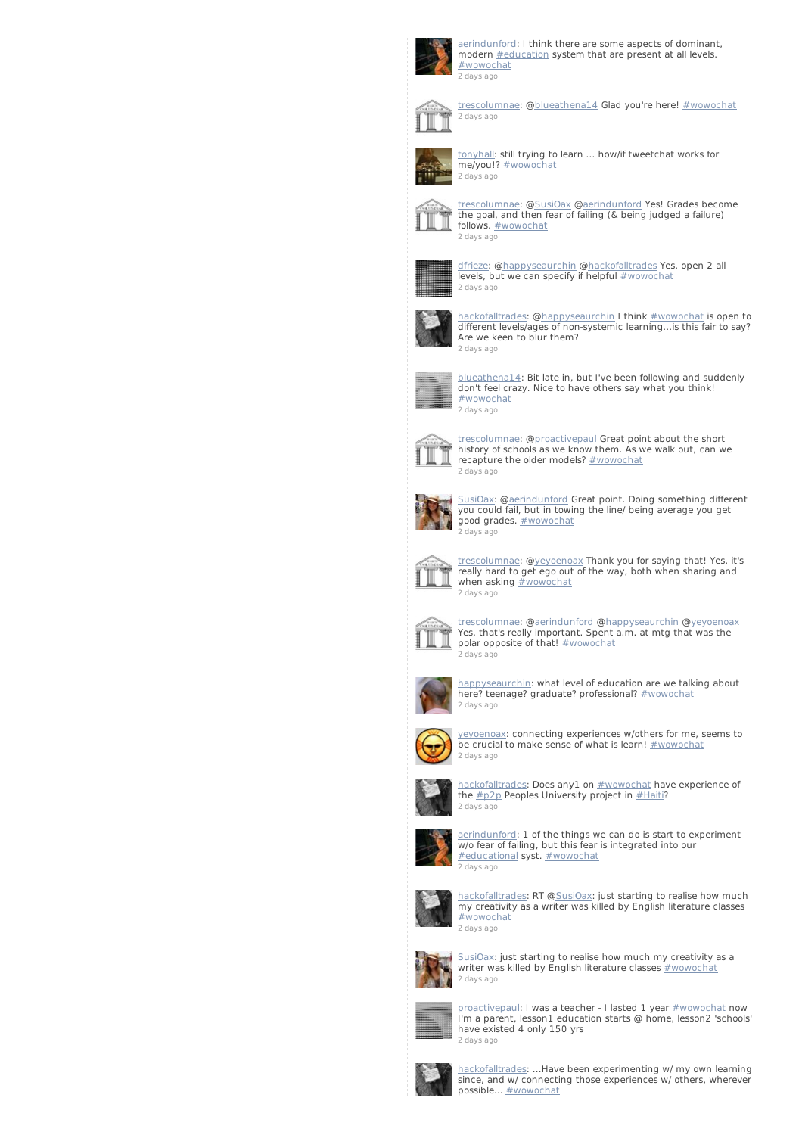

[aerindunford](http://twitter.com/aerindunford): I think there are some aspects of dominant, modern [#education](/reach?q=%23education) system that are present at all levels. [#wowochat](/reach?q=%23wowochat) 2 [days](http://twitter.com/aerindunford/statuses/235833923756752896) ago



[trescolumnae](http://twitter.com/trescolumnae): [@blueathena14](http://twitter.com/blueathena14) Glad you're here! [#wowochat](/reach?q=%23wowochat) 2 [days](http://twitter.com/trescolumnae/statuses/235833775261630465) ago



[tonyhall](http://twitter.com/tonyhall): still trying to learn ... how/if tweetchat works for me/you!? [#wowochat](/reach?q=%23wowochat) 2 [days](http://twitter.com/tonyhall/statuses/235833721725542401) ago



t<u>rescolumnae</u>: @<u>SusiOax</u> @<u>aerindunford</u> Yes! Grades become<br>the goal, and then fear of failing (& being judged a failure) follows. **[#wowochat](/reach?q=%23wowochat)** 2 [days](http://twitter.com/trescolumnae/statuses/235833642922962944) ago



<u>[dfrieze](http://twitter.com/dfrieze)</u>: @<u>happyseaurchin</u> @<u>hackofalltrades</u> Yes. open 2 all<br>levels, but we can specify if helpful <u>[#wowochat](/reach?q=%23wowochat)</u> 2 [days](http://twitter.com/dfrieze/statuses/235833634920214530) ago



[hackofalltrades](http://twitter.com/hackofalltrades): @[happyseaurchin](http://twitter.com/happyseaurchin) I think [#wowochat](/reach?q=%23wowochat) is open to different levels/ages of non-systemic learning...is this fair to say? Are we keen to blur them? 2 [days](http://twitter.com/hackofalltrades/statuses/235833324633989121) ago



[blueathena14](http://twitter.com/blueathena14): Bit late in, but I've been following and suddenly don't feel crazy. Nice to have others say what you think! [#wowochat](/reach?q=%23wowochat) 2 [days](http://twitter.com/blueathena14/statuses/235833316111167488) ago



[trescolumnae](http://twitter.com/trescolumnae): [@proactivepau](http://twitter.com/proactivepaul)l Great point about the short history of schools as we know them. As we walk out, can we recapture the older models? [#wowochat](/reach?q=%23wowochat) 2 [days](http://twitter.com/trescolumnae/statuses/235833249094590465) ago



[SusiOax](http://twitter.com/SusiOax): [@aerindunford](http://twitter.com/aerindunford) Great point. Doing something different you could fail, but in towing the line/ being average you get good grades. [#wowochat](/reach?q=%23wowochat) 2 [days](http://twitter.com/SusiOax/statuses/235832985155428352) ago



[trescolumnae](http://twitter.com/trescolumnae): [@yeyoenoax](http://twitter.com/yeyoenoax) Thank you for saying that! Yes, it's really hard to get ego out of the way, both when sharing and when asking **[#wowochat](/reach?q=%23wowochat)** 2 [days](http://twitter.com/trescolumnae/statuses/235832819497185280) ago



[trescolumnae](http://twitter.com/trescolumnae): [@aerindunford](http://twitter.com/aerindunford) [@happyseaurchin](http://twitter.com/happyseaurchin) [@yeyoenoax](http://twitter.com/yeyoenoax) Yes, that's really important. Spent a.m. at mtg that was the polar opposite of that! [#wowochat](/reach?q=%23wowochat) 2 [days](http://twitter.com/trescolumnae/statuses/235832649262972928) ago



[happyseaurchin](http://twitter.com/happyseaurchin): what level of education are we talking about here? teenage? graduate? professional? [#wowochat](/reach?q=%23wowochat) 2 [days](http://twitter.com/happyseaurchin/statuses/235832475497144320) ago



[yeyoenoax](http://twitter.com/yeyoenoax): connecting experiences w/others for me, seems to be crucial to make sense of what is learn! [#wowochat](/reach?q=%23wowochat) 2 [days](http://twitter.com/yeyoenoax/statuses/235832474100453376) ago



[hackofalltrades](http://twitter.com/hackofalltrades): Does any1 on [#wowochat](/reach?q=%23wowochat) have experience of the  $\#p2p$  $\#p2p$  Peoples University project in  $\#Haiti$  $\#Haiti$ ? 2 [days](http://twitter.com/hackofalltrades/statuses/235832462545149952) ago



[aerindunford](http://twitter.com/aerindunford): 1 of the things we can do is start to experiment w/o fear of failing, but this fear is integrated into our [#educational](/reach?q=%23educational) syst. [#wowochat](/reach?q=%23wowochat)



[hackofalltrades](http://twitter.com/hackofalltrades): RT [@SusiOax](http://twitter.com/SusiOax): just starting to realise how much my creativity as a writer was killed by English literature classes [#wowochat](/reach?q=%23wowochat) 2 [days](http://twitter.com/hackofalltrades/statuses/235832211063070720) ago



[SusiOax](http://twitter.com/SusiOax): just starting to realise how much my creativity as a writer was killed by English literature classes  $\frac{4}{2}$ wowochat 2 [days](http://twitter.com/SusiOax/statuses/235832162597875712) ago



<u>[proactivepaul](http://twitter.com/proactivepaul)</u>: I was a teacher - I lasted 1 year <u>[#wowochat](/reach?q=%23wowochat)</u> now<br>I'm a parent, lesson1 education starts @ home, lesson2 'schools' have existed 4 only 150 yrs 2 [days](http://twitter.com/proactivepaul/statuses/235832069027135488) ago



[hackofalltrades](http://twitter.com/hackofalltrades): ...Have been experimenting w/ my own learning since, and w/ connecting those experiences w/ others, wherever possible... [#wowochat](/reach?q=%23wowochat)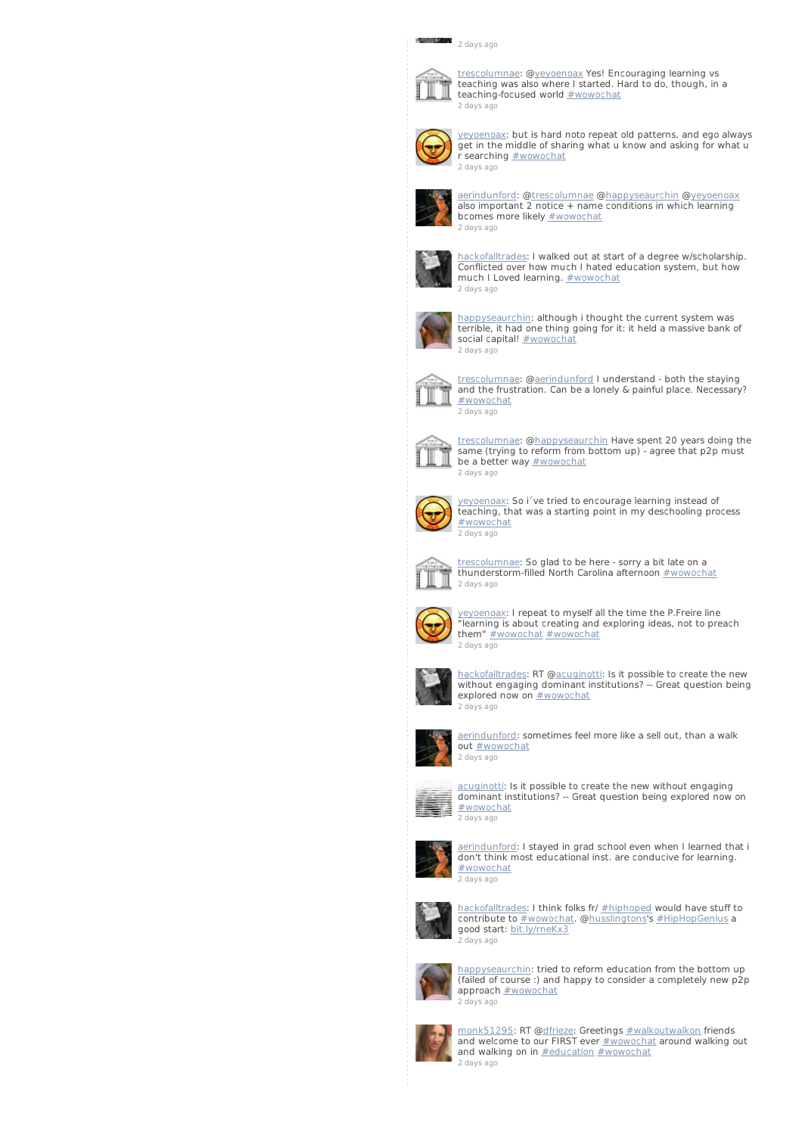## 2 [days](http://twitter.com/hackofalltrades/statuses/235831898327355393) ago



[trescolumnae](http://twitter.com/trescolumnae): [@yeyoenoax](http://twitter.com/yeyoenoax) Yes! Encouraging learning vs teaching was also where I started. Hard to do, though, in a teaching-focused world **[#wowochat](/reach?q=%23wowochat)** 2 [days](http://twitter.com/trescolumnae/statuses/235831796862943233) ago



[yeyoenoax](http://twitter.com/yeyoenoax): but is hard noto repeat old patterns, and ego always get in the middle of sharing what u know and asking for what u r searching **[#wowochat](/reach?q=%23wowochat)** 2 [days](http://twitter.com/yeyoenoax/statuses/235831783755767809) ago



[aerindunford](http://twitter.com/aerindunford): [@trescolumnae](http://twitter.com/trescolumnae) [@happyseaurchin](http://twitter.com/happyseaurchin) [@yeyoenoax](http://twitter.com/yeyoenoax) also important 2 notice + name conditions in which learning bcomes more likely **[#wowochat](/reach?q=%23wowochat)** 2 [days](http://twitter.com/aerindunford/statuses/235831775572668416) ago



[hackofalltrades](http://twitter.com/hackofalltrades): I walked out at start of a degree w/scholarship. Conflicted over how much I hated education system, but how much I Loved learning. **[#wowochat](/reach?q=%23wowochat)** 2 [days](http://twitter.com/hackofalltrades/statuses/235831671247732736) ago



[happyseaurchin](http://twitter.com/happyseaurchin): although i thought the current system was terrible, it had one thing going for it: it held a massive bank of social capital! **[#wowochat](/reach?q=%23wowochat)** 2 [days](http://twitter.com/happyseaurchin/statuses/235831640339914753) ago



[trescolumnae](http://twitter.com/trescolumnae): [@aerindunford](http://twitter.com/aerindunford) I understand - both the staying and the frustration. Can be a lonely & painful place. Necessary? [#wowochat](/reach?q=%23wowochat) 2 [days](http://twitter.com/trescolumnae/statuses/235831513021825024) ago



[trescolumnae](http://twitter.com/trescolumnae): [@happyseaurchin](http://twitter.com/happyseaurchin) Have spent 20 years doing the same (trying to reform from bottom up) - agree that p2p must be a better way **[#wowochat](/reach?q=%23wowochat)** 2 [days](http://twitter.com/trescolumnae/statuses/235831220041314305) ago



[yeyoenoax](http://twitter.com/yeyoenoax): So i´ve tried to encourage learning instead of teaching, that was a starting point in my deschooling process [#wowochat](/reach?q=%23wowochat) 2 [days](http://twitter.com/yeyoenoax/statuses/235831153083437057) ago



[trescolumnae](http://twitter.com/trescolumnae): So glad to be here - sorry a bit late on a thunderstorm-filled North Carolina afternoon [#wowochat](/reach?q=%23wowochat) 2 [days](http://twitter.com/trescolumnae/statuses/235830826737221633) ago



[yeyoenoax](http://twitter.com/yeyoenoax): I repeat to myself all the time the P.Freire line "learning is about creating and exploring ideas, not to preach them" **[#wowochat](/reach?q=%23wowochat) #wowochat** 



[hackofalltrades](http://twitter.com/hackofalltrades): RT [@acuginotti](http://twitter.com/acuginotti): Is it possible to create the new without engaging dominant institutions? -- Great question being explored now on **[#wowochat](/reach?q=%23wowochat)** 2 [days](http://twitter.com/hackofalltrades/statuses/235830573564829697) ago



[aerindunford](http://twitter.com/aerindunford): sometimes feel more like a sell out, than a walk<br>out <u>[#wowochat](/reach?q=%23wowochat)</u> 2 [days](http://twitter.com/aerindunford/statuses/235830523321262080) ago



cuginotti: Is it possible to create the new without engaging dominant institutions? -- Great question being explored now on [#wowochat](/reach?q=%23wowochat) 2 [days](http://twitter.com/acuginotti/statuses/235830506640515072) ago



[aerindunford](http://twitter.com/aerindunford): I stayed in grad school even when I learned that i don't think most educational inst. are conducive for learning. [#wowochat](/reach?q=%23wowochat) 2 [days](http://twitter.com/aerindunford/statuses/235830362050269184) ago



[hackofalltrades](http://twitter.com/hackofalltrades): I think folks fr/ [#hiphoped](/reach?q=%23hiphoped) would have stuff to contribute to [#wowochat](/reach?q=%23wowochat). [@husslingtons](http://twitter.com/husslingtons)'s [#HipHopGenius](/reach?q=%23HipHopGenius) a good start: [bit.ly/rneKx3](http://t.co/3qIN1IbA) 2 [days](http://twitter.com/hackofalltrades/statuses/235830252620902400) ago



[happyseaurchin](http://twitter.com/happyseaurchin): tried to reform education from the bottom up (failed of course :) and happy to consider a completely new p2p approach [#wowochat](/reach?q=%23wowochat) 2 [days](http://twitter.com/happyseaurchin/statuses/235829800630112256) ago



[monk51295](http://twitter.com/monk51295): RT @<u>[dfrieze](http://twitter.com/dfrieze)</u>: Greetings <u>[#walkoutwalkon](/reach?q=%23walkoutwalkon)</u> friends<br>and welcome to our FIRST ever <u>[#wowochat](/reach?q=%23wowochat)</u> around walking out and walking on in [#education](/reach?q=%23education) [#wowochat](/reach?q=%23wowochat) 2 [days](http://twitter.com/monk51295/statuses/235829716509134848) ago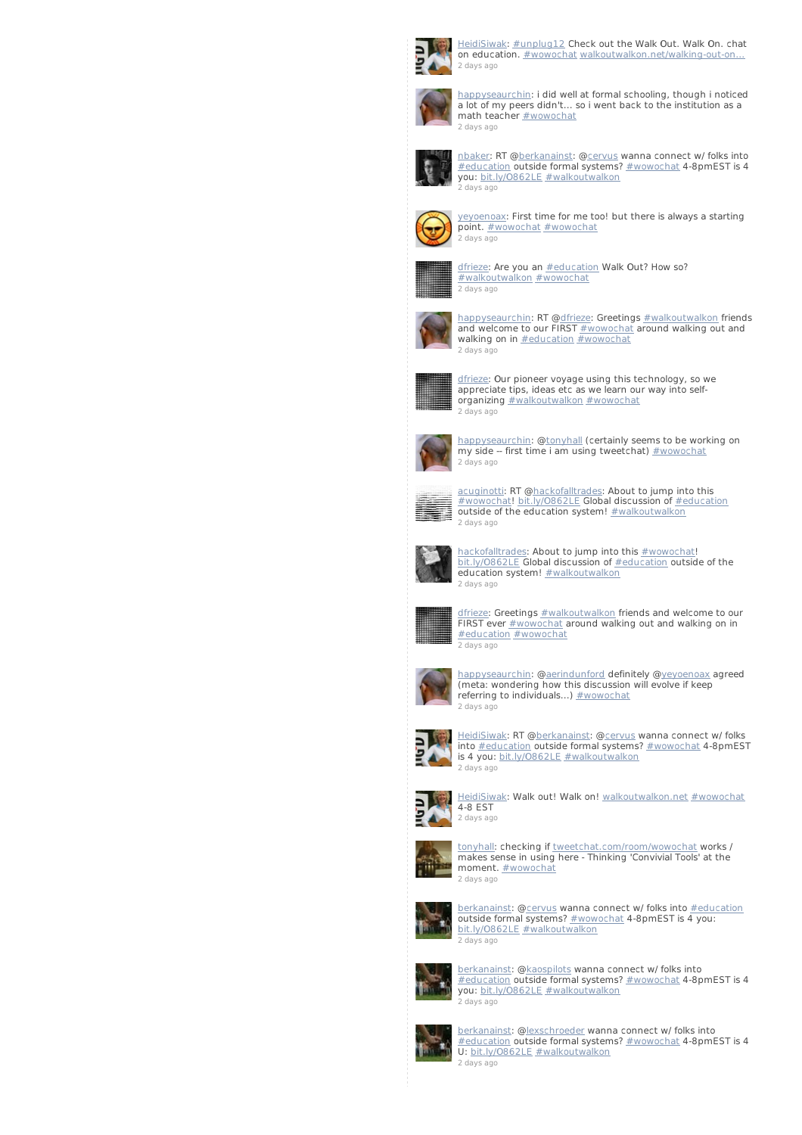

[HeidiSiwak](http://twitter.com/HeidiSiwak): [#unplug12](/reach?q=%23unplug12) Check out the Walk Out. Walk On. chat on education. [#wowochat](/reach?q=%23wowochat) walkoutwalkon.net/walking-out-on... 2 [days](http://twitter.com/HeidiSiwak/statuses/235829595293773824) ago



[happyseaurchin](http://twitter.com/happyseaurchin): i did well at formal schooling, though i noticed a lot of my peers didn't... so i went back to the institution as a math teacher **[#wowochat](/reach?q=%23wowochat)** 2 [days](http://twitter.com/happyseaurchin/statuses/235829579309268992) ago



[nbaker](http://twitter.com/nbaker): RT [@berkanainst](http://twitter.com/berkanainst): [@cervus](http://twitter.com/cervus) wanna connect w/ folks into [#education](/reach?q=%23education) outside formal systems? [#wowochat](/reach?q=%23wowochat) 4-8pmEST is 4 you: [bit.ly/O862LE](http://t.co/i4L4ilsg) [#walkoutwalkon](/reach?q=%23walkoutwalkon) 2 [days](http://twitter.com/nbaker/statuses/235829499097391106) ago



[yeyoenoax](http://twitter.com/yeyoenoax): First time for me too! but there is always a starting point. [#wowochat](/reach?q=%23wowochat) #wowochat 2 [days](http://twitter.com/yeyoenoax/statuses/235829358466564096) ago



[dfrieze](http://twitter.com/dfrieze): Are you an **[#education](/reach?q=%23education)** Walk Out? How so? [#walkoutwalkon](/reach?q=%23walkoutwalkon) [#wowochat](/reach?q=%23wowochat) 2 [days](http://twitter.com/dfrieze/statuses/235829121924616193) ago



[happyseaurchin](http://twitter.com/happyseaurchin): RT [@dfrieze](http://twitter.com/dfrieze): Greetings [#walkoutwalkon](/reach?q=%23walkoutwalkon) friends and welcome to our FIRST [#wowochat](/reach?q=%23wowochat) around walking out and walking on in [#education](/reach?q=%23education) [#wowochat](/reach?q=%23wowochat) 2 [days](http://twitter.com/happyseaurchin/statuses/235828981461561344) ago



[dfrieze](http://twitter.com/dfrieze): Our pioneer voyage using this technology, so we appreciate tips, ideas etc as we learn our way into selforganizing **[#walkoutwalkon](/reach?q=%23walkoutwalkon) [#wowochat](/reach?q=%23wowochat)** 2 [days](http://twitter.com/dfrieze/statuses/235828904730951680) ago



[happyseaurchin](http://twitter.com/happyseaurchin): @<u>tonyhall</u> (certainly seems to be working on<br>my side -- first time i am using tweetchat) <u>[#wowochat](/reach?q=%23wowochat)</u> 2 [days](http://twitter.com/happyseaurchin/statuses/235828708529819648) ago



[acuginotti](http://twitter.com/acuginotti): RT [@hackofalltrades](http://twitter.com/hackofalltrades): About to jump into this<br>[#wowochat](/reach?q=%23wowochat)! <u>bit.ly/0862LE</u> Global discussion of <u>[#education](/reach?q=%23education)</u><br>outside of the education system! <u>[#walkoutwalkon](/reach?q=%23walkoutwalkon)</u> 2 [days](http://twitter.com/acuginotti/statuses/235828611897245696) ago



[hackofalltrades](http://twitter.com/hackofalltrades): About to jump into this [#wowochat](/reach?q=%23wowochat)! [bit.ly/O862LE](http://t.co/tPi368ei) Global discussion of [#education](/reach?q=%23education) outside of the education system! [#walkoutwalkon](/reach?q=%23walkoutwalkon) 2 [days](http://twitter.com/hackofalltrades/statuses/235828506053996544) ago



[dfrieze](http://twitter.com/dfrieze): Greetings **[#walkoutwalkon](/reach?q=%23walkoutwalkon)** friends and welcome to our FIRST ever **[#wowochat](/reach?q=%23wowochat)** around walking out and walking on in [#education](/reach?q=%23education) [#wowochat](/reach?q=%23wowochat) 2 [days](http://twitter.com/dfrieze/statuses/235828390307983361) ago



[happyseaurchin](http://twitter.com/happyseaurchin): [@aerindunford](http://twitter.com/aerindunford) definitely [@yeyoenoax](http://twitter.com/yeyoenoax) agreed (meta: wondering how this discussion will evolve if keep referring to individuals...) [#wowochat](/reach?q=%23wowochat) 2 [days](http://twitter.com/happyseaurchin/statuses/235828318870597633) ago



[HeidiSiwak](http://twitter.com/HeidiSiwak): RT [@berkanainst](http://twitter.com/berkanainst): @[cervus](http://twitter.com/cervus) wanna connect w/ folks into [#education](/reach?q=%23education) outside formal systems? [#wowochat](/reach?q=%23wowochat) 4-8pmEST is 4 you: [bit.ly/O862LE](http://t.co/i4L4ilsg) [#walkoutwalkon](/reach?q=%23walkoutwalkon) 2 [days](http://twitter.com/HeidiSiwak/statuses/235828134912598016) ago



[HeidiSiwak](http://twitter.com/HeidiSiwak): Walk out! Walk on! <u>[walkoutwalkon.net](http://t.co/zX4pOxoM) [#wowochat](/reach?q=%23wowochat)</u><br>4-8 EST 2 [days](http://twitter.com/HeidiSiwak/statuses/235827991031209984) ago



[tonyhall](http://twitter.com/tonyhall): checking if [tweetchat.com/room/wowochat](http://t.co/5z6qCnx6) works / makes sense in using here - Thinking 'Convivial Tools' at the moment. **[#wowochat](/reach?q=%23wowochat)** 2 [days](http://twitter.com/tonyhall/statuses/235827903919702018) ago



[berkanainst](http://twitter.com/berkanainst): [@cervus](http://twitter.com/cervus) wanna connect w/ folks into [#education](/reach?q=%23education) outside formal systems? [#wowochat](/reach?q=%23wowochat) 4-8pmEST is 4 you: [bit.ly/O862LE](http://t.co/i4L4ilsg) [#walkoutwalkon](/reach?q=%23walkoutwalkon) 2 [days](http://twitter.com/berkanainst/statuses/235827853734862849) ago



[berkanainst](http://twitter.com/berkanainst): [@kaospilots](http://twitter.com/kaospilots) wanna connect w/ folks into [#education](/reach?q=%23education) outside formal systems? [#wowochat](/reach?q=%23wowochat) 4-8pmEST is 4 you: [bit.ly/O862LE](http://t.co/i4L4ilsg) [#walkoutwalkon](/reach?q=%23walkoutwalkon) 2 [days](http://twitter.com/berkanainst/statuses/235827825142280192) ago



<u>[berkanainst](http://twitter.com/berkanainst): [@lexschroeder](http://twitter.com/lexschroeder)</u> wanna connect w/ folks into<br>[#education](/reach?q=%23education)\_outside formal systems? <u>[#wowochat](/reach?q=%23wowochat)</u> 4-8pmEST is 4 U: [bit.ly/O862LE](http://t.co/i4L4ilsg) [#walkoutwalkon](/reach?q=%23walkoutwalkon) 2 [days](http://twitter.com/berkanainst/statuses/235827759312687104) ago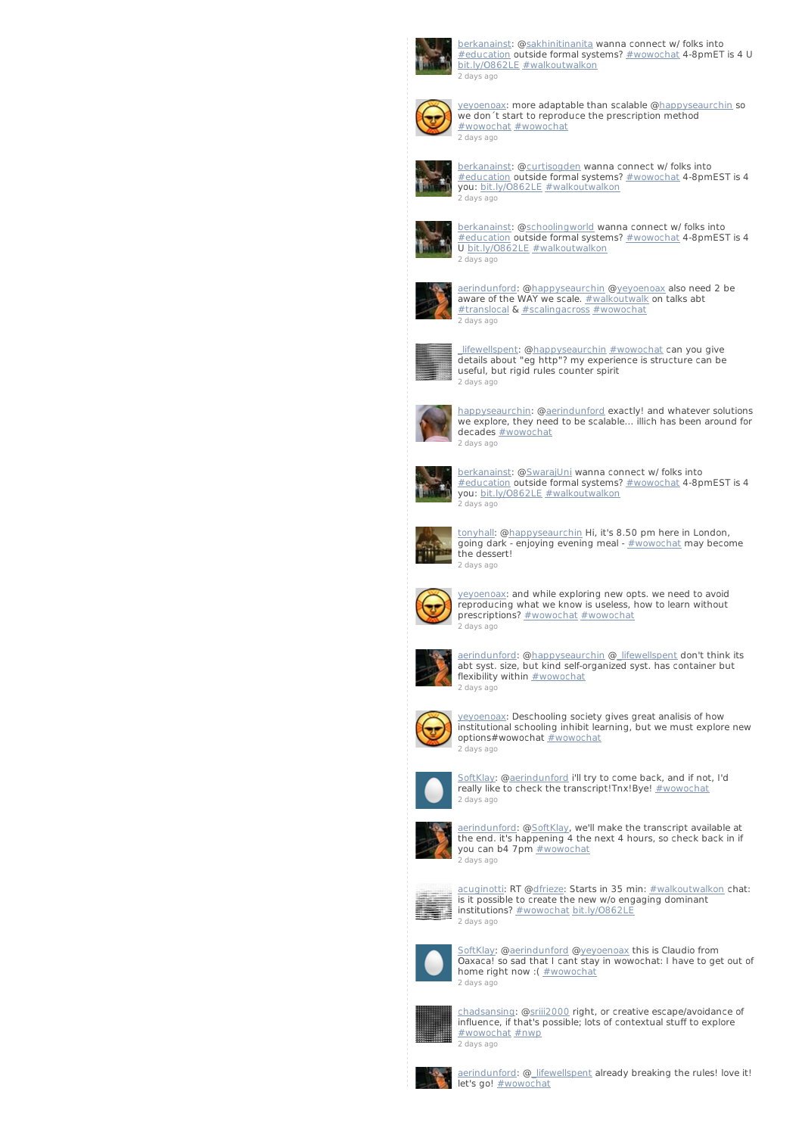

<u>[berkanainst](http://twitter.com/berkanainst)</u>: @<u>sakhinitinanita</u> wanna connect w/ folks into<br><u>[#education](/reach?q=%23education)</u> outside formal systems? <u>[#wowochat](/reach?q=%23wowochat)</u> 4-8pmET is 4 U<br>[bit.ly/O862LE](http://t.co/i4L4ilsg) [#walkoutwalkon](/reach?q=%23walkoutwalkon) 2 [days](http://twitter.com/berkanainst/statuses/235827647177969665) ago



[yeyoenoax](http://twitter.com/yeyoenoax): more adaptable than scalable [@happyseaurchin](http://twitter.com/happyseaurchin) so we don´t start to reproduce the prescription method [#wowochat](/reach?q=%23wowochat) [#wowochat](/reach?q=%23wowochat) 2 [days](http://twitter.com/yeyoenoax/statuses/235827637073895424) ago



[berkanainst](http://twitter.com/berkanainst): [@curtisogden](http://twitter.com/curtisogden) wanna connect w/ folks into [#education](/reach?q=%23education) outside formal systems? [#wowochat](/reach?q=%23wowochat) 4-8pmEST is 4 you: [bit.ly/O862LE](http://t.co/i4L4ilsg) [#walkoutwalkon](/reach?q=%23walkoutwalkon) 2 [days](http://twitter.com/berkanainst/statuses/235827464331489280) ago



[berkanainst](http://twitter.com/berkanainst): [@schoolingworld](http://twitter.com/schoolingworld) wanna connect w/ folks into [#education](/reach?q=%23education) outside formal systems? [#wowochat](/reach?q=%23wowochat) 4-8pmEST is 4 U [bit.ly/O862LE](http://t.co/i4L4ilsg) [#walkoutwalkon](/reach?q=%23walkoutwalkon) 2 [days](http://twitter.com/berkanainst/statuses/235827415866298368) ago



[aerindunford](http://twitter.com/aerindunford): [@happyseaurchin](http://twitter.com/happyseaurchin) [@yeyoenoax](http://twitter.com/yeyoenoax) also need 2 be<br>aware of the WAY we scale. <u>[#walkoutwalk](/reach?q=%23walkoutwalk)</u> on talks abt [#translocal](/reach?q=%23translocal) & [#scalingacross](/reach?q=%23scalingacross) [#wowochat](/reach?q=%23wowochat) 2 [days](http://twitter.com/aerindunford/statuses/235827208827052032) ago



[\\_lifewellspent](http://twitter.com/_lifewellspent): [@happyseaurchin](http://twitter.com/happyseaurchin) [#wowochat](/reach?q=%23wowochat) can you give details about "eg http"? my experience is structure can be useful, but rigid rules counter spirit 2 [days](http://twitter.com/_lifewellspent/statuses/235827199717040128) ago



[happyseaurchin](http://twitter.com/happyseaurchin): [@aerindunford](http://twitter.com/aerindunford) exactly! and whatever solutions we explore, they need to be scalable... illich has been around for decades [#wowochat](/reach?q=%23wowochat) 2 [days](http://twitter.com/happyseaurchin/statuses/235826499876446208) ago



[berkanainst](http://twitter.com/berkanainst): [@SwarajUni](http://twitter.com/SwarajUni) wanna connect w/ folks into [#education](/reach?q=%23education) outside formal systems? [#wowochat](/reach?q=%23wowochat) 4-8pmEST is 4 you: [bit.ly/O862LE](http://t.co/i4L4ilsg) [#walkoutwalkon](/reach?q=%23walkoutwalkon) 2 [days](http://twitter.com/berkanainst/statuses/235826462685556737) ago



[tonyhall](http://twitter.com/tonyhall): [@happyseaurchin](http://twitter.com/happyseaurchin) Hi, it's 8.50 pm here in London, going dark - enjoying evening meal - [#wowochat](/reach?q=%23wowochat) may become the dessert! 2 [days](http://twitter.com/tonyhall/statuses/235826449112780800) ago



[yeyoenoax](http://twitter.com/yeyoenoax): and while exploring new opts. we need to avoid reproducing what we know is useless, how to learn without prescriptions? [#wowochat](/reach?q=%23wowochat) #wowochat 2 [days](http://twitter.com/yeyoenoax/statuses/235826378367451136) ago



[aerindunford](http://twitter.com/aerindunford): [@happyseaurchin](http://twitter.com/happyseaurchin) [@\\_lifewellspent](http://twitter.com/_lifewellspent) don't think its abt syst. size, but kind self-organized syst. has container but flexibility within **[#wowochat](/reach?q=%23wowochat)** 2 [days](http://twitter.com/aerindunford/statuses/235825617067708416) ago



[yeyoenoax](http://twitter.com/yeyoenoax): Deschooling society gives great analisis of how institutional schooling inhibit learning, but we must explore new options#wowochat [#wowochat](/reach?q=%23wowochat) 2 [days](http://twitter.com/yeyoenoax/statuses/235825607689240576) ago



[SoftKlay](http://twitter.com/SoftKlay): [@aerindunford](http://twitter.com/aerindunford) i'll try to come back, and if not, I'd really like to check the transcript!Tnx!Bye! [#wowochat](/reach?q=%23wowochat) 2 [days](http://twitter.com/SoftKlay/statuses/235825529171873792) ago



[aerindunford](http://twitter.com/aerindunford): [@SoftKlay](http://twitter.com/SoftKlay), we'll make the transcript available at the end. it's happening 4 the next 4 hours, so check back in if you can b4 7pm [#wowochat](/reach?q=%23wowochat) 2 [days](http://twitter.com/aerindunford/statuses/235824603556085760) ago



[acuginotti](http://twitter.com/acuginotti): RT [@dfrieze](http://twitter.com/dfrieze): Starts in 35 min: [#walkoutwalkon](/reach?q=%23walkoutwalkon) chat: is it possible to create the new w/o engaging dominant institutions? [#wowochat](/reach?q=%23wowochat) [bit.ly/O862LE](http://t.co/HHN9IFSM) 2 [days](http://twitter.com/acuginotti/statuses/235824589366767616) ago



[SoftKlay](http://twitter.com/SoftKlay): [@aerindunford](http://twitter.com/aerindunford) @[yeyoenoax](http://twitter.com/yeyoenoax) this is Claudio from Oaxaca! so sad that I cant stay in wowochat: I have to get out of home right now : (  $\frac{\text{#wowochat}}{}$  $\frac{\text{#wowochat}}{}$  $\frac{\text{#wowochat}}{}$ 2 [days](http://twitter.com/SoftKlay/statuses/235824059743608832) ago



[chadsansing](http://twitter.com/chadsansing): [@sriii2000](http://twitter.com/sriii2000) right, or creative escape/avoidance of influence, if that's possible; lots of contextual stuff to explore [#wowochat](/reach?q=%23wowochat) [#nwp](/reach?q=%23nwp) 2 [days](http://twitter.com/chadsansing/statuses/235823578283638784) ago



[aerindunford](http://twitter.com/aerindunford): [@\\_lifewellspent](http://twitter.com/_lifewellspent) already breaking the rules! love it!<br>let's go! <u>[#wowochat](/reach?q=%23wowochat)</u>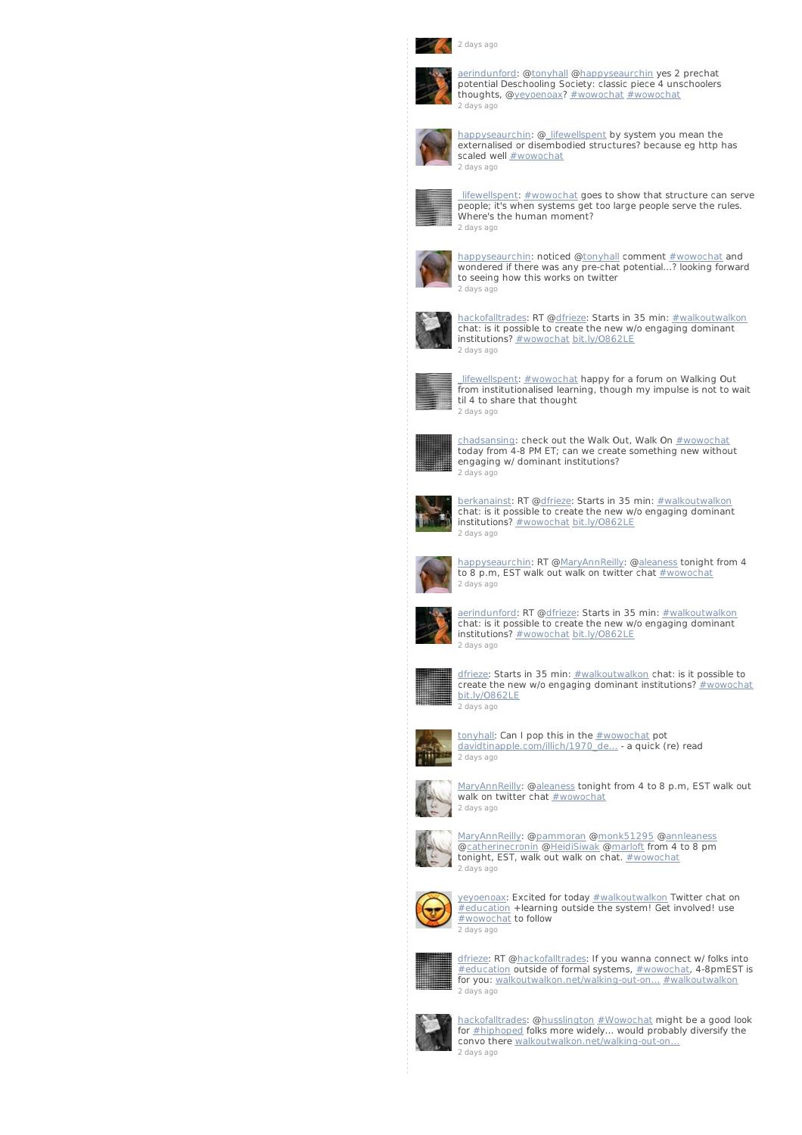



[aerindunford](http://twitter.com/aerindunford): [@tonyhall](http://twitter.com/tonyhall) [@happyseaurchin](http://twitter.com/happyseaurchin) yes 2 prechat potential Deschooling Society: classic piece 4 unschoolers thoughts, @[yeyoenoax](http://twitter.com/yeyoenoax)? [#wowochat](/reach?q=%23wowochat) [#wowochat](/reach?q=%23wowochat) 2 [days](http://twitter.com/aerindunford/statuses/235822981673279489) ago



[happyseaurchin](http://twitter.com/happyseaurchin): [@\\_lifewellspent](http://twitter.com/_lifewellspent) by system you mean the externalised or disembodied structures? because eg http has scaled well **[#wowochat](/reach?q=%23wowochat)** 2 [days](http://twitter.com/happyseaurchin/statuses/235822724587614209) ago



Lifewellspent: [#wowochat](/reach?q=%23wowochat) goes to show that structure can serve people; it's when systems get too large people serve the rules. Where's the human moment? 2 [days](http://twitter.com/_lifewellspent/statuses/235821832287170562) ago



[happyseaurchin](http://twitter.com/happyseaurchin): noticed [@tonyhall](http://twitter.com/tonyhall) comment [#wowochat](/reach?q=%23wowochat) and wondered if there was any pre-chat potential...? looking forward to seeing how this works on twitter 2 [days](http://twitter.com/happyseaurchin/statuses/235821679874551809) ago



[hackofalltrades](http://twitter.com/hackofalltrades): RT [@dfrieze](http://twitter.com/dfrieze): Starts in 35 min: [#walkoutwalkon](/reach?q=%23walkoutwalkon) chat: is it possible to create the new w/o engaging dominant institutions? **[#wowochat](/reach?q=%23wowochat) [bit.ly/O862LE](http://t.co/HHN9IFSM)** 2 [days](http://twitter.com/hackofalltrades/statuses/235821254215602176) ago



lifewellspent: [#wowochat](/reach?q=%23wowochat) happy for a forum on Walking Out **EXECUTE THE INTERNATIONAL INCREDIT MANAGEMENT CONTROLLER** in the property from institutionalised learning, though my impulse is not to wait til 4 to share that thought 2 [days](http://twitter.com/_lifewellspent/statuses/235820961335738368) ago



<u>[chadsansing](http://twitter.com/chadsansing)</u>: check out the Walk Out, Walk On <u>[#wowochat](/reach?q=%23wowochat)</u><br>today from 4-8 PM ET; can we create something new without engaging w/ dominant institutions? 2 [days](http://twitter.com/chadsansing/statuses/235820264372445184) ago



<u>[berkanainst](http://twitter.com/berkanainst)</u>: RT @<u>dfrieze</u>: Starts in 35 min: <u>[#walkoutwalkon](/reach?q=%23walkoutwalkon)</u><br>chat: is it possible to create the new w/o engaging dominant institutions? [#wowochat](/reach?q=%23wowochat) [bit.ly/O862LE](http://t.co/HHN9IFSM) 2 [days](http://twitter.com/berkanainst/statuses/235820104787574785) ago



[happyseaurchin](http://twitter.com/happyseaurchin): RT @<u>MaryAnnReilly</u>: @<u>aleaness</u> tonight from 4<br>to 8 p.m, EST walk out walk on twitter chat <u>[#wowochat](/reach?q=%23wowochat)</u> 2 [days](http://twitter.com/happyseaurchin/statuses/235820104363937792) ago



[aerindunford](http://twitter.com/aerindunford): RT [@dfrieze](http://twitter.com/dfrieze): Starts in 35 min: [#walkoutwalkon](/reach?q=%23walkoutwalkon) chat: is it possible to create the new w/o engaging dominant institutions? **[#wowochat](/reach?q=%23wowochat) [bit.ly/O862LE](http://t.co/HHN9IFSM)** 2 [days](http://twitter.com/aerindunford/statuses/235819745998405632) ago



[dfrieze](http://twitter.com/dfrieze): Starts in 35 min: [#walkoutwalkon](/reach?q=%23walkoutwalkon) chat: is it possible to create the new w/o engaging dominant institutions? [#wowochat](/reach?q=%23wowochat) [bit.ly/O862LE](http://t.co/HHN9IFSM) 2 [days](http://twitter.com/dfrieze/statuses/235819524019085313) ago



<u>[tonyhall](http://twitter.com/tonyhall)</u>: Can I pop this in the <u>[#wowochat](/reach?q=%23wowochat)</u> pot<br><u>[davidtinapple.com/illich/1970\\_de…](http://t.co/VvfZ0QPi)</u> - a quick (re) read 2 [days](http://twitter.com/tonyhall/statuses/235819252324634624) ago



<u>[MaryAnnReilly](http://twitter.com/MaryAnnReilly)</u>: @<u>aleaness</u> tonight from 4 to 8 p.m, EST walk out<br>walk on twitter chat <u>[#wowochat](/reach?q=%23wowochat)</u>



[MaryAnnReilly](http://twitter.com/MaryAnnReilly): [@pammoran](http://twitter.com/pammoran) [@monk51295](http://twitter.com/monk51295) [@annleaness](http://twitter.com/annleaness) [@catherinecronin](http://twitter.com/catherinecronin) [@HeidiSiwak](http://twitter.com/HeidiSiwak) @[marloft](http://twitter.com/marloft) from 4 to 8 pm tonight, EST, walk out walk on chat. [#wowochat](/reach?q=%23wowochat) 2 [days](http://twitter.com/MaryAnnReilly/statuses/235804369436700673) ago



[yeyoenoax](http://twitter.com/yeyoenoax): Excited for today [#walkoutwalkon](/reach?q=%23walkoutwalkon) Twitter chat on **Hangelen Extended Text is a starting outside the system!** Get involved! use [#wowochat](/reach?q=%23wowochat) to follow 2 [days](http://twitter.com/yeyoenoax/statuses/235775188703268864) ago



[dfrieze](http://twitter.com/dfrieze): RT @[hackofalltrades](http://twitter.com/hackofalltrades): If you wanna connect w/ folks into [#education](/reach?q=%23education) outside of formal systems, [#wowochat](/reach?q=%23wowochat), 4-8pmEST is for you: [walkoutwalkon.net/walking-out-on…](http://t.co/yyT7jhZ5) [#walkoutwalkon](/reach?q=%23walkoutwalkon) 2 [days](http://twitter.com/dfrieze/statuses/235771682680360960) ago



[hackofalltrades](http://twitter.com/hackofalltrades): @[husslington](http://twitter.com/husslington) [#Wowochat](/reach?q=%23Wowochat) might be a good look<br>for <u>[#hiphoped](/reach?q=%23hiphoped)</u> folks more widely... would probably diversify the<br>convo there <u>[walkoutwalkon.net/walking-out-on…](http://t.co/yyT7jhZ5)</u> 2 [days](http://twitter.com/hackofalltrades/statuses/235759973592883201) ago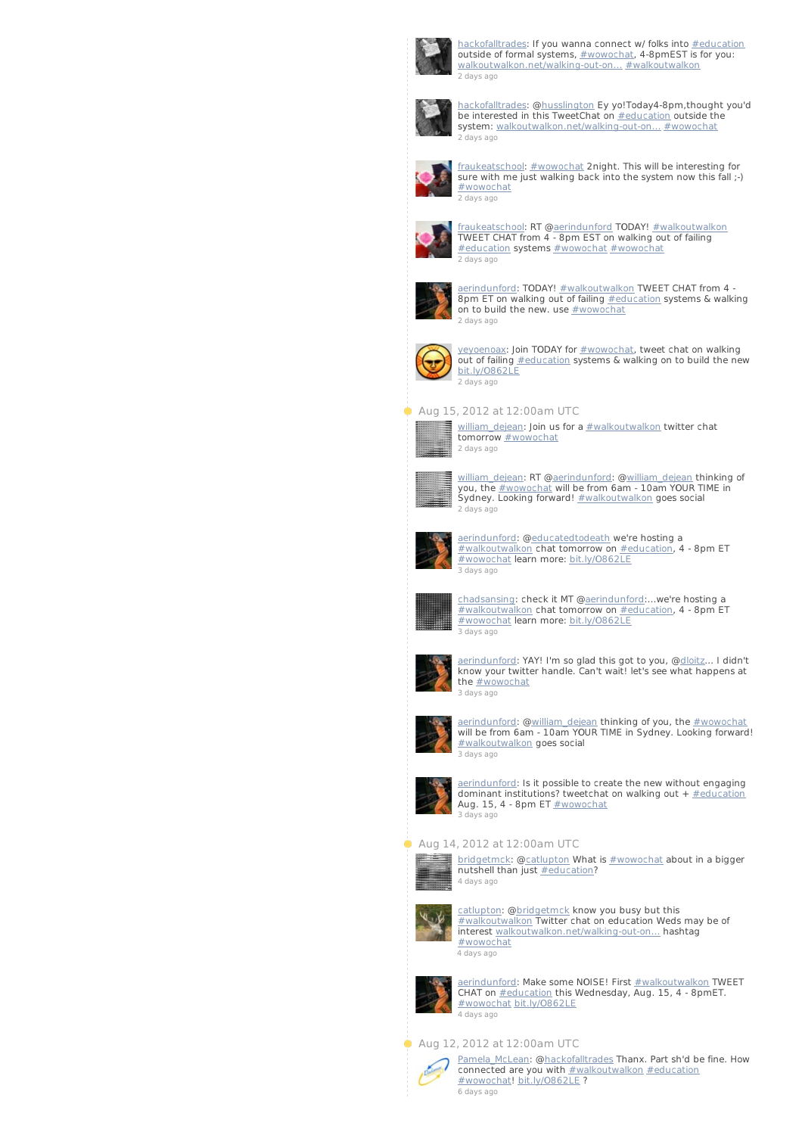

[hackofalltrades](http://twitter.com/hackofalltrades): If you wanna connect w/ folks into **[#education](/reach?q=%23education)** outside of formal systems,  $\frac{\text{#wowochat}}{\text{#wowochat}}$  $\frac{\text{#wowochat}}{\text{#wowochat}}$  $\frac{\text{#wowochat}}{\text{#wowochat}}$ , 4-8pmEST is for you: walkoutwalkon.net/walking-out-on... [#walkoutwalkon](/reach?q=%23walkoutwalkon) 2 [days](http://twitter.com/hackofalltrades/statuses/235758538725654528) ago



[hackofalltrades](http://twitter.com/hackofalltrades): @[husslington](http://twitter.com/husslington) Ey yo!Today4-8pm,thought you'd be interested in this TweetChat on **[#education](/reach?q=%23education)** outside the system: walkoutwalkon.net/walking-out-on... [#wowochat](/reach?q=%23wowochat) 2 [days](http://twitter.com/hackofalltrades/statuses/235758082507014146) ago



[fraukeatschool](http://twitter.com/fraukeatschool): [#wowochat](/reach?q=%23wowochat) 2night. This will be interesting for sure with me just walking back into the system now this fall ;-) [#wowochat](/reach?q=%23wowochat) 2 [days](http://twitter.com/fraukeatschool/statuses/235757174108876800) ago



[fraukeatschool](http://twitter.com/fraukeatschool): RT [@aerindunford](http://twitter.com/aerindunford) TODAY! [#walkoutwalkon](/reach?q=%23walkoutwalkon) TWEET CHAT from 4 - 8pm EST on walking out of failing [#education](/reach?q=%23education) systems [#wowochat](/reach?q=%23wowochat) [#wowochat](/reach?q=%23wowochat) 2 [days](http://twitter.com/fraukeatschool/statuses/235755929348485122) ago



[aerindunford](http://twitter.com/aerindunford): TODAY!  $\#$ walkoutwalkon TWEET CHAT from 4 -8pm ET on walking out of failing [#education](/reach?q=%23education) systems & walking on to build the new. use  $\frac{\text{#wowochat}}{\text{#wowochat}}$  $\frac{\text{#wowochat}}{\text{#wowochat}}$  $\frac{\text{#wowochat}}{\text{#wowochat}}$ 2 [days](http://twitter.com/aerindunford/statuses/235731807646138368) ago



[yeyoenoax](http://twitter.com/yeyoenoax): Join TODAY for [#wowochat](/reach?q=%23wowochat), tweet chat on walking out of failing [#education](/reach?q=%23education) systems & walking on to build the new [bit.ly/O862LE](http://t.co/NAeACXrR) 2 [days](http://twitter.com/yeyoenoax/statuses/235730934631124994) ago

## Aug 15, 2012 at 12:00am UTC



[william\\_dejean](http://twitter.com/william_dejean): Join us for a **[#walkoutwalkon](/reach?q=%23walkoutwalkon)** twitter chat tomorrow **[#wowochat](/reach?q=%23wowochat)** 2 [days](http://twitter.com/william_dejean/statuses/235502119828996097) ago



william dejean: RT [@aerindunford](http://twitter.com/aerindunford): @william dejean thinking of you, the **[#wowochat](/reach?q=%23wowochat)** will be from 6am - 10am YOUR TIME in Sydney. Looking forward! [#walkoutwalkon](/reach?q=%23walkoutwalkon) goes social 2 [days](http://twitter.com/william_dejean/statuses/235501615086452737) ago



[aerindunford](http://twitter.com/aerindunford): @<u>educatedtodeath</u> we're hosting a<br>[#walkoutwalkon](/reach?q=%23walkoutwalkon) chat tomorrow on <u>[#education](/reach?q=%23education)</u>, 4 - 8pm ET [#wowochat](/reach?q=%23wowochat) learn more: [bit.ly/O862LE](http://t.co/fI5mmEDA) 3 [days](http://twitter.com/aerindunford/statuses/235467613709414400) ago



[chadsansing](http://twitter.com/chadsansing): check it MT @<u>aerindunford</u>:…we're hosting a<br>[#walkoutwalkon](/reach?q=%23walkoutwalkon) chat tomorrow on <u>[#education](/reach?q=%23education)</u>, 4 - 8pm ET [#wowochat](/reach?q=%23wowochat) learn more: [bit.ly/O862LE](http://t.co/z5ydIocT) 3 [days](http://twitter.com/chadsansing/statuses/235449044372189184) ago



[aerindunford](http://twitter.com/aerindunford): YAY! I'm so glad this got to you, @<u>dloitz</u>... I didn't<br>know your twitter handle. Can't wait! let's see what happens at the **[#wowochat](/reach?q=%23wowochat)** 3 [days](http://twitter.com/aerindunford/statuses/235434696027291648) ago



[aerindunford](http://twitter.com/aerindunford): @<u>william\_dejean</u> thinking of you, the <u>[#wowochat](/reach?q=%23wowochat)</u><br>will be from 6am - 10am YOUR TIME in Sydney. Looking forward! [#walkoutwalkon](/reach?q=%23walkoutwalkon) goes social 3 [days](http://twitter.com/aerindunford/statuses/235434388467380224) ago



[aerindunford](http://twitter.com/aerindunford): Is it possible to create the new without engaging dominant institutions? tweetchat on walking out  $+$  [#education](/reach?q=%23education) Aug. 15, 4 - 8pm ET  $\frac{\text{#wowochat}}{\text{#wowochat}}$  $\frac{\text{#wowochat}}{\text{#wowochat}}$  $\frac{\text{#wowochat}}{\text{#wowochat}}$ 3 [days](http://twitter.com/aerindunford/statuses/235424002619867136) ago

#### **Aug 14, 2012 at 12:00am UTC**



[bridgetmck](http://twitter.com/bridgetmck): [@catlupton](http://twitter.com/catlupton) What is [#wowochat](/reach?q=%23wowochat) about in a bigger nutshell than just [#education](/reach?q=%23education)? 4 [days](http://twitter.com/bridgetmck/statuses/235110115836035072) ago



[catlupton](http://twitter.com/catlupton): [@bridgetmck](http://twitter.com/bridgetmck) know you busy but this [#walkoutwalkon](/reach?q=%23walkoutwalkon) Twitter chat on education Weds may be of interest [walkoutwalkon.net/walking-out-on…](http://t.co/IxDetN0E) hashtag [#wowochat](/reach?q=%23wowochat) 4 [days](http://twitter.com/catlupton/statuses/235069521357066241) ago



[aerindunford](http://twitter.com/aerindunford): Make some NOISE! First [#walkoutwalkon](/reach?q=%23walkoutwalkon) TWEET CHAT on **[#education](/reach?q=%23education)** this Wednesday, Aug. 15, 4 - 8pmET. [#wowochat](/reach?q=%23wowochat) [bit.ly/O862LE](http://t.co/fI5mmEDA) 4 [days](http://twitter.com/aerindunford/statuses/235066126818742272) ago

#### Aug 12, 2012 at 12:00am UTC



[Pamela\\_McLean](http://twitter.com/Pamela_McLean): [@hackofalltrades](http://twitter.com/hackofalltrades) Thanx. Part sh'd be fine. How connected are you with **[#walkoutwalkon](/reach?q=%23walkoutwalkon)** [#education](/reach?q=%23education) [#wowochat](/reach?q=%23wowochat)! [bit.ly/O862LE](http://t.co/35AWGc62) ? 6 [days](http://twitter.com/Pamela_McLean/statuses/234304046452846594) ago